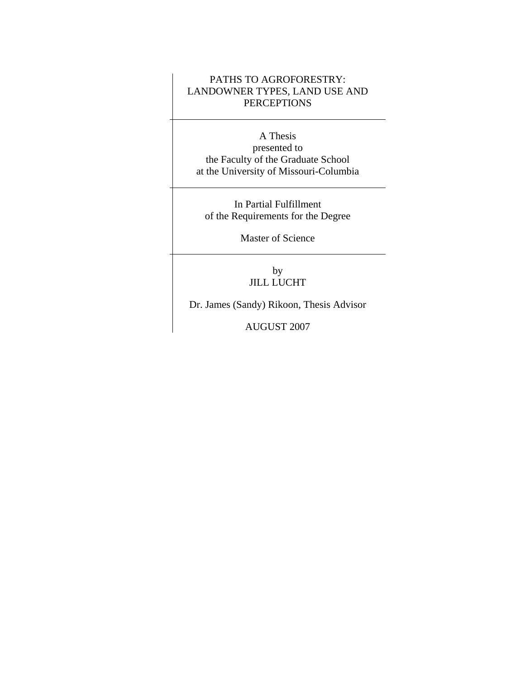## PATHS TO AGROFORESTRY: LANDOWNER TYPES, LAND USE AND **PERCEPTIONS**

A Thesis presented to the Faculty of the Graduate School at the University of Missouri-Columbia

In Partial Fulfillment of the Requirements for the Degree

Master of Science

by JILL LUCHT

Dr. James (Sandy) Rikoon, Thesis Advisor

AUGUST 2007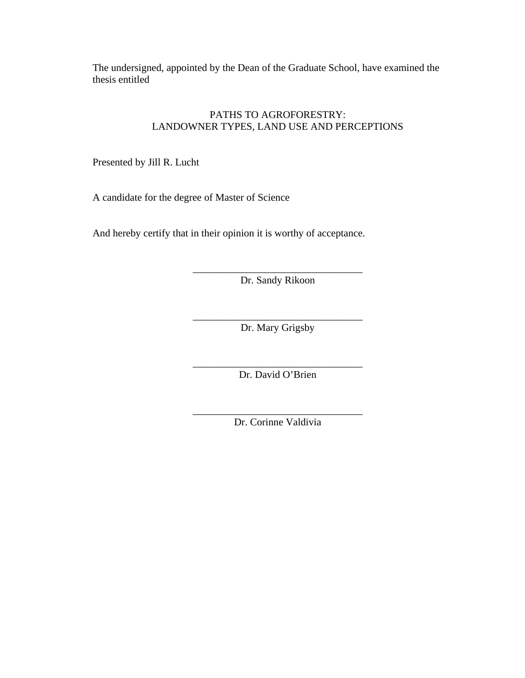The undersigned, appointed by the Dean of the Graduate School, have examined the thesis entitled

## PATHS TO AGROFORESTRY: LANDOWNER TYPES, LAND USE AND PERCEPTIONS

Presented by Jill R. Lucht

A candidate for the degree of Master of Science

And hereby certify that in their opinion it is worthy of acceptance.

\_\_\_\_\_\_\_\_\_\_\_\_\_\_\_\_\_\_\_\_\_\_\_\_\_\_\_\_\_\_\_\_\_ Dr. Sandy Rikoon

\_\_\_\_\_\_\_\_\_\_\_\_\_\_\_\_\_\_\_\_\_\_\_\_\_\_\_\_\_\_\_\_\_ Dr. Mary Grigsby

\_\_\_\_\_\_\_\_\_\_\_\_\_\_\_\_\_\_\_\_\_\_\_\_\_\_\_\_\_\_\_\_\_ Dr. David O'Brien

\_\_\_\_\_\_\_\_\_\_\_\_\_\_\_\_\_\_\_\_\_\_\_\_\_\_\_\_\_\_\_\_\_ Dr. Corinne Valdivia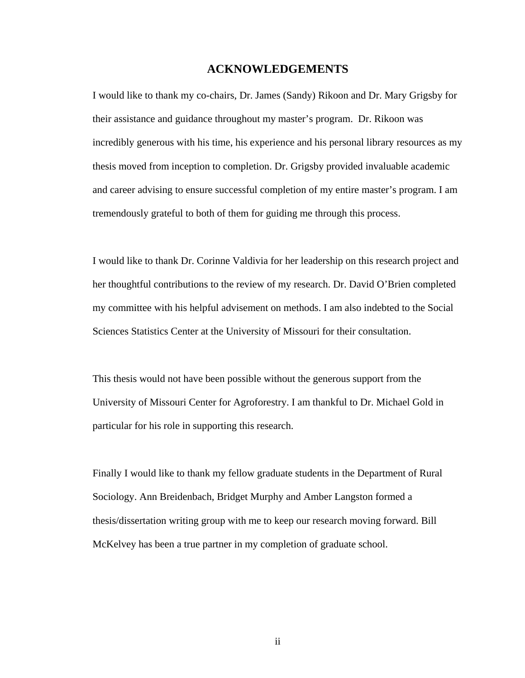## **ACKNOWLEDGEMENTS**

I would like to thank my co-chairs, Dr. James (Sandy) Rikoon and Dr. Mary Grigsby for their assistance and guidance throughout my master's program. Dr. Rikoon was incredibly generous with his time, his experience and his personal library resources as my thesis moved from inception to completion. Dr. Grigsby provided invaluable academic and career advising to ensure successful completion of my entire master's program. I am tremendously grateful to both of them for guiding me through this process.

I would like to thank Dr. Corinne Valdivia for her leadership on this research project and her thoughtful contributions to the review of my research. Dr. David O'Brien completed my committee with his helpful advisement on methods. I am also indebted to the Social Sciences Statistics Center at the University of Missouri for their consultation.

This thesis would not have been possible without the generous support from the University of Missouri Center for Agroforestry. I am thankful to Dr. Michael Gold in particular for his role in supporting this research.

Finally I would like to thank my fellow graduate students in the Department of Rural Sociology. Ann Breidenbach, Bridget Murphy and Amber Langston formed a thesis/dissertation writing group with me to keep our research moving forward. Bill McKelvey has been a true partner in my completion of graduate school.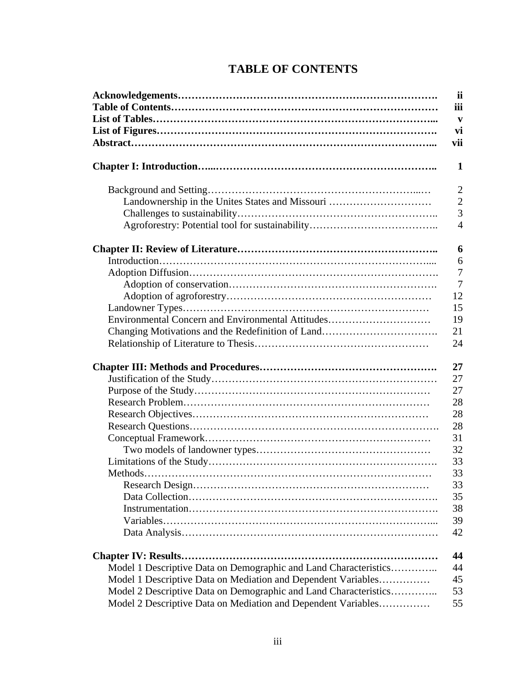|  | <b>TABLE OF CONTENTS</b> |
|--|--------------------------|
|--|--------------------------|

|                                                                  | <i>ii</i>      |
|------------------------------------------------------------------|----------------|
|                                                                  | iii            |
|                                                                  | V              |
|                                                                  | vi             |
|                                                                  | vii            |
|                                                                  | 1              |
|                                                                  | $\overline{2}$ |
| Landownership in the Unites States and Missouri                  | $\overline{2}$ |
|                                                                  | $\overline{3}$ |
|                                                                  | $\overline{4}$ |
|                                                                  | 6              |
|                                                                  | 6              |
|                                                                  | $\overline{7}$ |
|                                                                  | $\overline{7}$ |
|                                                                  | 12             |
|                                                                  | 15             |
| Environmental Concern and Environmental Attitudes                | 19             |
|                                                                  | 21             |
|                                                                  | 24             |
|                                                                  | 27             |
|                                                                  | 27             |
|                                                                  | 27             |
|                                                                  | 28             |
|                                                                  | 28             |
|                                                                  | 28             |
|                                                                  | 31             |
|                                                                  | 32             |
|                                                                  | 33             |
| <b>Methods</b>                                                   | 33             |
|                                                                  | 33             |
|                                                                  | 35             |
|                                                                  | 38             |
|                                                                  | 39             |
|                                                                  | 42             |
|                                                                  | 44             |
| Model 1 Descriptive Data on Demographic and Land Characteristics | 44             |
| Model 1 Descriptive Data on Mediation and Dependent Variables    | 45             |
| Model 2 Descriptive Data on Demographic and Land Characteristics | 53             |
| Model 2 Descriptive Data on Mediation and Dependent Variables    | 55             |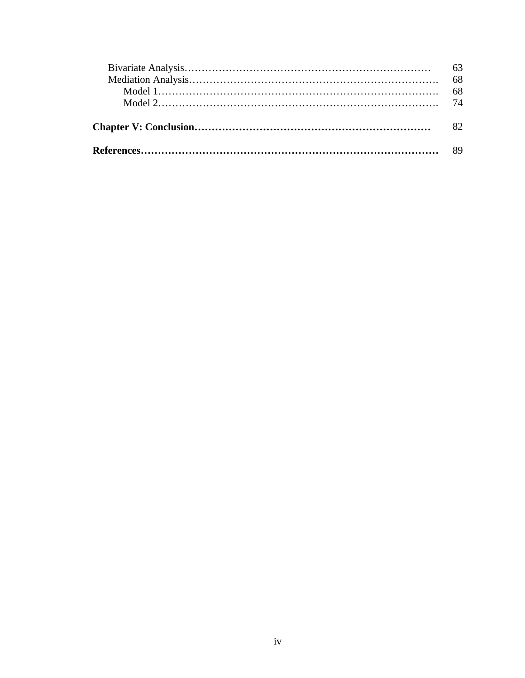|  | 63 |
|--|----|
|  |    |
|  |    |
|  |    |
|  |    |
|  |    |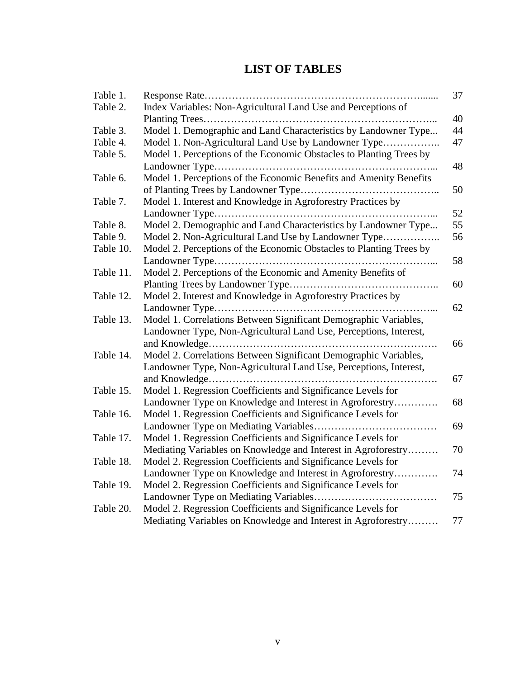# **LIST OF TABLES**

| Table 1.  |                                                                     | 37 |
|-----------|---------------------------------------------------------------------|----|
| Table 2.  | Index Variables: Non-Agricultural Land Use and Perceptions of       |    |
|           |                                                                     | 40 |
| Table 3.  | Model 1. Demographic and Land Characteristics by Landowner Type     | 44 |
| Table 4.  | Model 1. Non-Agricultural Land Use by Landowner Type                | 47 |
| Table 5.  | Model 1. Perceptions of the Economic Obstacles to Planting Trees by |    |
|           |                                                                     | 48 |
| Table 6.  | Model 1. Perceptions of the Economic Benefits and Amenity Benefits  |    |
|           |                                                                     | 50 |
| Table 7.  | Model 1. Interest and Knowledge in Agroforestry Practices by        |    |
|           |                                                                     | 52 |
| Table 8.  | Model 2. Demographic and Land Characteristics by Landowner Type     | 55 |
| Table 9.  | Model 2. Non-Agricultural Land Use by Landowner Type                | 56 |
| Table 10. | Model 2. Perceptions of the Economic Obstacles to Planting Trees by |    |
|           |                                                                     | 58 |
| Table 11. | Model 2. Perceptions of the Economic and Amenity Benefits of        |    |
|           |                                                                     | 60 |
| Table 12. | Model 2. Interest and Knowledge in Agroforestry Practices by        |    |
|           |                                                                     | 62 |
| Table 13. | Model 1. Correlations Between Significant Demographic Variables,    |    |
|           | Landowner Type, Non-Agricultural Land Use, Perceptions, Interest,   |    |
|           |                                                                     | 66 |
| Table 14. | Model 2. Correlations Between Significant Demographic Variables,    |    |
|           | Landowner Type, Non-Agricultural Land Use, Perceptions, Interest,   |    |
|           |                                                                     | 67 |
| Table 15. | Model 1. Regression Coefficients and Significance Levels for        |    |
|           | Landowner Type on Knowledge and Interest in Agroforestry            | 68 |
| Table 16. | Model 1. Regression Coefficients and Significance Levels for        |    |
|           |                                                                     | 69 |
| Table 17. | Model 1. Regression Coefficients and Significance Levels for        |    |
|           | Mediating Variables on Knowledge and Interest in Agroforestry       | 70 |
| Table 18. | Model 2. Regression Coefficients and Significance Levels for        |    |
|           | Landowner Type on Knowledge and Interest in Agroforestry            | 74 |
| Table 19. | Model 2. Regression Coefficients and Significance Levels for        |    |
|           |                                                                     | 75 |
| Table 20. | Model 2. Regression Coefficients and Significance Levels for        |    |
|           | Mediating Variables on Knowledge and Interest in Agroforestry       | 77 |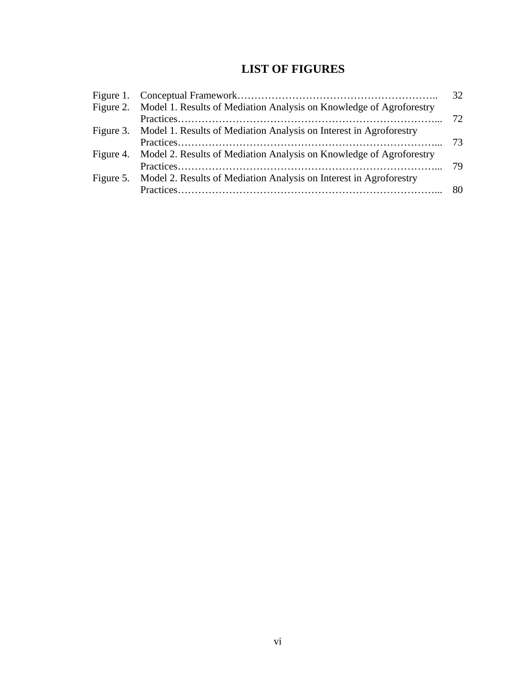# **LIST OF FIGURES**

|                                                                               | 32 |
|-------------------------------------------------------------------------------|----|
| Figure 2. Model 1. Results of Mediation Analysis on Knowledge of Agroforestry |    |
|                                                                               |    |
| Figure 3. Model 1. Results of Mediation Analysis on Interest in Agroforestry  |    |
|                                                                               |    |
| Figure 4. Model 2. Results of Mediation Analysis on Knowledge of Agroforestry |    |
|                                                                               |    |
| Figure 5. Model 2. Results of Mediation Analysis on Interest in Agroforestry  |    |
|                                                                               |    |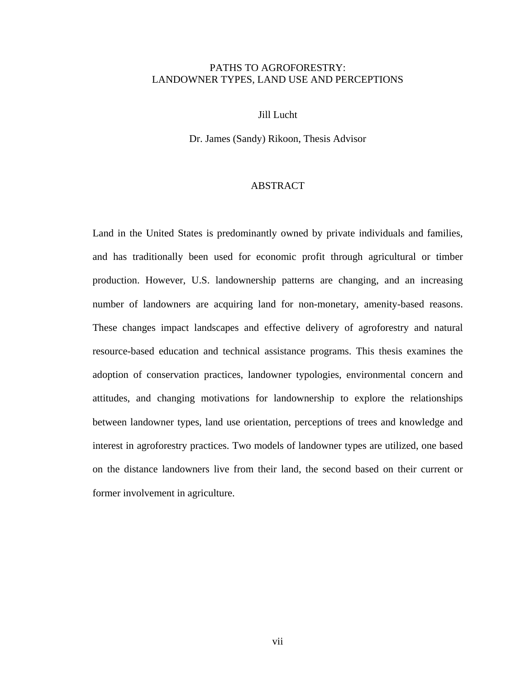## PATHS TO AGROFORESTRY: LANDOWNER TYPES, LAND USE AND PERCEPTIONS

## Jill Lucht

Dr. James (Sandy) Rikoon, Thesis Advisor

## ABSTRACT

Land in the United States is predominantly owned by private individuals and families, and has traditionally been used for economic profit through agricultural or timber production. However, U.S. landownership patterns are changing, and an increasing number of landowners are acquiring land for non-monetary, amenity-based reasons. These changes impact landscapes and effective delivery of agroforestry and natural resource-based education and technical assistance programs. This thesis examines the adoption of conservation practices, landowner typologies, environmental concern and attitudes, and changing motivations for landownership to explore the relationships between landowner types, land use orientation, perceptions of trees and knowledge and interest in agroforestry practices. Two models of landowner types are utilized, one based on the distance landowners live from their land, the second based on their current or former involvement in agriculture.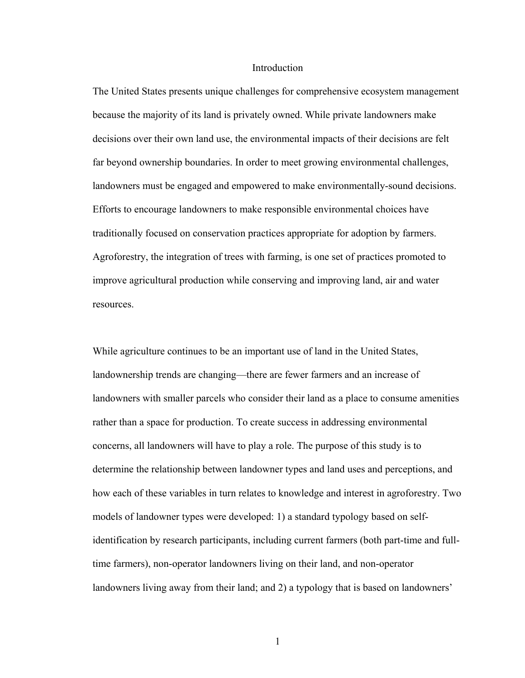#### Introduction

The United States presents unique challenges for comprehensive ecosystem management because the majority of its land is privately owned. While private landowners make decisions over their own land use, the environmental impacts of their decisions are felt far beyond ownership boundaries. In order to meet growing environmental challenges, landowners must be engaged and empowered to make environmentally-sound decisions. Efforts to encourage landowners to make responsible environmental choices have traditionally focused on conservation practices appropriate for adoption by farmers. Agroforestry, the integration of trees with farming, is one set of practices promoted to improve agricultural production while conserving and improving land, air and water resources.

While agriculture continues to be an important use of land in the United States, landownership trends are changing—there are fewer farmers and an increase of landowners with smaller parcels who consider their land as a place to consume amenities rather than a space for production. To create success in addressing environmental concerns, all landowners will have to play a role. The purpose of this study is to determine the relationship between landowner types and land uses and perceptions, and how each of these variables in turn relates to knowledge and interest in agroforestry. Two models of landowner types were developed: 1) a standard typology based on selfidentification by research participants, including current farmers (both part-time and fulltime farmers), non-operator landowners living on their land, and non-operator landowners living away from their land; and 2) a typology that is based on landowners'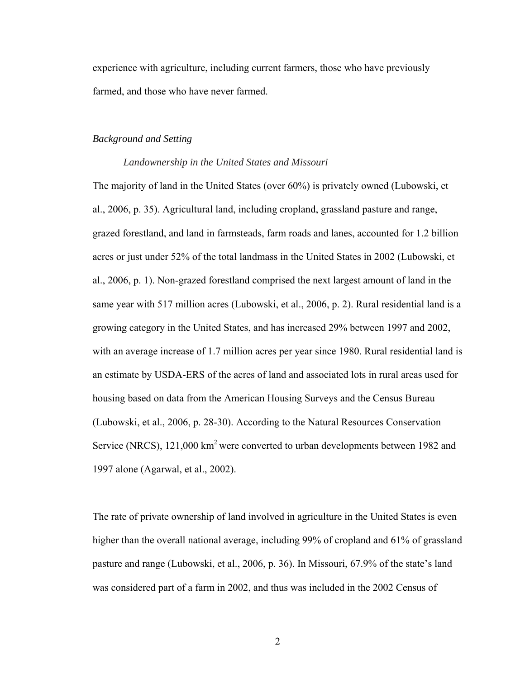experience with agriculture, including current farmers, those who have previously farmed, and those who have never farmed.

## *Background and Setting*

#### *Landownership in the United States and Missouri*

The majority of land in the United States (over 60%) is privately owned (Lubowski, et al., 2006, p. 35). Agricultural land, including cropland, grassland pasture and range, grazed forestland, and land in farmsteads, farm roads and lanes, accounted for 1.2 billion acres or just under 52% of the total landmass in the United States in 2002 (Lubowski, et al., 2006, p. 1). Non-grazed forestland comprised the next largest amount of land in the same year with 517 million acres (Lubowski, et al., 2006, p. 2). Rural residential land is a growing category in the United States, and has increased 29% between 1997 and 2002, with an average increase of 1.7 million acres per year since 1980. Rural residential land is an estimate by USDA-ERS of the acres of land and associated lots in rural areas used for housing based on data from the American Housing Surveys and the Census Bureau (Lubowski, et al., 2006, p. 28-30). According to the Natural Resources Conservation Service (NRCS), 121,000 km<sup>2</sup> were converted to urban developments between 1982 and 1997 alone (Agarwal, et al., 2002).

The rate of private ownership of land involved in agriculture in the United States is even higher than the overall national average, including 99% of cropland and 61% of grassland pasture and range (Lubowski, et al., 2006, p. 36). In Missouri, 67.9% of the state's land was considered part of a farm in 2002, and thus was included in the 2002 Census of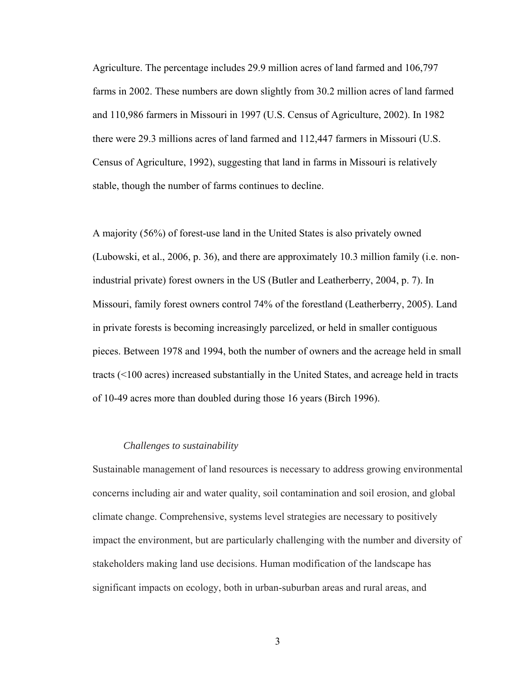Agriculture. The percentage includes 29.9 million acres of land farmed and 106,797 farms in 2002. These numbers are down slightly from 30.2 million acres of land farmed and 110,986 farmers in Missouri in 1997 (U.S. Census of Agriculture, 2002). In 1982 there were 29.3 millions acres of land farmed and 112,447 farmers in Missouri (U.S. Census of Agriculture, 1992), suggesting that land in farms in Missouri is relatively stable, though the number of farms continues to decline.

A majority (56%) of forest-use land in the United States is also privately owned (Lubowski, et al., 2006, p. 36), and there are approximately 10.3 million family (i.e. nonindustrial private) forest owners in the US (Butler and Leatherberry, 2004, p. 7). In Missouri, family forest owners control 74% of the forestland (Leatherberry, 2005). Land in private forests is becoming increasingly parcelized, or held in smaller contiguous pieces. Between 1978 and 1994, both the number of owners and the acreage held in small tracts (<100 acres) increased substantially in the United States, and acreage held in tracts of 10-49 acres more than doubled during those 16 years (Birch 1996).

#### *Challenges to sustainability*

Sustainable management of land resources is necessary to address growing environmental concerns including air and water quality, soil contamination and soil erosion, and global climate change. Comprehensive, systems level strategies are necessary to positively impact the environment, but are particularly challenging with the number and diversity of stakeholders making land use decisions. Human modification of the landscape has significant impacts on ecology, both in urban-suburban areas and rural areas, and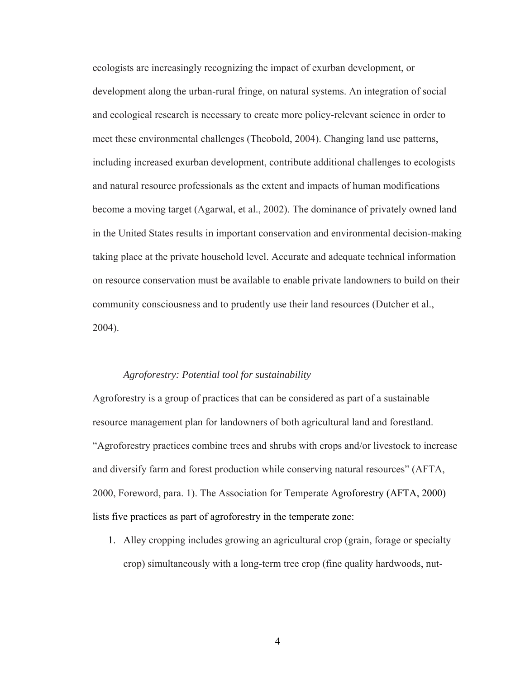ecologists are increasingly recognizing the impact of exurban development, or development along the urban-rural fringe, on natural systems. An integration of social and ecological research is necessary to create more policy-relevant science in order to meet these environmental challenges (Theobold, 2004). Changing land use patterns, including increased exurban development, contribute additional challenges to ecologists and natural resource professionals as the extent and impacts of human modifications become a moving target (Agarwal, et al., 2002). The dominance of privately owned land in the United States results in important conservation and environmental decision-making taking place at the private household level. Accurate and adequate technical information on resource conservation must be available to enable private landowners to build on their community consciousness and to prudently use their land resources (Dutcher et al., 2004).

## *Agroforestry: Potential tool for sustainability*

Agroforestry is a group of practices that can be considered as part of a sustainable resource management plan for landowners of both agricultural land and forestland. "Agroforestry practices combine trees and shrubs with crops and/or livestock to increase and diversify farm and forest production while conserving natural resources" (AFTA, 2000, Foreword, para. 1). The Association for Temperate Agroforestry (AFTA, 2000) lists five practices as part of agroforestry in the temperate zone:

1. Alley cropping includes growing an agricultural crop (grain, forage or specialty crop) simultaneously with a long-term tree crop (fine quality hardwoods, nut-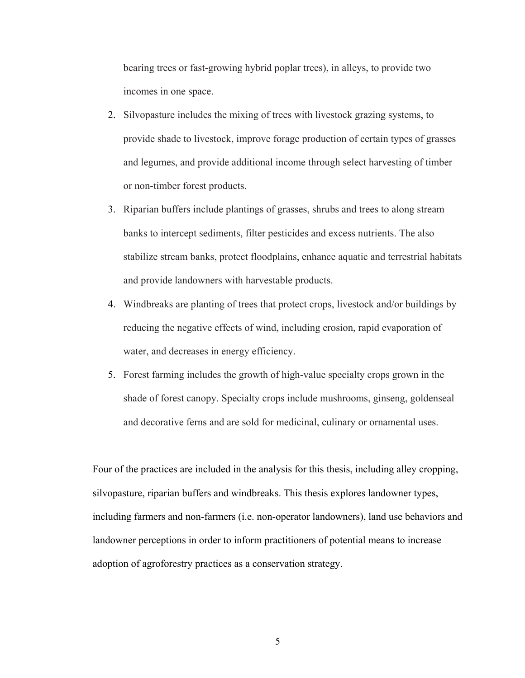bearing trees or fast-growing hybrid poplar trees), in alleys, to provide two incomes in one space.

- 2. Silvopasture includes the mixing of trees with livestock grazing systems, to provide shade to livestock, improve forage production of certain types of grasses and legumes, and provide additional income through select harvesting of timber or non-timber forest products.
- 3. Riparian buffers include plantings of grasses, shrubs and trees to along stream banks to intercept sediments, filter pesticides and excess nutrients. The also stabilize stream banks, protect floodplains, enhance aquatic and terrestrial habitats and provide landowners with harvestable products.
- 4. Windbreaks are planting of trees that protect crops, livestock and/or buildings by reducing the negative effects of wind, including erosion, rapid evaporation of water, and decreases in energy efficiency.
- 5. Forest farming includes the growth of high-value specialty crops grown in the shade of forest canopy. Specialty crops include mushrooms, ginseng, goldenseal and decorative ferns and are sold for medicinal, culinary or ornamental uses.

Four of the practices are included in the analysis for this thesis, including alley cropping, silvopasture, riparian buffers and windbreaks. This thesis explores landowner types, including farmers and non-farmers (i.e. non-operator landowners), land use behaviors and landowner perceptions in order to inform practitioners of potential means to increase adoption of agroforestry practices as a conservation strategy.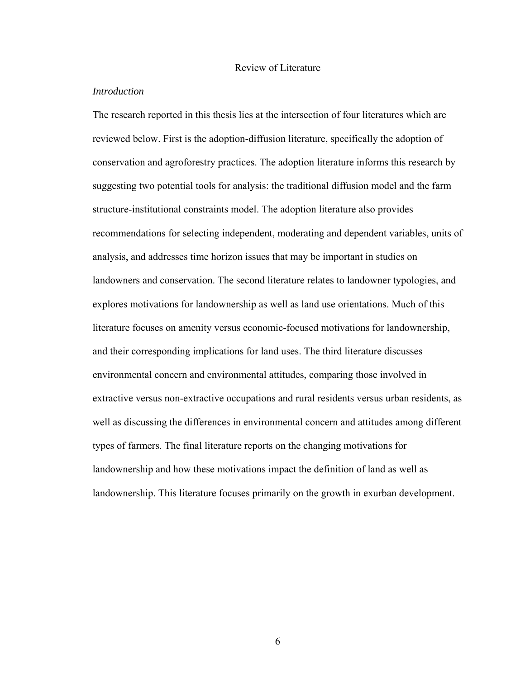#### Review of Literature

#### *Introduction*

The research reported in this thesis lies at the intersection of four literatures which are reviewed below. First is the adoption-diffusion literature, specifically the adoption of conservation and agroforestry practices. The adoption literature informs this research by suggesting two potential tools for analysis: the traditional diffusion model and the farm structure-institutional constraints model. The adoption literature also provides recommendations for selecting independent, moderating and dependent variables, units of analysis, and addresses time horizon issues that may be important in studies on landowners and conservation. The second literature relates to landowner typologies, and explores motivations for landownership as well as land use orientations. Much of this literature focuses on amenity versus economic-focused motivations for landownership, and their corresponding implications for land uses. The third literature discusses environmental concern and environmental attitudes, comparing those involved in extractive versus non-extractive occupations and rural residents versus urban residents, as well as discussing the differences in environmental concern and attitudes among different types of farmers. The final literature reports on the changing motivations for landownership and how these motivations impact the definition of land as well as landownership. This literature focuses primarily on the growth in exurban development.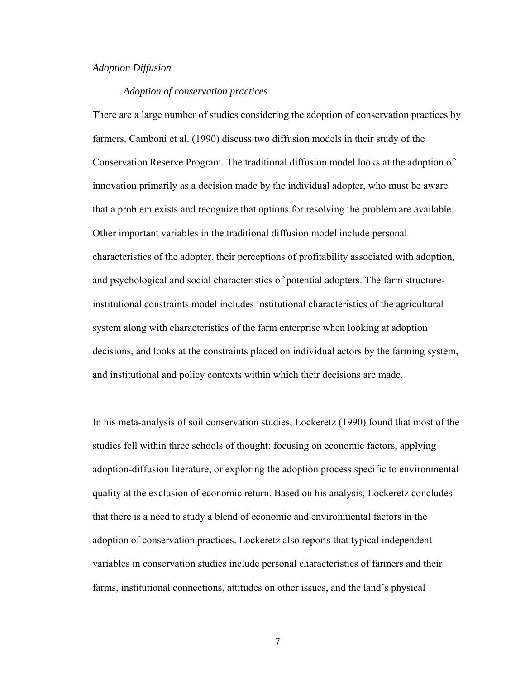## *Adoption Diffusion*

#### *Adoption of conservation practices*

There are a large number of studies considering the adoption of conservation practices by farmers. Camboni et al. (1990) discuss two diffusion models in their study of the Conservation Reserve Program. The traditional diffusion model looks at the adoption of innovation primarily as a decision made by the individual adopter, who must be aware that a problem exists and recognize that options for resolving the problem are available. Other important variables in the traditional diffusion model include personal characteristics of the adopter, their perceptions of profitability associated with adoption, and psychological and social characteristics of potential adopters. The farm structureinstitutional constraints model includes institutional characteristics of the agricultural system along with characteristics of the farm enterprise when looking at adoption decisions, and looks at the constraints placed on individual actors by the farming system, and institutional and policy contexts within which their decisions are made.

In his meta-analysis of soil conservation studies, Lockeretz (1990) found that most of the studies fell within three schools of thought: focusing on economic factors, applying adoption-diffusion literature, or exploring the adoption process specific to environmental quality at the exclusion of economic return. Based on his analysis, Lockeretz concludes that there is a need to study a blend of economic and environmental factors in the adoption of conservation practices. Lockeretz also reports that typical independent variables in conservation studies include personal characteristics of farmers and their farms, institutional connections, attitudes on other issues, and the land's physical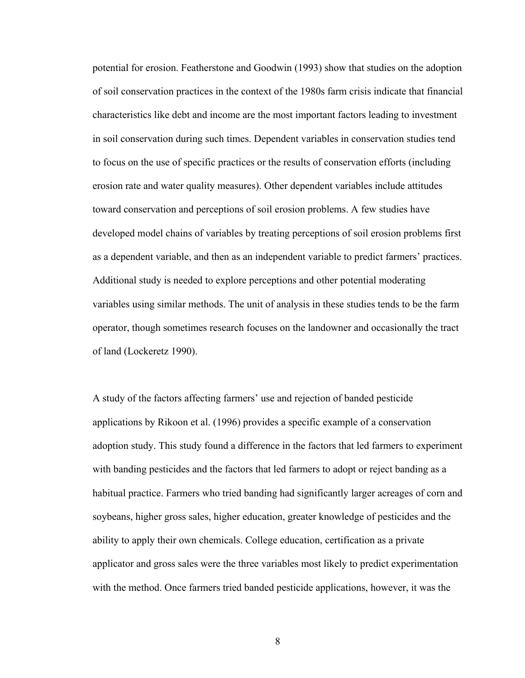potential for erosion. Featherstone and Goodwin (1993) show that studies on the adoption of soil conservation practices in the context of the 1980s farm crisis indicate that financial characteristics like debt and income are the most important factors leading to investment in soil conservation during such times. Dependent variables in conservation studies tend to focus on the use of specific practices or the results of conservation efforts (including erosion rate and water quality measures). Other dependent variables include attitudes toward conservation and perceptions of soil erosion problems. A few studies have developed model chains of variables by treating perceptions of soil erosion problems first as a dependent variable, and then as an independent variable to predict farmers' practices. Additional study is needed to explore perceptions and other potential moderating variables using similar methods. The unit of analysis in these studies tends to be the farm operator, though sometimes research focuses on the landowner and occasionally the tract of land (Lockeretz 1990).

A study of the factors affecting farmers' use and rejection of banded pesticide applications by Rikoon et al. (1996) provides a specific example of a conservation adoption study. This study found a difference in the factors that led farmers to experiment with banding pesticides and the factors that led farmers to adopt or reject banding as a habitual practice. Farmers who tried banding had significantly larger acreages of corn and soybeans, higher gross sales, higher education, greater knowledge of pesticides and the ability to apply their own chemicals. College education, certification as a private applicator and gross sales were the three variables most likely to predict experimentation with the method. Once farmers tried banded pesticide applications, however, it was the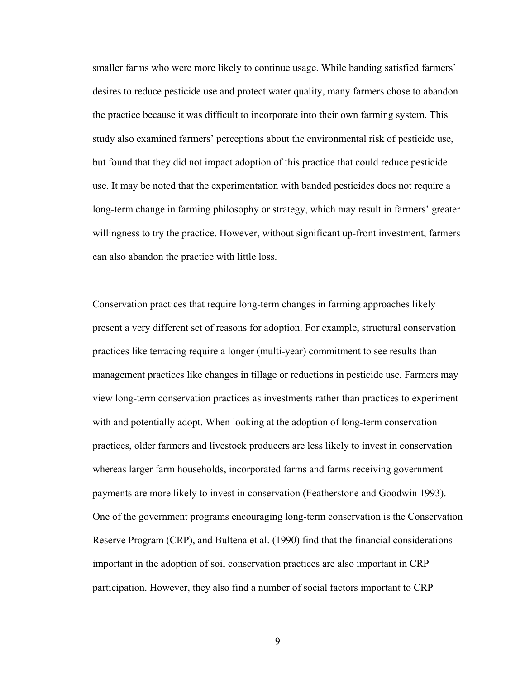smaller farms who were more likely to continue usage. While banding satisfied farmers' desires to reduce pesticide use and protect water quality, many farmers chose to abandon the practice because it was difficult to incorporate into their own farming system. This study also examined farmers' perceptions about the environmental risk of pesticide use, but found that they did not impact adoption of this practice that could reduce pesticide use. It may be noted that the experimentation with banded pesticides does not require a long-term change in farming philosophy or strategy, which may result in farmers' greater willingness to try the practice. However, without significant up-front investment, farmers can also abandon the practice with little loss.

Conservation practices that require long-term changes in farming approaches likely present a very different set of reasons for adoption. For example, structural conservation practices like terracing require a longer (multi-year) commitment to see results than management practices like changes in tillage or reductions in pesticide use. Farmers may view long-term conservation practices as investments rather than practices to experiment with and potentially adopt. When looking at the adoption of long-term conservation practices, older farmers and livestock producers are less likely to invest in conservation whereas larger farm households, incorporated farms and farms receiving government payments are more likely to invest in conservation (Featherstone and Goodwin 1993). One of the government programs encouraging long-term conservation is the Conservation Reserve Program (CRP), and Bultena et al. (1990) find that the financial considerations important in the adoption of soil conservation practices are also important in CRP participation. However, they also find a number of social factors important to CRP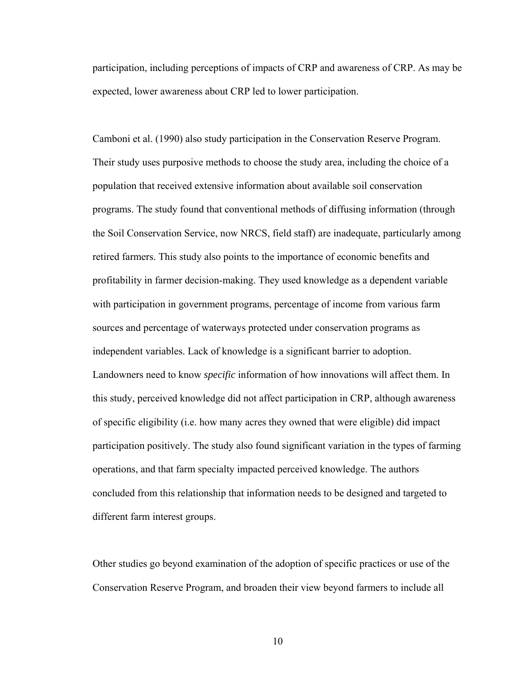participation, including perceptions of impacts of CRP and awareness of CRP. As may be expected, lower awareness about CRP led to lower participation.

Camboni et al. (1990) also study participation in the Conservation Reserve Program. Their study uses purposive methods to choose the study area, including the choice of a population that received extensive information about available soil conservation programs. The study found that conventional methods of diffusing information (through the Soil Conservation Service, now NRCS, field staff) are inadequate, particularly among retired farmers. This study also points to the importance of economic benefits and profitability in farmer decision-making. They used knowledge as a dependent variable with participation in government programs, percentage of income from various farm sources and percentage of waterways protected under conservation programs as independent variables. Lack of knowledge is a significant barrier to adoption. Landowners need to know *specific* information of how innovations will affect them. In this study, perceived knowledge did not affect participation in CRP, although awareness of specific eligibility (i.e. how many acres they owned that were eligible) did impact participation positively. The study also found significant variation in the types of farming operations, and that farm specialty impacted perceived knowledge. The authors concluded from this relationship that information needs to be designed and targeted to different farm interest groups.

Other studies go beyond examination of the adoption of specific practices or use of the Conservation Reserve Program, and broaden their view beyond farmers to include all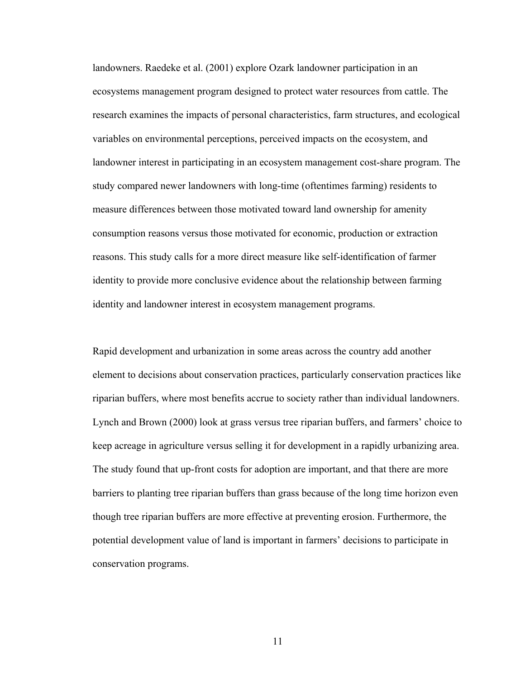landowners. Raedeke et al. (2001) explore Ozark landowner participation in an ecosystems management program designed to protect water resources from cattle. The research examines the impacts of personal characteristics, farm structures, and ecological variables on environmental perceptions, perceived impacts on the ecosystem, and landowner interest in participating in an ecosystem management cost-share program. The study compared newer landowners with long-time (oftentimes farming) residents to measure differences between those motivated toward land ownership for amenity consumption reasons versus those motivated for economic, production or extraction reasons. This study calls for a more direct measure like self-identification of farmer identity to provide more conclusive evidence about the relationship between farming identity and landowner interest in ecosystem management programs.

Rapid development and urbanization in some areas across the country add another element to decisions about conservation practices, particularly conservation practices like riparian buffers, where most benefits accrue to society rather than individual landowners. Lynch and Brown (2000) look at grass versus tree riparian buffers, and farmers' choice to keep acreage in agriculture versus selling it for development in a rapidly urbanizing area. The study found that up-front costs for adoption are important, and that there are more barriers to planting tree riparian buffers than grass because of the long time horizon even though tree riparian buffers are more effective at preventing erosion. Furthermore, the potential development value of land is important in farmers' decisions to participate in conservation programs.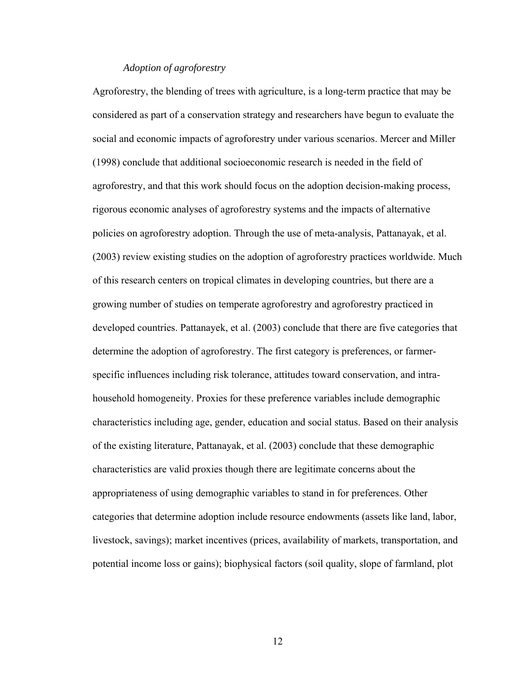## *Adoption of agroforestry*

Agroforestry, the blending of trees with agriculture, is a long-term practice that may be considered as part of a conservation strategy and researchers have begun to evaluate the social and economic impacts of agroforestry under various scenarios. Mercer and Miller (1998) conclude that additional socioeconomic research is needed in the field of agroforestry, and that this work should focus on the adoption decision-making process, rigorous economic analyses of agroforestry systems and the impacts of alternative policies on agroforestry adoption. Through the use of meta-analysis, Pattanayak, et al. (2003) review existing studies on the adoption of agroforestry practices worldwide. Much of this research centers on tropical climates in developing countries, but there are a growing number of studies on temperate agroforestry and agroforestry practiced in developed countries. Pattanayek, et al. (2003) conclude that there are five categories that determine the adoption of agroforestry. The first category is preferences, or farmerspecific influences including risk tolerance, attitudes toward conservation, and intrahousehold homogeneity. Proxies for these preference variables include demographic characteristics including age, gender, education and social status. Based on their analysis of the existing literature, Pattanayak, et al. (2003) conclude that these demographic characteristics are valid proxies though there are legitimate concerns about the appropriateness of using demographic variables to stand in for preferences. Other categories that determine adoption include resource endowments (assets like land, labor, livestock, savings); market incentives (prices, availability of markets, transportation, and potential income loss or gains); biophysical factors (soil quality, slope of farmland, plot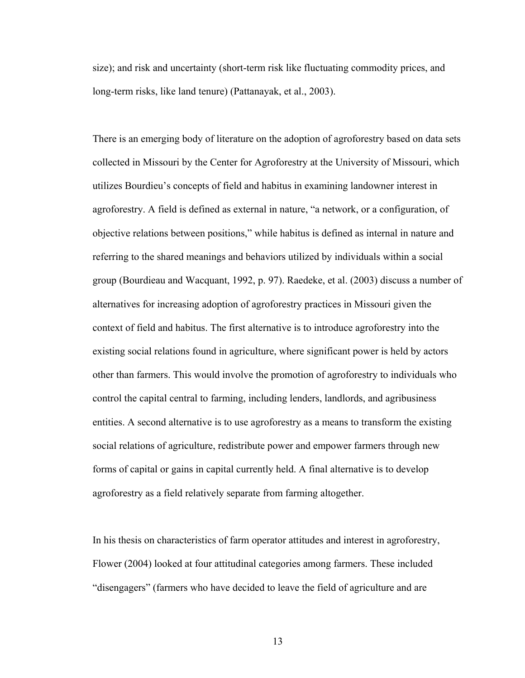size); and risk and uncertainty (short-term risk like fluctuating commodity prices, and long-term risks, like land tenure) (Pattanayak, et al., 2003).

There is an emerging body of literature on the adoption of agroforestry based on data sets collected in Missouri by the Center for Agroforestry at the University of Missouri, which utilizes Bourdieu's concepts of field and habitus in examining landowner interest in agroforestry. A field is defined as external in nature, "a network, or a configuration, of objective relations between positions," while habitus is defined as internal in nature and referring to the shared meanings and behaviors utilized by individuals within a social group (Bourdieau and Wacquant, 1992, p. 97). Raedeke, et al. (2003) discuss a number of alternatives for increasing adoption of agroforestry practices in Missouri given the context of field and habitus. The first alternative is to introduce agroforestry into the existing social relations found in agriculture, where significant power is held by actors other than farmers. This would involve the promotion of agroforestry to individuals who control the capital central to farming, including lenders, landlords, and agribusiness entities. A second alternative is to use agroforestry as a means to transform the existing social relations of agriculture, redistribute power and empower farmers through new forms of capital or gains in capital currently held. A final alternative is to develop agroforestry as a field relatively separate from farming altogether.

In his thesis on characteristics of farm operator attitudes and interest in agroforestry, Flower (2004) looked at four attitudinal categories among farmers. These included "disengagers" (farmers who have decided to leave the field of agriculture and are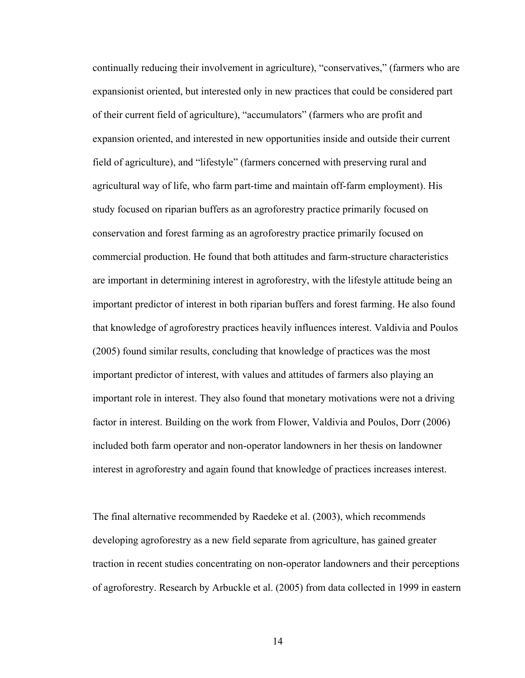continually reducing their involvement in agriculture), "conservatives," (farmers who are expansionist oriented, but interested only in new practices that could be considered part of their current field of agriculture), "accumulators" (farmers who are profit and expansion oriented, and interested in new opportunities inside and outside their current field of agriculture), and "lifestyle" (farmers concerned with preserving rural and agricultural way of life, who farm part-time and maintain off-farm employment). His study focused on riparian buffers as an agroforestry practice primarily focused on conservation and forest farming as an agroforestry practice primarily focused on commercial production. He found that both attitudes and farm-structure characteristics are important in determining interest in agroforestry, with the lifestyle attitude being an important predictor of interest in both riparian buffers and forest farming. He also found that knowledge of agroforestry practices heavily influences interest. Valdivia and Poulos (2005) found similar results, concluding that knowledge of practices was the most important predictor of interest, with values and attitudes of farmers also playing an important role in interest. They also found that monetary motivations were not a driving factor in interest. Building on the work from Flower, Valdivia and Poulos, Dorr (2006) included both farm operator and non-operator landowners in her thesis on landowner interest in agroforestry and again found that knowledge of practices increases interest.

The final alternative recommended by Raedeke et al. (2003), which recommends developing agroforestry as a new field separate from agriculture, has gained greater traction in recent studies concentrating on non-operator landowners and their perceptions of agroforestry. Research by Arbuckle et al. (2005) from data collected in 1999 in eastern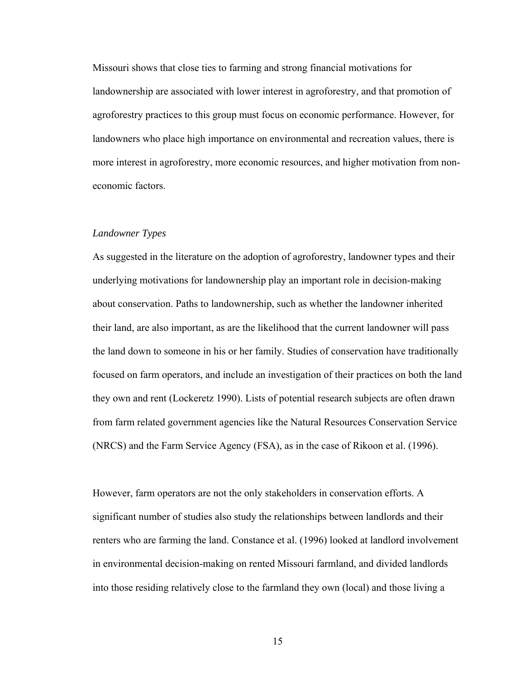Missouri shows that close ties to farming and strong financial motivations for landownership are associated with lower interest in agroforestry, and that promotion of agroforestry practices to this group must focus on economic performance. However, for landowners who place high importance on environmental and recreation values, there is more interest in agroforestry, more economic resources, and higher motivation from noneconomic factors.

#### *Landowner Types*

As suggested in the literature on the adoption of agroforestry, landowner types and their underlying motivations for landownership play an important role in decision-making about conservation. Paths to landownership, such as whether the landowner inherited their land, are also important, as are the likelihood that the current landowner will pass the land down to someone in his or her family. Studies of conservation have traditionally focused on farm operators, and include an investigation of their practices on both the land they own and rent (Lockeretz 1990). Lists of potential research subjects are often drawn from farm related government agencies like the Natural Resources Conservation Service (NRCS) and the Farm Service Agency (FSA), as in the case of Rikoon et al. (1996).

However, farm operators are not the only stakeholders in conservation efforts. A significant number of studies also study the relationships between landlords and their renters who are farming the land. Constance et al. (1996) looked at landlord involvement in environmental decision-making on rented Missouri farmland, and divided landlords into those residing relatively close to the farmland they own (local) and those living a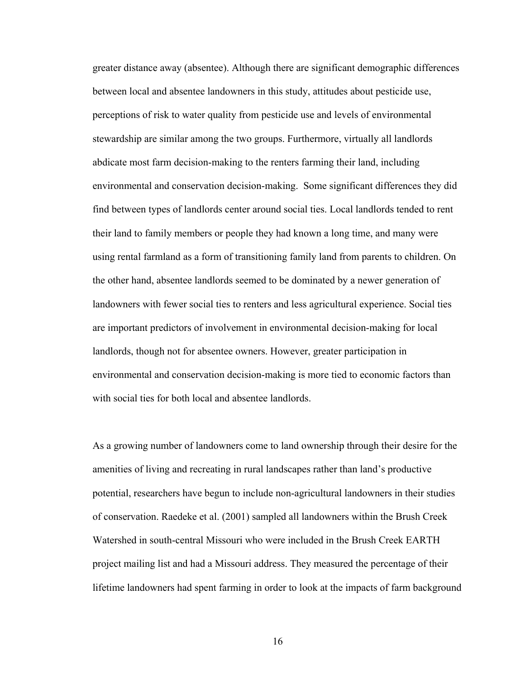greater distance away (absentee). Although there are significant demographic differences between local and absentee landowners in this study, attitudes about pesticide use, perceptions of risk to water quality from pesticide use and levels of environmental stewardship are similar among the two groups. Furthermore, virtually all landlords abdicate most farm decision-making to the renters farming their land, including environmental and conservation decision-making. Some significant differences they did find between types of landlords center around social ties. Local landlords tended to rent their land to family members or people they had known a long time, and many were using rental farmland as a form of transitioning family land from parents to children. On the other hand, absentee landlords seemed to be dominated by a newer generation of landowners with fewer social ties to renters and less agricultural experience. Social ties are important predictors of involvement in environmental decision-making for local landlords, though not for absentee owners. However, greater participation in environmental and conservation decision-making is more tied to economic factors than with social ties for both local and absentee landlords.

As a growing number of landowners come to land ownership through their desire for the amenities of living and recreating in rural landscapes rather than land's productive potential, researchers have begun to include non-agricultural landowners in their studies of conservation. Raedeke et al. (2001) sampled all landowners within the Brush Creek Watershed in south-central Missouri who were included in the Brush Creek EARTH project mailing list and had a Missouri address. They measured the percentage of their lifetime landowners had spent farming in order to look at the impacts of farm background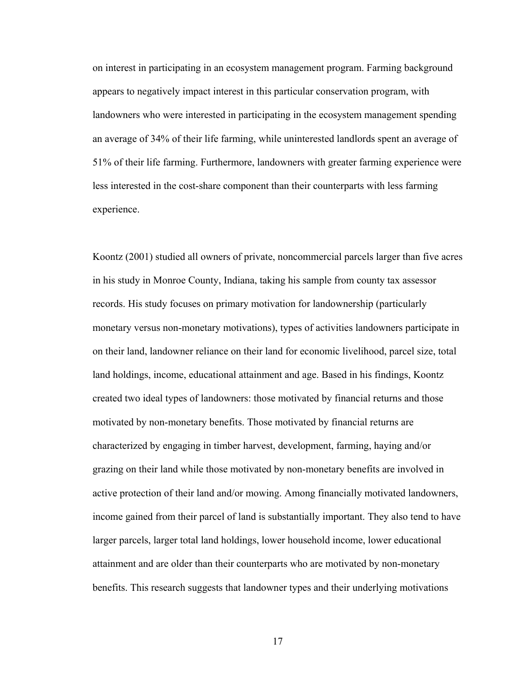on interest in participating in an ecosystem management program. Farming background appears to negatively impact interest in this particular conservation program, with landowners who were interested in participating in the ecosystem management spending an average of 34% of their life farming, while uninterested landlords spent an average of 51% of their life farming. Furthermore, landowners with greater farming experience were less interested in the cost-share component than their counterparts with less farming experience.

Koontz (2001) studied all owners of private, noncommercial parcels larger than five acres in his study in Monroe County, Indiana, taking his sample from county tax assessor records. His study focuses on primary motivation for landownership (particularly monetary versus non-monetary motivations), types of activities landowners participate in on their land, landowner reliance on their land for economic livelihood, parcel size, total land holdings, income, educational attainment and age. Based in his findings, Koontz created two ideal types of landowners: those motivated by financial returns and those motivated by non-monetary benefits. Those motivated by financial returns are characterized by engaging in timber harvest, development, farming, haying and/or grazing on their land while those motivated by non-monetary benefits are involved in active protection of their land and/or mowing. Among financially motivated landowners, income gained from their parcel of land is substantially important. They also tend to have larger parcels, larger total land holdings, lower household income, lower educational attainment and are older than their counterparts who are motivated by non-monetary benefits. This research suggests that landowner types and their underlying motivations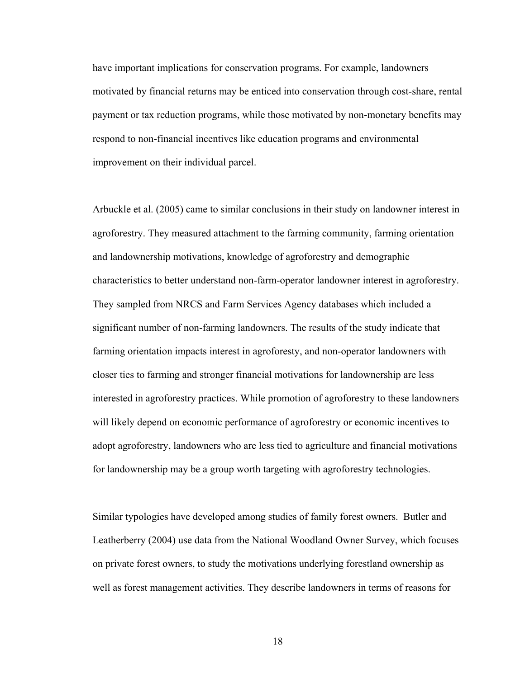have important implications for conservation programs. For example, landowners motivated by financial returns may be enticed into conservation through cost-share, rental payment or tax reduction programs, while those motivated by non-monetary benefits may respond to non-financial incentives like education programs and environmental improvement on their individual parcel.

Arbuckle et al. (2005) came to similar conclusions in their study on landowner interest in agroforestry. They measured attachment to the farming community, farming orientation and landownership motivations, knowledge of agroforestry and demographic characteristics to better understand non-farm-operator landowner interest in agroforestry. They sampled from NRCS and Farm Services Agency databases which included a significant number of non-farming landowners. The results of the study indicate that farming orientation impacts interest in agroforesty, and non-operator landowners with closer ties to farming and stronger financial motivations for landownership are less interested in agroforestry practices. While promotion of agroforestry to these landowners will likely depend on economic performance of agroforestry or economic incentives to adopt agroforestry, landowners who are less tied to agriculture and financial motivations for landownership may be a group worth targeting with agroforestry technologies.

Similar typologies have developed among studies of family forest owners. Butler and Leatherberry (2004) use data from the National Woodland Owner Survey, which focuses on private forest owners, to study the motivations underlying forestland ownership as well as forest management activities. They describe landowners in terms of reasons for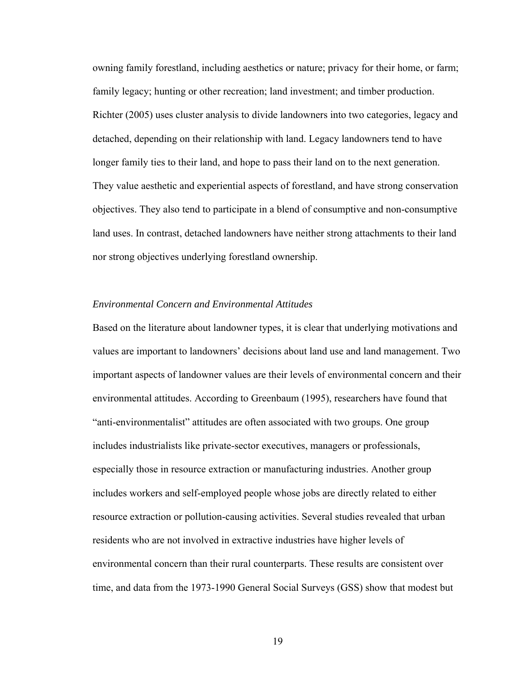owning family forestland, including aesthetics or nature; privacy for their home, or farm; family legacy; hunting or other recreation; land investment; and timber production. Richter (2005) uses cluster analysis to divide landowners into two categories, legacy and detached, depending on their relationship with land. Legacy landowners tend to have longer family ties to their land, and hope to pass their land on to the next generation. They value aesthetic and experiential aspects of forestland, and have strong conservation objectives. They also tend to participate in a blend of consumptive and non-consumptive land uses. In contrast, detached landowners have neither strong attachments to their land nor strong objectives underlying forestland ownership.

## *Environmental Concern and Environmental Attitudes*

Based on the literature about landowner types, it is clear that underlying motivations and values are important to landowners' decisions about land use and land management. Two important aspects of landowner values are their levels of environmental concern and their environmental attitudes. According to Greenbaum (1995), researchers have found that "anti-environmentalist" attitudes are often associated with two groups. One group includes industrialists like private-sector executives, managers or professionals, especially those in resource extraction or manufacturing industries. Another group includes workers and self-employed people whose jobs are directly related to either resource extraction or pollution-causing activities. Several studies revealed that urban residents who are not involved in extractive industries have higher levels of environmental concern than their rural counterparts. These results are consistent over time, and data from the 1973-1990 General Social Surveys (GSS) show that modest but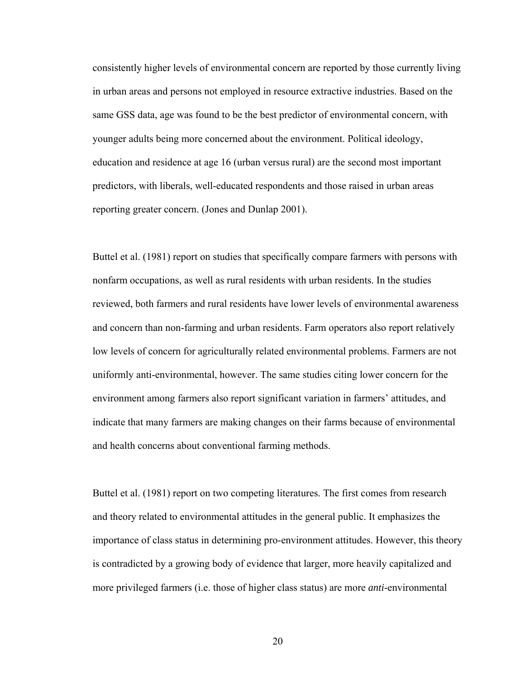consistently higher levels of environmental concern are reported by those currently living in urban areas and persons not employed in resource extractive industries. Based on the same GSS data, age was found to be the best predictor of environmental concern, with younger adults being more concerned about the environment. Political ideology, education and residence at age 16 (urban versus rural) are the second most important predictors, with liberals, well-educated respondents and those raised in urban areas reporting greater concern. (Jones and Dunlap 2001).

Buttel et al. (1981) report on studies that specifically compare farmers with persons with nonfarm occupations, as well as rural residents with urban residents. In the studies reviewed, both farmers and rural residents have lower levels of environmental awareness and concern than non-farming and urban residents. Farm operators also report relatively low levels of concern for agriculturally related environmental problems. Farmers are not uniformly anti-environmental, however. The same studies citing lower concern for the environment among farmers also report significant variation in farmers' attitudes, and indicate that many farmers are making changes on their farms because of environmental and health concerns about conventional farming methods.

Buttel et al. (1981) report on two competing literatures. The first comes from research and theory related to environmental attitudes in the general public. It emphasizes the importance of class status in determining pro-environment attitudes. However, this theory is contradicted by a growing body of evidence that larger, more heavily capitalized and more privileged farmers (i.e. those of higher class status) are more *anti-*environmental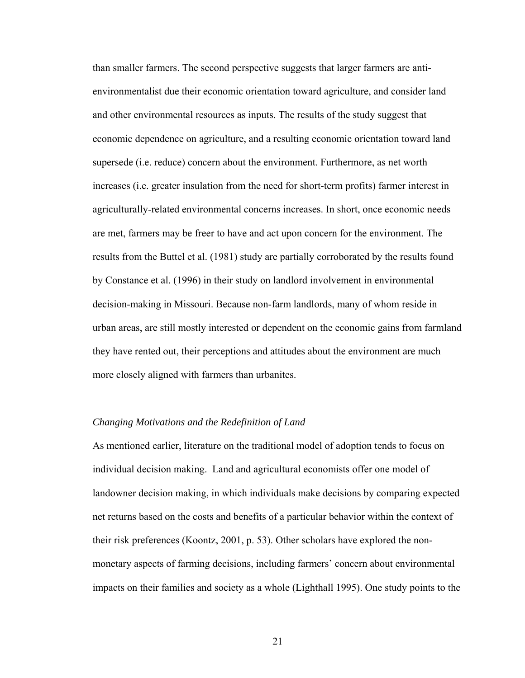than smaller farmers. The second perspective suggests that larger farmers are antienvironmentalist due their economic orientation toward agriculture, and consider land and other environmental resources as inputs. The results of the study suggest that economic dependence on agriculture, and a resulting economic orientation toward land supersede (i.e. reduce) concern about the environment. Furthermore, as net worth increases (i.e. greater insulation from the need for short-term profits) farmer interest in agriculturally-related environmental concerns increases. In short, once economic needs are met, farmers may be freer to have and act upon concern for the environment. The results from the Buttel et al. (1981) study are partially corroborated by the results found by Constance et al. (1996) in their study on landlord involvement in environmental decision-making in Missouri. Because non-farm landlords, many of whom reside in urban areas, are still mostly interested or dependent on the economic gains from farmland they have rented out, their perceptions and attitudes about the environment are much more closely aligned with farmers than urbanites.

## *Changing Motivations and the Redefinition of Land*

As mentioned earlier, literature on the traditional model of adoption tends to focus on individual decision making. Land and agricultural economists offer one model of landowner decision making, in which individuals make decisions by comparing expected net returns based on the costs and benefits of a particular behavior within the context of their risk preferences (Koontz, 2001, p. 53). Other scholars have explored the nonmonetary aspects of farming decisions, including farmers' concern about environmental impacts on their families and society as a whole (Lighthall 1995). One study points to the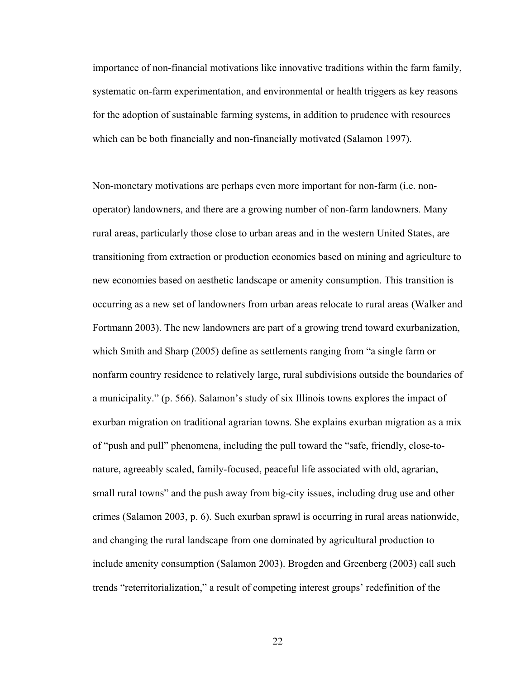importance of non-financial motivations like innovative traditions within the farm family, systematic on-farm experimentation, and environmental or health triggers as key reasons for the adoption of sustainable farming systems, in addition to prudence with resources which can be both financially and non-financially motivated (Salamon 1997).

Non-monetary motivations are perhaps even more important for non-farm (i.e. nonoperator) landowners, and there are a growing number of non-farm landowners. Many rural areas, particularly those close to urban areas and in the western United States, are transitioning from extraction or production economies based on mining and agriculture to new economies based on aesthetic landscape or amenity consumption. This transition is occurring as a new set of landowners from urban areas relocate to rural areas (Walker and Fortmann 2003). The new landowners are part of a growing trend toward exurbanization, which Smith and Sharp (2005) define as settlements ranging from "a single farm or nonfarm country residence to relatively large, rural subdivisions outside the boundaries of a municipality." (p. 566). Salamon's study of six Illinois towns explores the impact of exurban migration on traditional agrarian towns. She explains exurban migration as a mix of "push and pull" phenomena, including the pull toward the "safe, friendly, close-tonature, agreeably scaled, family-focused, peaceful life associated with old, agrarian, small rural towns" and the push away from big-city issues, including drug use and other crimes (Salamon 2003, p. 6). Such exurban sprawl is occurring in rural areas nationwide, and changing the rural landscape from one dominated by agricultural production to include amenity consumption (Salamon 2003). Brogden and Greenberg (2003) call such trends "reterritorialization," a result of competing interest groups' redefinition of the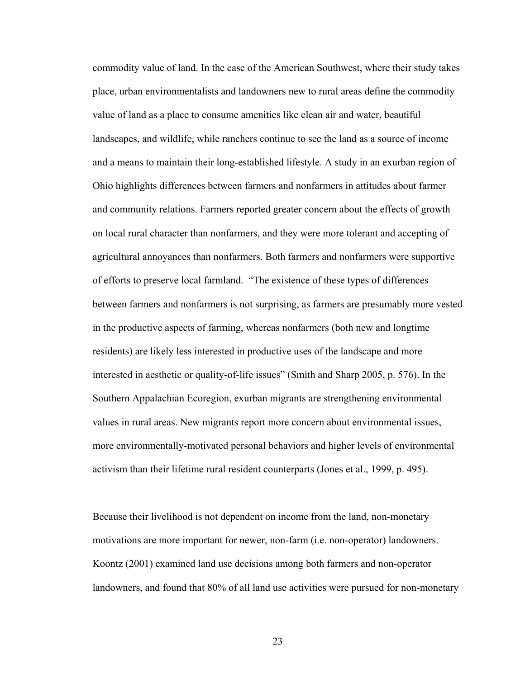commodity value of land. In the case of the American Southwest, where their study takes place, urban environmentalists and landowners new to rural areas define the commodity value of land as a place to consume amenities like clean air and water, beautiful landscapes, and wildlife, while ranchers continue to see the land as a source of income and a means to maintain their long-established lifestyle. A study in an exurban region of Ohio highlights differences between farmers and nonfarmers in attitudes about farmer and community relations. Farmers reported greater concern about the effects of growth on local rural character than nonfarmers, and they were more tolerant and accepting of agricultural annoyances than nonfarmers. Both farmers and nonfarmers were supportive of efforts to preserve local farmland. "The existence of these types of differences between farmers and nonfarmers is not surprising, as farmers are presumably more vested in the productive aspects of farming, whereas nonfarmers (both new and longtime residents) are likely less interested in productive uses of the landscape and more interested in aesthetic or quality-of-life issues" (Smith and Sharp 2005, p. 576). In the Southern Appalachian Ecoregion, exurban migrants are strengthening environmental values in rural areas. New migrants report more concern about environmental issues, more environmentally-motivated personal behaviors and higher levels of environmental activism than their lifetime rural resident counterparts (Jones et al., 1999, p. 495).

Because their livelihood is not dependent on income from the land, non-monetary motivations are more important for newer, non-farm (i.e. non-operator) landowners. Koontz (2001) examined land use decisions among both farmers and non-operator landowners, and found that 80% of all land use activities were pursued for non-monetary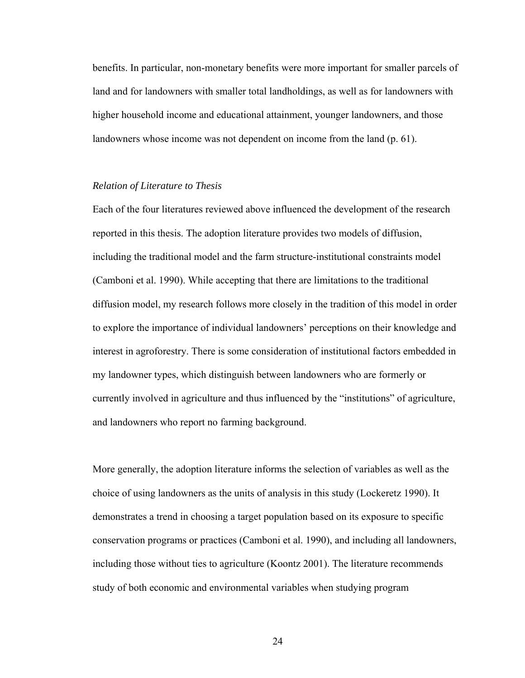benefits. In particular, non-monetary benefits were more important for smaller parcels of land and for landowners with smaller total landholdings, as well as for landowners with higher household income and educational attainment, younger landowners, and those landowners whose income was not dependent on income from the land (p. 61).

## *Relation of Literature to Thesis*

Each of the four literatures reviewed above influenced the development of the research reported in this thesis. The adoption literature provides two models of diffusion, including the traditional model and the farm structure-institutional constraints model (Camboni et al. 1990). While accepting that there are limitations to the traditional diffusion model, my research follows more closely in the tradition of this model in order to explore the importance of individual landowners' perceptions on their knowledge and interest in agroforestry. There is some consideration of institutional factors embedded in my landowner types, which distinguish between landowners who are formerly or currently involved in agriculture and thus influenced by the "institutions" of agriculture, and landowners who report no farming background.

More generally, the adoption literature informs the selection of variables as well as the choice of using landowners as the units of analysis in this study (Lockeretz 1990). It demonstrates a trend in choosing a target population based on its exposure to specific conservation programs or practices (Camboni et al. 1990), and including all landowners, including those without ties to agriculture (Koontz 2001). The literature recommends study of both economic and environmental variables when studying program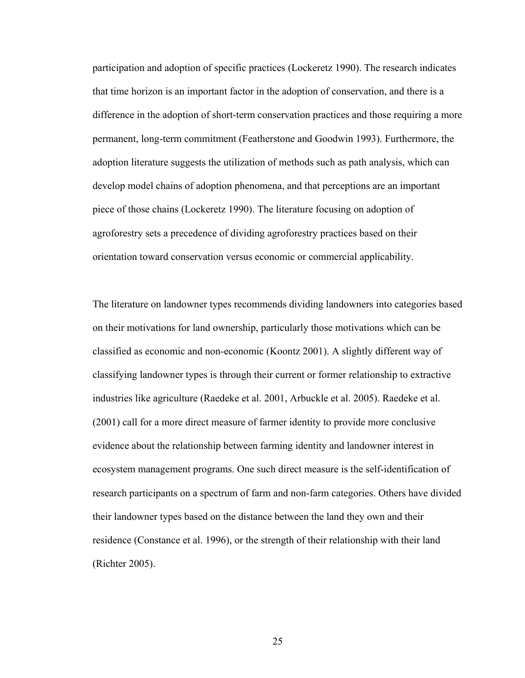participation and adoption of specific practices (Lockeretz 1990). The research indicates that time horizon is an important factor in the adoption of conservation, and there is a difference in the adoption of short-term conservation practices and those requiring a more permanent, long-term commitment (Featherstone and Goodwin 1993). Furthermore, the adoption literature suggests the utilization of methods such as path analysis, which can develop model chains of adoption phenomena, and that perceptions are an important piece of those chains (Lockeretz 1990). The literature focusing on adoption of agroforestry sets a precedence of dividing agroforestry practices based on their orientation toward conservation versus economic or commercial applicability.

The literature on landowner types recommends dividing landowners into categories based on their motivations for land ownership, particularly those motivations which can be classified as economic and non-economic (Koontz 2001). A slightly different way of classifying landowner types is through their current or former relationship to extractive industries like agriculture (Raedeke et al. 2001, Arbuckle et al. 2005). Raedeke et al. (2001) call for a more direct measure of farmer identity to provide more conclusive evidence about the relationship between farming identity and landowner interest in ecosystem management programs. One such direct measure is the self-identification of research participants on a spectrum of farm and non-farm categories. Others have divided their landowner types based on the distance between the land they own and their residence (Constance et al. 1996), or the strength of their relationship with their land (Richter 2005).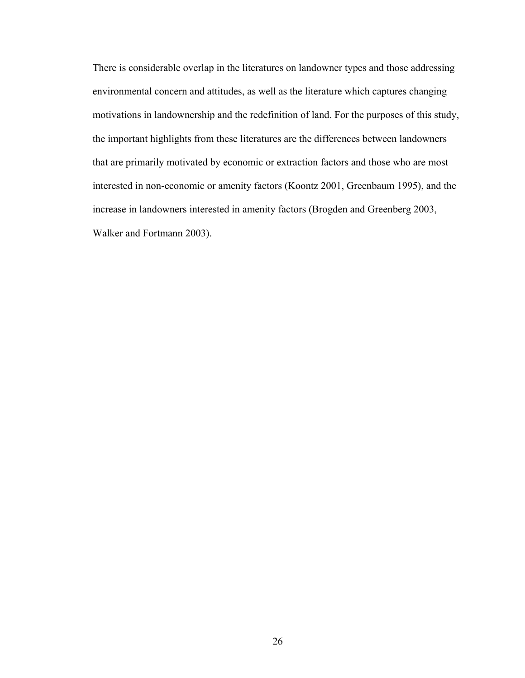There is considerable overlap in the literatures on landowner types and those addressing environmental concern and attitudes, as well as the literature which captures changing motivations in landownership and the redefinition of land. For the purposes of this study, the important highlights from these literatures are the differences between landowners that are primarily motivated by economic or extraction factors and those who are most interested in non-economic or amenity factors (Koontz 2001, Greenbaum 1995), and the increase in landowners interested in amenity factors (Brogden and Greenberg 2003, Walker and Fortmann 2003).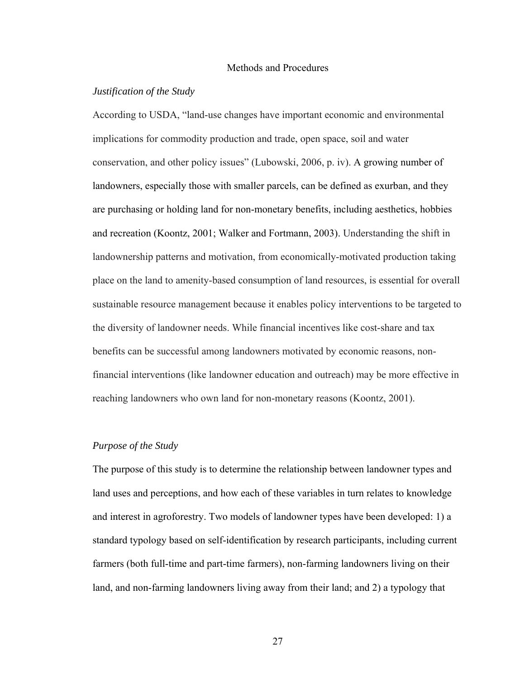#### Methods and Procedures

## *Justification of the Study*

According to USDA, "land-use changes have important economic and environmental implications for commodity production and trade, open space, soil and water conservation, and other policy issues" (Lubowski, 2006, p. iv). A growing number of landowners, especially those with smaller parcels, can be defined as exurban, and they are purchasing or holding land for non-monetary benefits, including aesthetics, hobbies and recreation (Koontz, 2001; Walker and Fortmann, 2003). Understanding the shift in landownership patterns and motivation, from economically-motivated production taking place on the land to amenity-based consumption of land resources, is essential for overall sustainable resource management because it enables policy interventions to be targeted to the diversity of landowner needs. While financial incentives like cost-share and tax benefits can be successful among landowners motivated by economic reasons, nonfinancial interventions (like landowner education and outreach) may be more effective in reaching landowners who own land for non-monetary reasons (Koontz, 2001).

## *Purpose of the Study*

The purpose of this study is to determine the relationship between landowner types and land uses and perceptions, and how each of these variables in turn relates to knowledge and interest in agroforestry. Two models of landowner types have been developed: 1) a standard typology based on self-identification by research participants, including current farmers (both full-time and part-time farmers), non-farming landowners living on their land, and non-farming landowners living away from their land; and 2) a typology that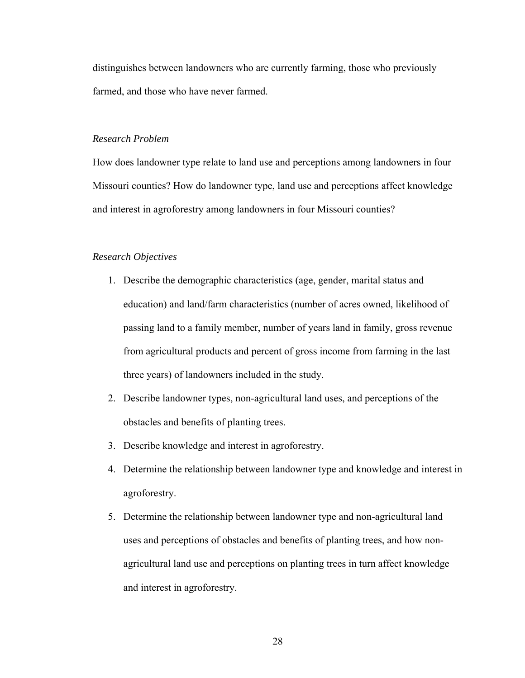distinguishes between landowners who are currently farming, those who previously farmed, and those who have never farmed.

## *Research Problem*

How does landowner type relate to land use and perceptions among landowners in four Missouri counties? How do landowner type, land use and perceptions affect knowledge and interest in agroforestry among landowners in four Missouri counties?

## *Research Objectives*

- 1. Describe the demographic characteristics (age, gender, marital status and education) and land/farm characteristics (number of acres owned, likelihood of passing land to a family member, number of years land in family, gross revenue from agricultural products and percent of gross income from farming in the last three years) of landowners included in the study.
- 2. Describe landowner types, non-agricultural land uses, and perceptions of the obstacles and benefits of planting trees.
- 3. Describe knowledge and interest in agroforestry.
- 4. Determine the relationship between landowner type and knowledge and interest in agroforestry.
- 5. Determine the relationship between landowner type and non-agricultural land uses and perceptions of obstacles and benefits of planting trees, and how nonagricultural land use and perceptions on planting trees in turn affect knowledge and interest in agroforestry.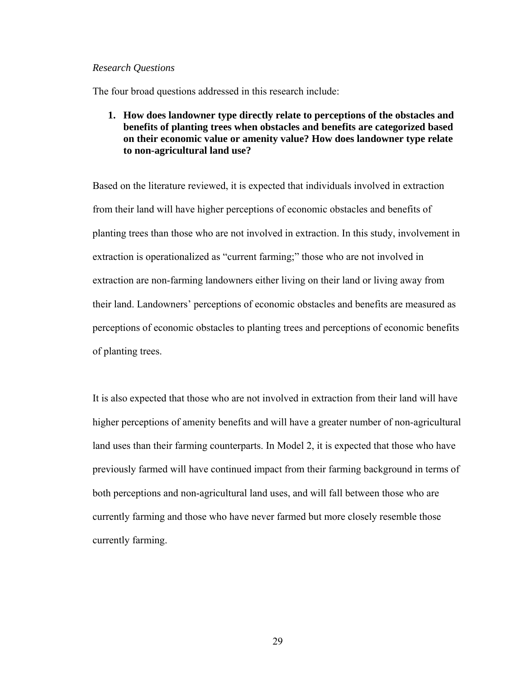## *Research Questions*

The four broad questions addressed in this research include:

**1. How does landowner type directly relate to perceptions of the obstacles and benefits of planting trees when obstacles and benefits are categorized based on their economic value or amenity value? How does landowner type relate to non-agricultural land use?** 

Based on the literature reviewed, it is expected that individuals involved in extraction from their land will have higher perceptions of economic obstacles and benefits of planting trees than those who are not involved in extraction. In this study, involvement in extraction is operationalized as "current farming;" those who are not involved in extraction are non-farming landowners either living on their land or living away from their land. Landowners' perceptions of economic obstacles and benefits are measured as perceptions of economic obstacles to planting trees and perceptions of economic benefits of planting trees.

It is also expected that those who are not involved in extraction from their land will have higher perceptions of amenity benefits and will have a greater number of non-agricultural land uses than their farming counterparts. In Model 2, it is expected that those who have previously farmed will have continued impact from their farming background in terms of both perceptions and non-agricultural land uses, and will fall between those who are currently farming and those who have never farmed but more closely resemble those currently farming.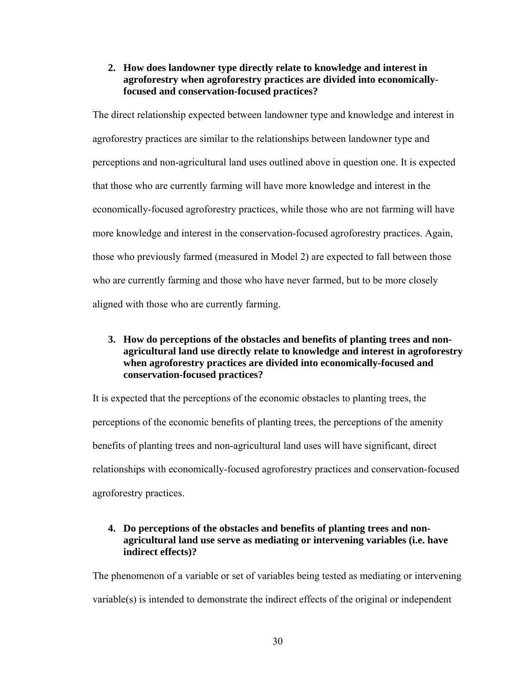**2. How does landowner type directly relate to knowledge and interest in agroforestry when agroforestry practices are divided into economicallyfocused and conservation-focused practices?** 

The direct relationship expected between landowner type and knowledge and interest in agroforestry practices are similar to the relationships between landowner type and perceptions and non-agricultural land uses outlined above in question one. It is expected that those who are currently farming will have more knowledge and interest in the economically-focused agroforestry practices, while those who are not farming will have more knowledge and interest in the conservation-focused agroforestry practices. Again, those who previously farmed (measured in Model 2) are expected to fall between those who are currently farming and those who have never farmed, but to be more closely aligned with those who are currently farming.

**3. How do perceptions of the obstacles and benefits of planting trees and nonagricultural land use directly relate to knowledge and interest in agroforestry when agroforestry practices are divided into economically-focused and conservation-focused practices?** 

It is expected that the perceptions of the economic obstacles to planting trees, the perceptions of the economic benefits of planting trees, the perceptions of the amenity benefits of planting trees and non-agricultural land uses will have significant, direct relationships with economically-focused agroforestry practices and conservation-focused agroforestry practices.

## **4. Do perceptions of the obstacles and benefits of planting trees and nonagricultural land use serve as mediating or intervening variables (i.e. have indirect effects)?**

The phenomenon of a variable or set of variables being tested as mediating or intervening variable(s) is intended to demonstrate the indirect effects of the original or independent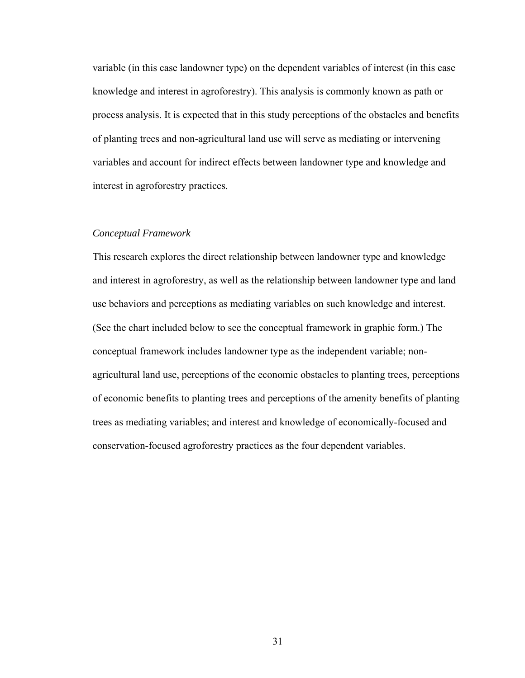variable (in this case landowner type) on the dependent variables of interest (in this case knowledge and interest in agroforestry). This analysis is commonly known as path or process analysis. It is expected that in this study perceptions of the obstacles and benefits of planting trees and non-agricultural land use will serve as mediating or intervening variables and account for indirect effects between landowner type and knowledge and interest in agroforestry practices.

## *Conceptual Framework*

This research explores the direct relationship between landowner type and knowledge and interest in agroforestry, as well as the relationship between landowner type and land use behaviors and perceptions as mediating variables on such knowledge and interest. (See the chart included below to see the conceptual framework in graphic form.) The conceptual framework includes landowner type as the independent variable; nonagricultural land use, perceptions of the economic obstacles to planting trees, perceptions of economic benefits to planting trees and perceptions of the amenity benefits of planting trees as mediating variables; and interest and knowledge of economically-focused and conservation-focused agroforestry practices as the four dependent variables.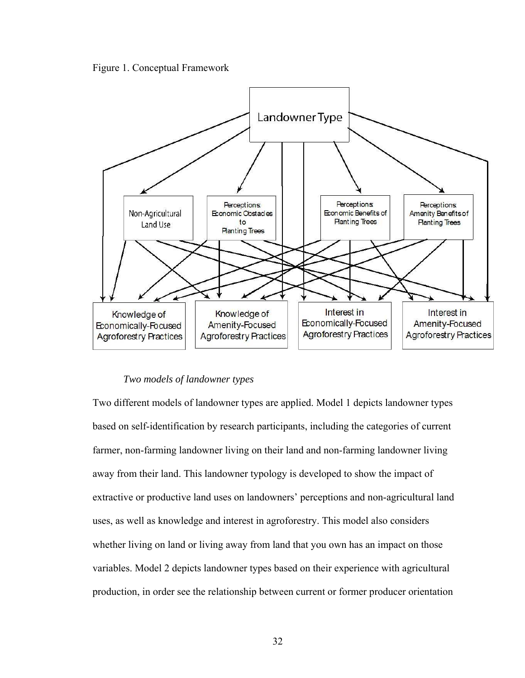



## *Two models of landowner types*

Two different models of landowner types are applied. Model 1 depicts landowner types based on self-identification by research participants, including the categories of current farmer, non-farming landowner living on their land and non-farming landowner living away from their land. This landowner typology is developed to show the impact of extractive or productive land uses on landowners' perceptions and non-agricultural land uses, as well as knowledge and interest in agroforestry. This model also considers whether living on land or living away from land that you own has an impact on those variables. Model 2 depicts landowner types based on their experience with agricultural production, in order see the relationship between current or former producer orientation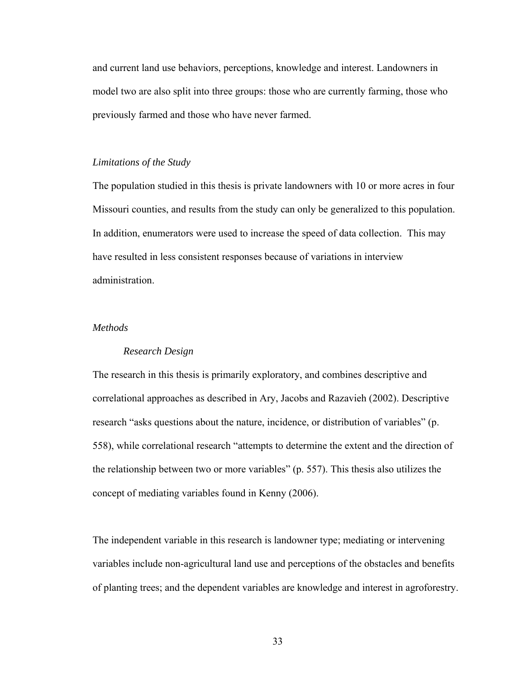and current land use behaviors, perceptions, knowledge and interest. Landowners in model two are also split into three groups: those who are currently farming, those who previously farmed and those who have never farmed.

#### *Limitations of the Study*

The population studied in this thesis is private landowners with 10 or more acres in four Missouri counties, and results from the study can only be generalized to this population. In addition, enumerators were used to increase the speed of data collection. This may have resulted in less consistent responses because of variations in interview administration.

## *Methods*

#### *Research Design*

The research in this thesis is primarily exploratory, and combines descriptive and correlational approaches as described in Ary, Jacobs and Razavieh (2002). Descriptive research "asks questions about the nature, incidence, or distribution of variables" (p. 558), while correlational research "attempts to determine the extent and the direction of the relationship between two or more variables" (p. 557). This thesis also utilizes the concept of mediating variables found in Kenny (2006).

The independent variable in this research is landowner type; mediating or intervening variables include non-agricultural land use and perceptions of the obstacles and benefits of planting trees; and the dependent variables are knowledge and interest in agroforestry.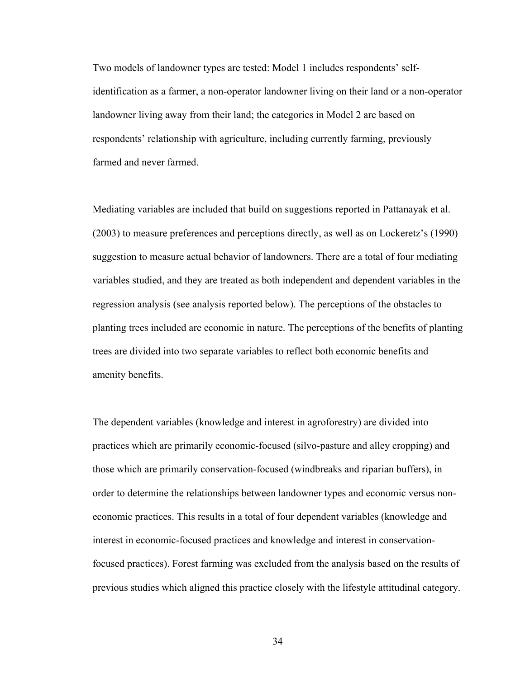Two models of landowner types are tested: Model 1 includes respondents' selfidentification as a farmer, a non-operator landowner living on their land or a non-operator landowner living away from their land; the categories in Model 2 are based on respondents' relationship with agriculture, including currently farming, previously farmed and never farmed.

Mediating variables are included that build on suggestions reported in Pattanayak et al. (2003) to measure preferences and perceptions directly, as well as on Lockeretz's (1990) suggestion to measure actual behavior of landowners. There are a total of four mediating variables studied, and they are treated as both independent and dependent variables in the regression analysis (see analysis reported below). The perceptions of the obstacles to planting trees included are economic in nature. The perceptions of the benefits of planting trees are divided into two separate variables to reflect both economic benefits and amenity benefits.

The dependent variables (knowledge and interest in agroforestry) are divided into practices which are primarily economic-focused (silvo-pasture and alley cropping) and those which are primarily conservation-focused (windbreaks and riparian buffers), in order to determine the relationships between landowner types and economic versus noneconomic practices. This results in a total of four dependent variables (knowledge and interest in economic-focused practices and knowledge and interest in conservationfocused practices). Forest farming was excluded from the analysis based on the results of previous studies which aligned this practice closely with the lifestyle attitudinal category.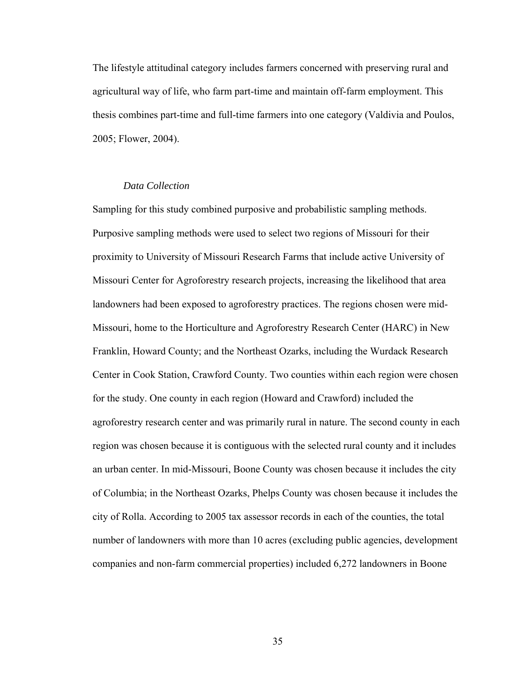The lifestyle attitudinal category includes farmers concerned with preserving rural and agricultural way of life, who farm part-time and maintain off-farm employment. This thesis combines part-time and full-time farmers into one category (Valdivia and Poulos, 2005; Flower, 2004).

## *Data Collection*

Sampling for this study combined purposive and probabilistic sampling methods. Purposive sampling methods were used to select two regions of Missouri for their proximity to University of Missouri Research Farms that include active University of Missouri Center for Agroforestry research projects, increasing the likelihood that area landowners had been exposed to agroforestry practices. The regions chosen were mid-Missouri, home to the Horticulture and Agroforestry Research Center (HARC) in New Franklin, Howard County; and the Northeast Ozarks, including the Wurdack Research Center in Cook Station, Crawford County. Two counties within each region were chosen for the study. One county in each region (Howard and Crawford) included the agroforestry research center and was primarily rural in nature. The second county in each region was chosen because it is contiguous with the selected rural county and it includes an urban center. In mid-Missouri, Boone County was chosen because it includes the city of Columbia; in the Northeast Ozarks, Phelps County was chosen because it includes the city of Rolla. According to 2005 tax assessor records in each of the counties, the total number of landowners with more than 10 acres (excluding public agencies, development companies and non-farm commercial properties) included 6,272 landowners in Boone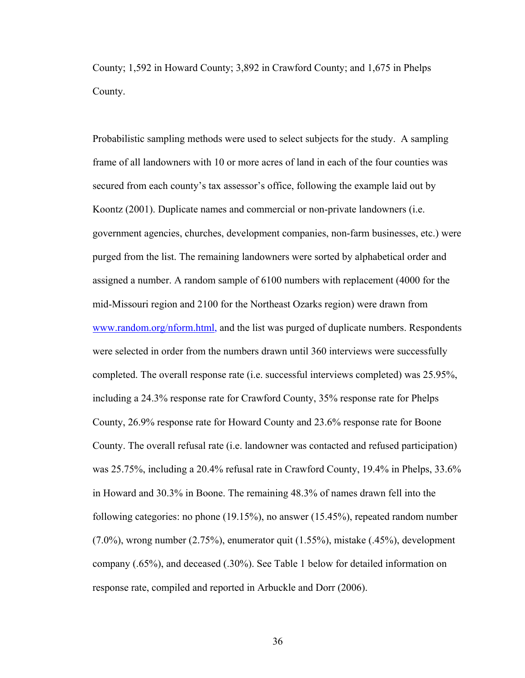County; 1,592 in Howard County; 3,892 in Crawford County; and 1,675 in Phelps County.

Probabilistic sampling methods were used to select subjects for the study. A sampling frame of all landowners with 10 or more acres of land in each of the four counties was secured from each county's tax assessor's office, following the example laid out by Koontz (2001). Duplicate names and commercial or non-private landowners (i.e. government agencies, churches, development companies, non-farm businesses, etc.) were purged from the list. The remaining landowners were sorted by alphabetical order and assigned a number. A random sample of 6100 numbers with replacement (4000 for the mid-Missouri region and 2100 for the Northeast Ozarks region) were drawn from [www.random.org/nform.html](http://www.randon.org/nform.html), and the list was purged of duplicate numbers. Respondents were selected in order from the numbers drawn until 360 interviews were successfully completed. The overall response rate (i.e. successful interviews completed) was 25.95%, including a 24.3% response rate for Crawford County, 35% response rate for Phelps County, 26.9% response rate for Howard County and 23.6% response rate for Boone County. The overall refusal rate (i.e. landowner was contacted and refused participation) was 25.75%, including a 20.4% refusal rate in Crawford County, 19.4% in Phelps, 33.6% in Howard and 30.3% in Boone. The remaining 48.3% of names drawn fell into the following categories: no phone (19.15%), no answer (15.45%), repeated random number  $(7.0\%)$ , wrong number  $(2.75\%)$ , enumerator quit  $(1.55\%)$ , mistake  $(0.45\%)$ , development company (.65%), and deceased (.30%). See Table 1 below for detailed information on response rate, compiled and reported in Arbuckle and Dorr (2006).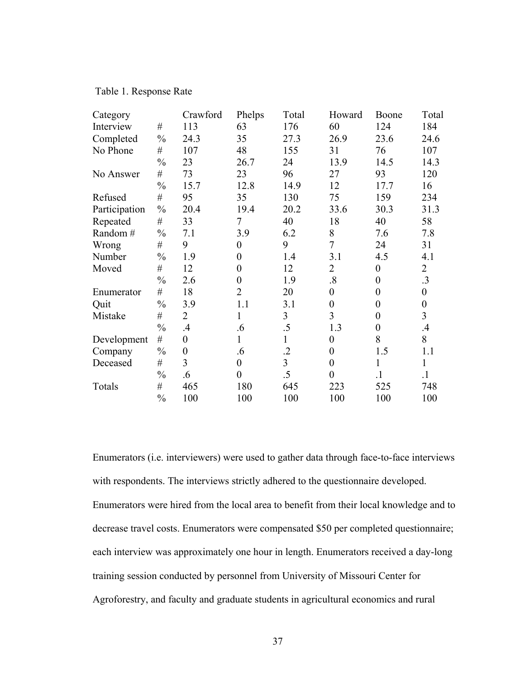## Table 1. Response Rate

| Category      |               | Crawford         | Phelps           | Total          | Howard            | Boone            | Total            |
|---------------|---------------|------------------|------------------|----------------|-------------------|------------------|------------------|
| Interview     | $\#$          | 113              | 63               | 176            | 60                | 124              | 184              |
| Completed     | $\frac{0}{0}$ | 24.3             | 35               | 27.3           | 26.9              | 23.6             | 24.6             |
| No Phone      | $\#$          | 107              | 48               | 155            | 31                | 76               | 107              |
|               | $\frac{0}{0}$ | 23               | 26.7             | 24             | 13.9              | 14.5             | 14.3             |
| No Answer     | $\#$          | 73               | 23               | 96             | 27                | 93               | 120              |
|               | $\frac{0}{0}$ | 15.7             | 12.8             | 14.9           | 12                | 17.7             | 16               |
| Refused       | $\#$          | 95               | 35               | 130            | 75                | 159              | 234              |
| Participation | $\frac{0}{0}$ | 20.4             | 19.4             | 20.2           | 33.6              | 30.3             | 31.3             |
| Repeated      | $\#$          | 33               | 7                | 40             | 18                | 40               | 58               |
| Random #      | $\frac{0}{0}$ | 7.1              | 3.9              | 6.2            | 8                 | 7.6              | 7.8              |
| Wrong         | $\#$          | 9                | $\theta$         | 9              | $\overline{7}$    | 24               | 31               |
| Number        | $\frac{0}{0}$ | 1.9              | $\overline{0}$   | 1.4            | 3.1               | 4.5              | 4.1              |
| Moved         | $\#$          | 12               | $\overline{0}$   | 12             | $\overline{2}$    | $\boldsymbol{0}$ | $\overline{2}$   |
|               | $\frac{0}{0}$ | 2.6              | $\overline{0}$   | 1.9            | $\boldsymbol{.8}$ | $\boldsymbol{0}$ | .3               |
| Enumerator    | $\#$          | 18               | $\overline{2}$   | 20             | $\theta$          | $\boldsymbol{0}$ | $\boldsymbol{0}$ |
| Quit          | $\frac{0}{0}$ | 3.9              | 1.1              | 3.1            | $\boldsymbol{0}$  | $\boldsymbol{0}$ | $\boldsymbol{0}$ |
| Mistake       | $\#$          | $\overline{2}$   | 1                | 3              | 3                 | $\boldsymbol{0}$ | 3                |
|               | $\frac{0}{0}$ | $.4\,$           | .6               | .5             | 1.3               | $\boldsymbol{0}$ | $\overline{A}$   |
| Development   | $\#$          | $\overline{0}$   | 1                | $\mathbf{1}$   | $\boldsymbol{0}$  | 8                | 8                |
| Company       | $\frac{0}{0}$ | $\boldsymbol{0}$ | .6               | $\cdot$        | $\boldsymbol{0}$  | 1.5              | 1.1              |
| Deceased      | $\#$          | 3                | $\boldsymbol{0}$ | $\overline{3}$ | $\overline{0}$    | $\mathbf{1}$     | 1                |
|               | $\frac{0}{0}$ | .6               | $\overline{0}$   | $.5\,$         | $\theta$          | $\overline{1}$   | $\cdot$          |
| Totals        | $\#$          | 465              | 180              | 645            | 223               | 525              | 748              |
|               | $\frac{0}{0}$ | 100              | 100              | 100            | 100               | 100              | 100              |

Enumerators (i.e. interviewers) were used to gather data through face-to-face interviews with respondents. The interviews strictly adhered to the questionnaire developed. Enumerators were hired from the local area to benefit from their local knowledge and to decrease travel costs. Enumerators were compensated \$50 per completed questionnaire; each interview was approximately one hour in length. Enumerators received a day-long training session conducted by personnel from University of Missouri Center for Agroforestry, and faculty and graduate students in agricultural economics and rural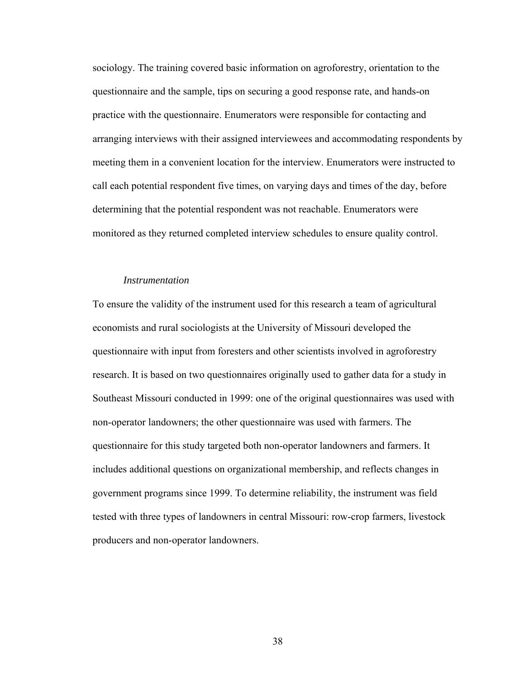sociology. The training covered basic information on agroforestry, orientation to the questionnaire and the sample, tips on securing a good response rate, and hands-on practice with the questionnaire. Enumerators were responsible for contacting and arranging interviews with their assigned interviewees and accommodating respon dents by meeting them in a convenient location for the interview. Enumerators were instructe d to call each potential respondent five times, on varying days and times of the day, before determining that the potential respondent was not reachable. Enumerators were monitored as they returned completed interview schedules to ensure quality contro l.

## *Instrumentation*

To ensure the validity of the instrument used for this research a team of agricultural economists and rural sociologists at the University of Missouri developed the questionnaire with input from foresters and other scientists involved in agroforestry research. It is based on two questionnaires originally used to gather data for a study in Southeast Missouri conducted in 1999: one of the original questionnaires was used with questionnaire for this study targeted both non-operator landowners and farmers. It non-operator landowners; the other questionnaire was used with farmers. The includes additional questions on organizational membership, and reflects changes in government programs since 1999. To determine reliability, the instrument was field tested with three types of landowners in central Missouri: row-crop farmers, livestock producers and non-operator landowners.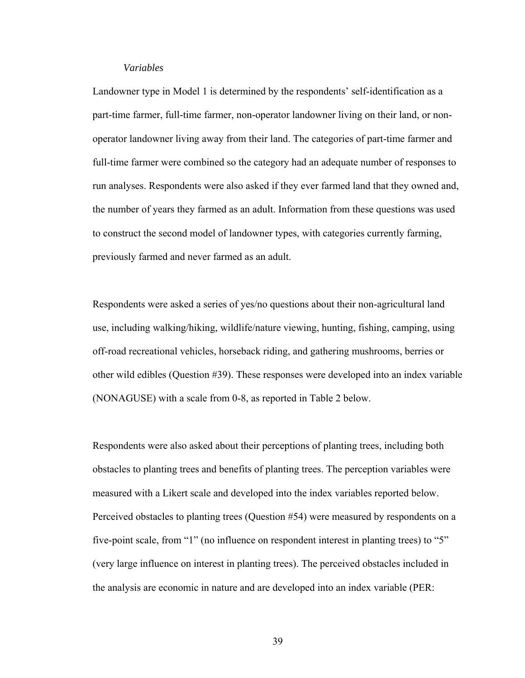## *Variables*

Landowner type in Model 1 is determined by the respondents' self-identification as a part-time farmer, full-time farmer, non-operator landowner living on their land, or nonoperator landowner living away from their land. The categories of part-time farmer and full-time farmer were combined so the category had an adequate number of responses to run analyses. Respondents were also asked if they ever farmed land that they owned and, the number of years they farmed as an adult. Information from these questions was used to construct the second model of landowner types, with categories currently farming, previously farmed and never farmed as an adult.

other wild edibles (Question #39). These responses were developed into an index variable (NONAGUSE) with a scale from 0-8, as reported in Table 2 below. Respondents were asked a series of yes/no questions about their non-agricultural land use, including walking/hiking, wildlife/nature viewing, hunting, fishing, camping, using off-road recreational vehicles, horseback riding, and gathering mushrooms, berries or

Perceived obstacles to planting trees (Question #54) were measured by respondents on a five-point scale, from "1" (no influence on respondent interest in planting trees) to "5" Respondents were also asked about their perceptions of planting trees, including both obstacles to planting trees and benefits of planting trees. The perception variables were measured with a Likert scale and developed into the index variables reported below. (very large influence on interest in planting trees). The perceived obstacles included in the analysis are economic in nature and are developed into an index variable (PER: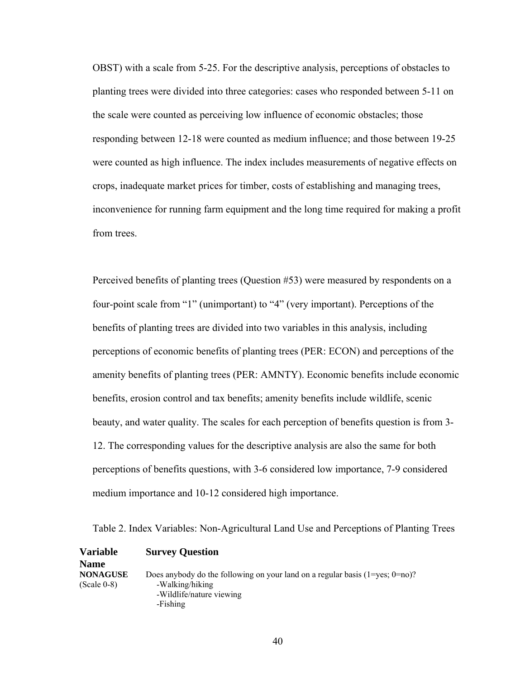OBST) with a scale from 5-25. For the descriptive analysis, perceptions of obstacles t o planting trees were divided into three categories: cases who responded between 5-11 on the scale were counted as perceiving low influence of economic obstacles; those responding between 12-18 were counted as medium influence; and those between 19-25 were counted as high influence. The index includes measurements of negative effect s on crops, inadequate market prices for timber, costs of establishing and managing trees, inconvenience for running farm equipment and the long time required for making a profi t from trees.

Perceived benefits of planting trees (Question #53) were measured by respondents on a four-point scale from "1" (unimportant) to "4" (very important). Perceptions of the benefits of planting trees are divided into two variables in this analysis, including perceptions o f economic benefits of planting trees (PER: ECON) and perceptions of the menity benefits of planting trees (PER: AMNTY). Economic benefits include economic a beauty, and water quality. The scales for each perception of benefits question is from 3benefits, erosion control and tax benefits; amenity benefits include wildlife, scenic 12. The corresponding values for the descriptive analysis are also the same for both perceptions of benefits questions, with 3-6 considered low importance, 7-9 considered medium importance and 10-12 considered high importance.

Table 2. Index Variables: Non-Agricultural Land Use and Perceptions of Planting Trees

| <b>Variable</b>                  | <b>Survey Question</b>                                                                                 |
|----------------------------------|--------------------------------------------------------------------------------------------------------|
| <b>Name</b>                      |                                                                                                        |
| <b>NONAGUSE</b><br>$(Scale 0-8)$ | Does anybody do the following on your land on a regular basis $(1 = yes; 0 = no)$ ?<br>-Walking/hiking |
|                                  | -Wildlife/nature viewing                                                                               |
|                                  | -Fishing                                                                                               |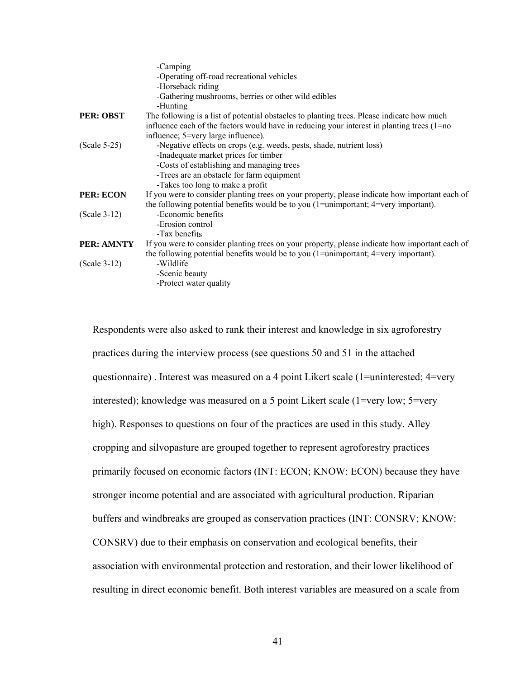| -Operating off-road recreational vehicles<br>-Horseback riding<br>-Gathering mushrooms, berries or other wild edibles<br>-Hunting<br>The following is a list of potential obstacles to planting trees. Please indicate how much<br>influence each of the factors would have in reducing your interest in planting trees (1=no)<br>influence; 5=very large influence).<br>-Negative effects on crops (e.g. weeds, pests, shade, nutrient loss)<br>-Inadequate market prices for timber<br>-Costs of establishing and managing trees<br>-Trees are an obstacle for farm equipment<br>-Takes too long to make a profit<br><b>PER: ECON</b><br>If you were to consider planting trees on your property, please indicate how important each of<br>the following potential benefits would be to you $(1)$ =unimportant; $4$ =very important).<br>-Economic benefits<br>$(Scale 3-12)$<br>-Erosion control<br>-Tax benefits<br>PER: AMNTY<br>If you were to consider planting trees on your property, please indicate how important each of<br>the following potential benefits would be to you $(1)$ =unimportant; $4$ =very important).<br>-Wildlife<br>$(Scale 3-12)$<br>-Scenic beauty<br>-Protect water quality |                  | -Camping |
|---------------------------------------------------------------------------------------------------------------------------------------------------------------------------------------------------------------------------------------------------------------------------------------------------------------------------------------------------------------------------------------------------------------------------------------------------------------------------------------------------------------------------------------------------------------------------------------------------------------------------------------------------------------------------------------------------------------------------------------------------------------------------------------------------------------------------------------------------------------------------------------------------------------------------------------------------------------------------------------------------------------------------------------------------------------------------------------------------------------------------------------------------------------------------------------------------------------|------------------|----------|
|                                                                                                                                                                                                                                                                                                                                                                                                                                                                                                                                                                                                                                                                                                                                                                                                                                                                                                                                                                                                                                                                                                                                                                                                               |                  |          |
|                                                                                                                                                                                                                                                                                                                                                                                                                                                                                                                                                                                                                                                                                                                                                                                                                                                                                                                                                                                                                                                                                                                                                                                                               |                  |          |
|                                                                                                                                                                                                                                                                                                                                                                                                                                                                                                                                                                                                                                                                                                                                                                                                                                                                                                                                                                                                                                                                                                                                                                                                               |                  |          |
|                                                                                                                                                                                                                                                                                                                                                                                                                                                                                                                                                                                                                                                                                                                                                                                                                                                                                                                                                                                                                                                                                                                                                                                                               |                  |          |
|                                                                                                                                                                                                                                                                                                                                                                                                                                                                                                                                                                                                                                                                                                                                                                                                                                                                                                                                                                                                                                                                                                                                                                                                               | <b>PER: OBST</b> |          |
|                                                                                                                                                                                                                                                                                                                                                                                                                                                                                                                                                                                                                                                                                                                                                                                                                                                                                                                                                                                                                                                                                                                                                                                                               |                  |          |
|                                                                                                                                                                                                                                                                                                                                                                                                                                                                                                                                                                                                                                                                                                                                                                                                                                                                                                                                                                                                                                                                                                                                                                                                               |                  |          |
|                                                                                                                                                                                                                                                                                                                                                                                                                                                                                                                                                                                                                                                                                                                                                                                                                                                                                                                                                                                                                                                                                                                                                                                                               | $(Scale 5-25)$   |          |
|                                                                                                                                                                                                                                                                                                                                                                                                                                                                                                                                                                                                                                                                                                                                                                                                                                                                                                                                                                                                                                                                                                                                                                                                               |                  |          |
|                                                                                                                                                                                                                                                                                                                                                                                                                                                                                                                                                                                                                                                                                                                                                                                                                                                                                                                                                                                                                                                                                                                                                                                                               |                  |          |
|                                                                                                                                                                                                                                                                                                                                                                                                                                                                                                                                                                                                                                                                                                                                                                                                                                                                                                                                                                                                                                                                                                                                                                                                               |                  |          |
|                                                                                                                                                                                                                                                                                                                                                                                                                                                                                                                                                                                                                                                                                                                                                                                                                                                                                                                                                                                                                                                                                                                                                                                                               |                  |          |
|                                                                                                                                                                                                                                                                                                                                                                                                                                                                                                                                                                                                                                                                                                                                                                                                                                                                                                                                                                                                                                                                                                                                                                                                               |                  |          |
|                                                                                                                                                                                                                                                                                                                                                                                                                                                                                                                                                                                                                                                                                                                                                                                                                                                                                                                                                                                                                                                                                                                                                                                                               |                  |          |
|                                                                                                                                                                                                                                                                                                                                                                                                                                                                                                                                                                                                                                                                                                                                                                                                                                                                                                                                                                                                                                                                                                                                                                                                               |                  |          |
|                                                                                                                                                                                                                                                                                                                                                                                                                                                                                                                                                                                                                                                                                                                                                                                                                                                                                                                                                                                                                                                                                                                                                                                                               |                  |          |
|                                                                                                                                                                                                                                                                                                                                                                                                                                                                                                                                                                                                                                                                                                                                                                                                                                                                                                                                                                                                                                                                                                                                                                                                               |                  |          |
|                                                                                                                                                                                                                                                                                                                                                                                                                                                                                                                                                                                                                                                                                                                                                                                                                                                                                                                                                                                                                                                                                                                                                                                                               |                  |          |
|                                                                                                                                                                                                                                                                                                                                                                                                                                                                                                                                                                                                                                                                                                                                                                                                                                                                                                                                                                                                                                                                                                                                                                                                               |                  |          |
|                                                                                                                                                                                                                                                                                                                                                                                                                                                                                                                                                                                                                                                                                                                                                                                                                                                                                                                                                                                                                                                                                                                                                                                                               |                  |          |
|                                                                                                                                                                                                                                                                                                                                                                                                                                                                                                                                                                                                                                                                                                                                                                                                                                                                                                                                                                                                                                                                                                                                                                                                               |                  |          |
|                                                                                                                                                                                                                                                                                                                                                                                                                                                                                                                                                                                                                                                                                                                                                                                                                                                                                                                                                                                                                                                                                                                                                                                                               |                  |          |

Respondents were also asked to rank their interest and knowledge in six agroforestry practices during the interview process (see questions 50 and 51 in the attached questionnaire). Interest was measured on a 4 point Likert scale (1=uninterested; 4=very interested); knowledge was measured on a 5 point Likert scale (1=very low; 5=very high). Responses to questions on four of the practices are used in this study. Alley cropping and silvopasture are grouped together to represent agroforestry practices primarily focused on economic factors (INT: ECON; KNOW: ECON) because they have stronger income potential and are associated with agricultural production. Riparian buffers and windbreaks are grouped as conservation practices (INT: CONSRV; KNOW: CONSRV) due to their emphasis on conservation and ecological benefits, their association with environmental protection and restoration, and their lower likelihood of resulting in direct economic benefit. Both interest variables are measured on a scale from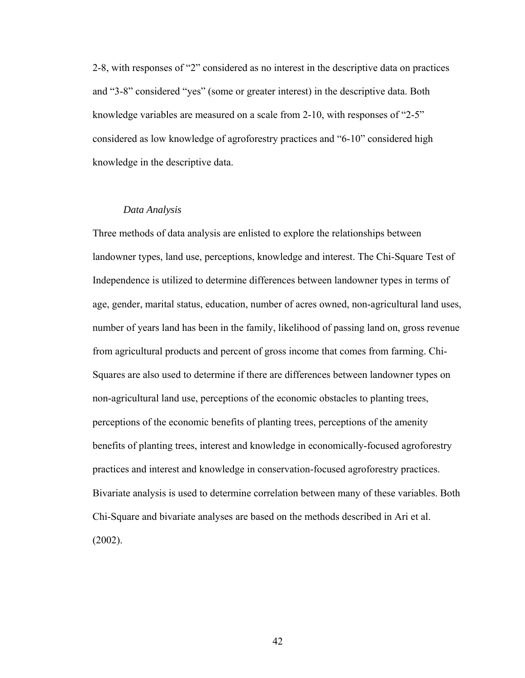2-8, with responses of "2" considered as no interest in the descriptive data on practices and "3-8" considered "yes" (some or greater interest) in the descriptive data. Bo th knowledge variables are measured on a scale from 2-10, with responses of "2-5" considered as low knowledge of agroforestry practices and "6-10" considered high knowledge in the descriptive data.

## *Data Analysis*

Three methods of data analysis are enlisted to explore the relationships between landowner types, land use, perceptions, knowledge and interest. The Chi-Square Test of Independence is utilized to determine differences between landowner types in terms of age, gender, marital status, education, number of acres owned, non-agricultural land uses , number of years land has been in the family, likelihood of passing land on, gross revenue from agricultural products and percent of gross income that comes from farming. Chi-Squares are also used to determine if there are differences between landowner types on non-agricultural land use, perceptions of the economic obstacles to planting trees, perceptions of the economic benefits of planting trees, perceptions of the amenity benefits of planting trees, interest an d knowledge in economically-focused agroforestry practices and interest and knowledge in conservation-focused agroforestry practices. Bivariate analysis is used to determine correlation between many of these variables. Both Chi-Square and bivariate analyses are based on the methods described in Ari et al. (2002).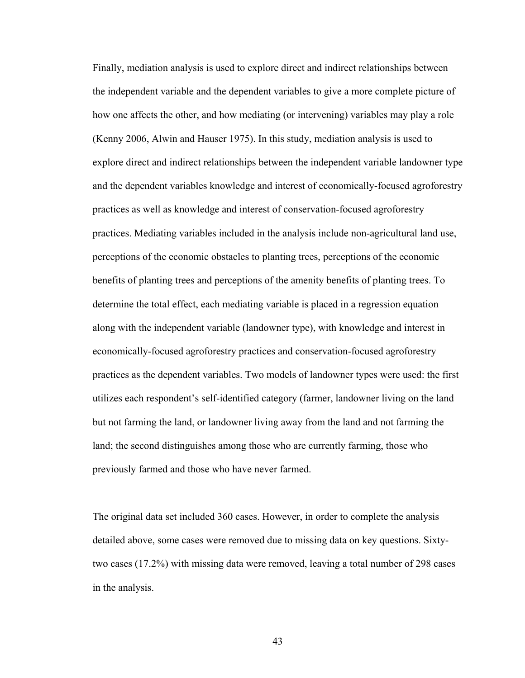Finally, mediation analysis is used to explore direct and indirect relationships between the independent variable and the dependent variables to give a more complete picture o f how one affects the other, and how mediating (or intervening) variables may play a role (Kenny 2006, Alwin and Hauser 1975). In this study, mediation analysis is used to explore direct and indirect relationships between the independent variable landown er type and the dependent variables knowledge and interest of economically-focused agroforestr y practices as well as knowledge and interest of conservation-focused agroforestry practices. Mediating variables included in the analysis include non-agricultural land use, perceptions of the economic obstacles to planting trees, perceptions of the economi c benefits o f planting trees and perceptions of the amenity benefits of planting trees. To determine the total effect, each mediating variable is placed in a regression equation utilizes each respondent's self-identified category (farmer, landowner living on the land along with the independent variable (landowner type), with knowledge and interest in economically-focused agroforestry practices and conservation-focused agroforestry practices as the dependent variables. Two models of landowner types were used: the first but not farming the land, or landowner living away from the land and not farming the land; the second distinguishes among those who are currently farming, those who previously farmed and those who have never farmed.

two cases (17.2%) with missing data were removed, leaving a total number of 298 cases The original data set included 360 cases. However, in order to complete the analysis detailed above, some cases were removed due to missing data on key questions. Sixtyin the analysis.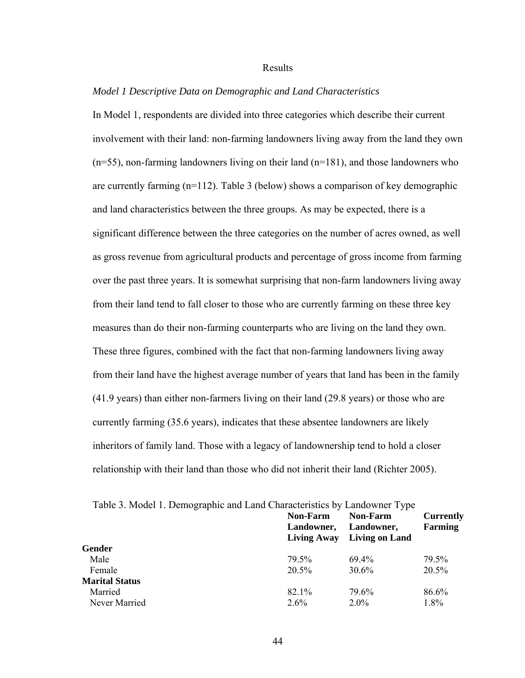## Results

## *Model 1 Descriptive Data on Demographic and Land Characteristics*

In Model 1, respondents are divided into three categories which describe their current involvement with their land: non-farming landowners living away from the land they o wn (n=55), non-farming landowners living on their land (n=181), and those landowner s who are currently farming (n=112). Table 3 (below) shows a comparison of key demographic and land characteristics between the three groups. As may be expected, there is a significant difference between the three categories on the number of acres owned, as well from their land tend to fall closer to those who are currently farming on these three key measures than do their non-farming counterparts who are living on the land they own. These three figures, combined with the fact that non-farming landowners living away from their land have the highest average number of years that land has been in the family (41.9 years) than either non-farmers living on their land (29.8 years) or those who are currently farming (35.6 years), indicates that these absentee landowners are likely inheritors of family land. Those with a legacy of landownership tend to hold a closer relationship with their land than those who did not inherit their land (Richter 2005). as gross revenue from agricultural products and percentage of gross income from farming over the past three years. It is somewhat surprising that non-farm landowners living away

|                       | <b>Non-Farm</b>    | Table 5. Model 1. Demographic and Land Characteristics by Landowner Type<br>Non-Farm<br><b>Currently</b> |          |  |
|-----------------------|--------------------|----------------------------------------------------------------------------------------------------------|----------|--|
|                       | Landowner,         | Landowner,                                                                                               | Farming  |  |
|                       | <b>Living Away</b> | Living on Land                                                                                           |          |  |
| Gender                |                    |                                                                                                          |          |  |
| Male                  | 79.5%              | $694\%$                                                                                                  | 79.5%    |  |
| Female                | $20.5\%$           | $30.6\%$                                                                                                 | $20.5\%$ |  |
| <b>Marital Status</b> |                    |                                                                                                          |          |  |
| Married               | 82.1%              | 79.6%                                                                                                    | 86.6%    |  |
| Never Married         | $2.6\%$            | $2.0\%$                                                                                                  | $1.8\%$  |  |
|                       |                    |                                                                                                          |          |  |

Table 3. Model 1. Demographic and Land Characteristics by Landowner Type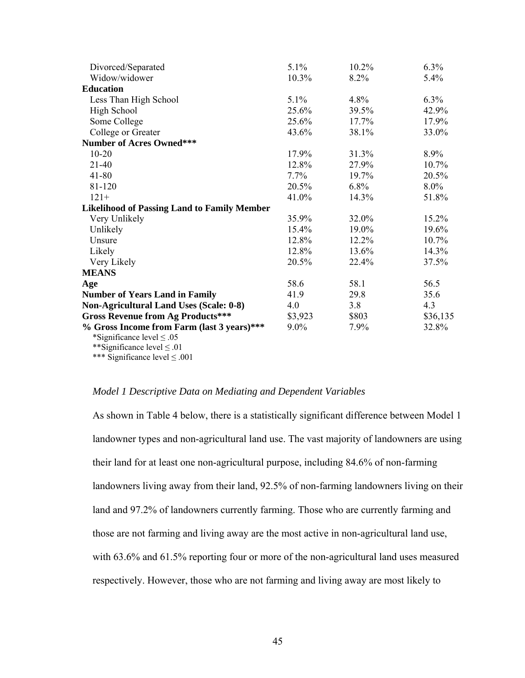| Divorced/Separated                                 | 5.1%    | 10.2%   | 6.3%     |
|----------------------------------------------------|---------|---------|----------|
| Widow/widower                                      | 10.3%   | 8.2%    | 5.4%     |
| <b>Education</b>                                   |         |         |          |
| Less Than High School                              | $5.1\%$ | 4.8%    | $6.3\%$  |
| High School                                        | 25.6%   | 39.5%   | 42.9%    |
| Some College                                       | 25.6%   | 17.7%   | 17.9%    |
| College or Greater                                 | 43.6%   | 38.1%   | 33.0%    |
| <b>Number of Acres Owned***</b>                    |         |         |          |
| $10 - 20$                                          | 17.9%   | 31.3%   | 8.9%     |
| $21 - 40$                                          | 12.8%   | 27.9%   | 10.7%    |
| $41 - 80$                                          | $7.7\%$ | 19.7%   | 20.5%    |
| 81-120                                             | 20.5%   | $6.8\%$ | $8.0\%$  |
| $121+$                                             | 41.0%   | 14.3%   | 51.8%    |
| <b>Likelihood of Passing Land to Family Member</b> |         |         |          |
| Very Unlikely                                      | 35.9%   | 32.0%   | 15.2%    |
| Unlikely                                           | 15.4%   | 19.0%   | 19.6%    |
| Unsure                                             | 12.8%   | 12.2%   | $10.7\%$ |
| Likely                                             | 12.8%   | 13.6%   | 14.3%    |
| Very Likely                                        | 20.5%   | 22.4%   | 37.5%    |
| <b>MEANS</b>                                       |         |         |          |
| Age                                                | 58.6    | 58.1    | 56.5     |
| <b>Number of Years Land in Family</b>              | 41.9    | 29.8    | 35.6     |
| <b>Non-Agricultural Land Uses (Scale: 0-8)</b>     | 4.0     | 3.8     | 4.3      |
| <b>Gross Revenue from Ag Products***</b>           | \$3,923 | \$803   | \$36,135 |
| % Gross Income from Farm (last 3 years)***         | $9.0\%$ | 7.9%    | 32.8%    |
| *Significance level $\leq .05$                     |         |         |          |
| **Significance level $\leq .01$                    |         |         |          |
|                                                    |         |         |          |

\*\*\* Significance level ≤ .001

## *Model 1 Descriptive Data on Mediating and Dependent Variables*

As shown in Table 4 below, there is a statistically significant difference between Model 1 landowner types and non-agricultural land use. The vast majority of landowners are using landowners living away from their land, 92.5% of non-farming landowners living on their land and 97.2% of landowners currently farming. Those who are currently farming and those are not farming and living away are the most active in non-agricultural land use, with 63.6% and 61.5% reporting four or more of the non-agricultural land uses measured respectively. However, those who are not farming and living away are most likely to their land for at least one non-agricultural purpose, including 84.6% of non-farming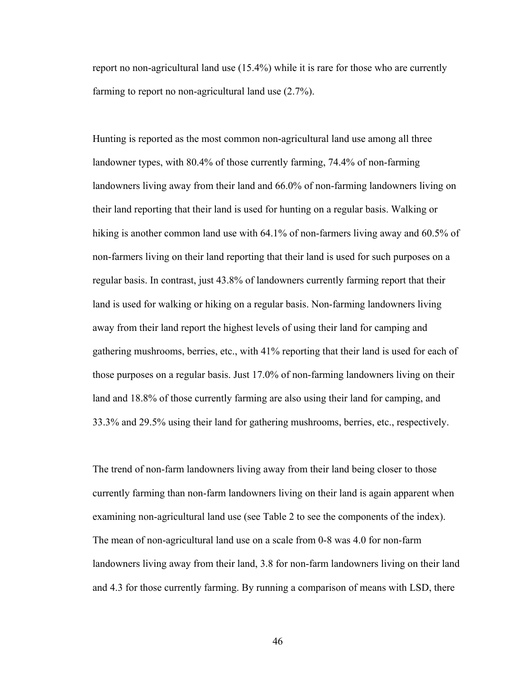report no non-agricultural land use  $(15.4%)$  while it is rare for those who are currently farming to report no non-agricultural land use (2.7%).

Hunting is reported as the most common non-agricultural land use among all three landowner types, with 80.4% of those currently farming, 74.4% of non-farming landowners living away from their land and 66.0% of non-farming landowners living on their land reporting that their land is used for hunting on a regular basis. Walking or hiking is another common land use with  $64.1\%$  of non-farmers living away and  $60.5\%$  of non-farmers living on their land reporting that their land is used for such purposes on a regular basis. In contrast, just 43.8% of landowners currently farming report that their land is used for walking or hiking on a regular basis. Non-farming landowners living away from their land report the highest levels of using their land for camping and gathering mushrooms, berries, etc., with 41% reporting that their land is used for each of those purposes on a regular basis. Just 17.0% of non-farming landowners living on their land and 18.8% of those currently farming are also using their land for camping, and 3% and 29.5% using their land for gathering mushrooms, berries, etc., respectively. 33.

The trend of non-farm landowners living away from their land being closer to those currently farming than non-farm landowners living on their land is again apparent when examining non-agricultural land use (see Table 2 to see the components of the index). The mean of non-agricultural land use on a scale from 0-8 was 4.0 for non-farm landowners living away from their land, 3.8 for non-farm landowners living on their land and 4.3 for those currently farming. By running a comparison of means with LSD, there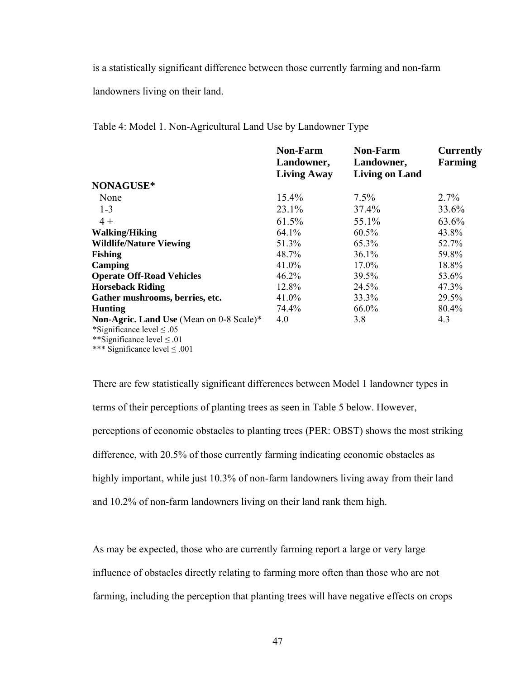is a statistically significant difference between those currently farming and non-farm

landowners living on their land.

Table 4: Model 1. Non-Agricultural Land Use by Landowner Type

|                                          | <b>Non-Farm</b>    | <b>Non-Farm</b>       | <b>Currently</b> |
|------------------------------------------|--------------------|-----------------------|------------------|
|                                          | Landowner,         | Landowner,            | <b>Farming</b>   |
|                                          | <b>Living Away</b> | <b>Living on Land</b> |                  |
| NONAGUSE*                                |                    |                       |                  |
| None                                     | $15.4\%$           | $7.5\%$               | 2.7%             |
| $1 - 3$                                  | 23.1%              | 37.4%                 | 33.6%            |
| $4+$                                     | 61.5%              | 55.1%                 | 63.6%            |
| <b>Walking/Hiking</b>                    | $64.1\%$           | $60.5\%$              | 43.8%            |
| <b>Wildlife/Nature Viewing</b>           | 51.3%              | 65.3%                 | 52.7%            |
| <b>Fishing</b>                           | 48.7%              | 36.1%                 | 59.8%            |
| Camping                                  | 41.0%              | 17.0%                 | 18.8%            |
| <b>Operate Off-Road Vehicles</b>         | $46.2\%$           | 39.5%                 | 53.6%            |
| <b>Horseback Riding</b>                  | 12.8%              | 24.5%                 | 47.3%            |
| Gather mushrooms, berries, etc.          | 41.0%              | 33.3%                 | 29.5%            |
| <b>Hunting</b>                           | 74.4%              | 66.0%                 | 80.4%            |
| Non-Agric. Land Use (Mean on 0-8 Scale)* | 4.0                | 3.8                   | 4.3              |
| *Significance level $\leq .05$           |                    |                       |                  |
| **Significance level $\leq .01$          |                    |                       |                  |
| *** Significance level $\leq .001$       |                    |                       |                  |

perceptions of economic obstacles to planting trees (PER: OBST) shows the most striking highly important, while just 10.3% of non-farm landowners living away from their land There are few statistically significant differences between Model 1 landowner types in terms of their perceptions of planting trees as seen in Table 5 below. However, difference, with 20.5% of those currently farming indicating economic obstacles as and 10.2% of non-farm landowners living on their land rank them high.

As may be expected, those who are currently farming report a large or very large farming, including the perception that planting trees will have negative effects on crops influence of obstacles directly relating to farming more often than those who are not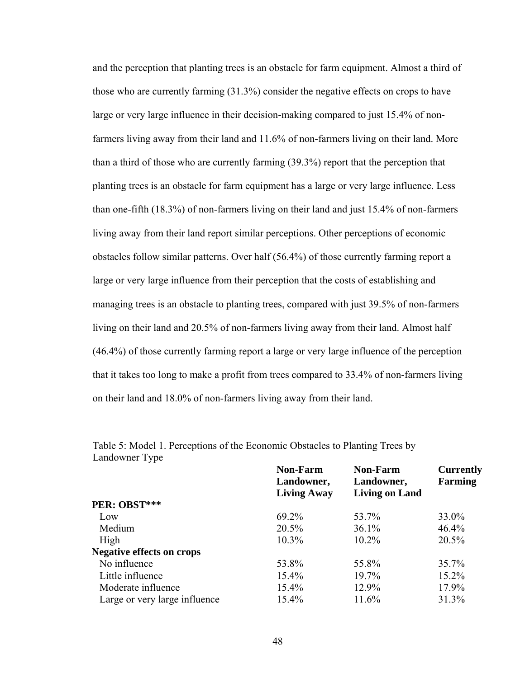and the perception that planting trees is an obstacle for farm equipment. Almost a thi rd of those who are currently farming (31.3%) consider the negative effects on crops to have large or very large influence in their decision-making compared to just 15.4% of nonfarmers living away from their land and 11.6% of non-farmers living on their lan d. More than a third of those who are currently farming (39.3%) report that the perception that planting trees is an obstacle for farm equipment has a large or very large influence. Less than one-fifth (18.3%) of non-farmers living on their land and just 15.4% of non-farm ers living away from their land report similar perceptions. Other perceptions of economic obstacles follow similar patterns. Over half (56.4%) of those currently farming report a large or very large influence from their perception that the costs of establishing and managing trees is an obstacle to planting trees, compared with just 39.5% of non-farmers living on their land and 20.5% of non-farmers living away from their land. Almost half  $(46.4%)$  of those currently farming report a large or very large influence of the perception that it takes too long to make a profit from trees compared to 33.4% of non-farmers living on their land and 18.0% of non-farmers living away from their land.

|                                  | <b>Non-Farm</b>    | <b>Non-Farm</b>       | <b>Currently</b> |  |
|----------------------------------|--------------------|-----------------------|------------------|--|
|                                  | Landowner,         | Landowner,            | <b>Farming</b>   |  |
|                                  | <b>Living Away</b> | <b>Living on Land</b> |                  |  |
| PER: OBST***                     |                    |                       |                  |  |
| Low                              | 69.2%              | 53.7%                 | 33.0%            |  |
| Medium                           | 20.5%              | 36.1%                 | 46.4%            |  |
| High                             | $10.3\%$           | $10.2\%$              | 20.5%            |  |
| <b>Negative effects on crops</b> |                    |                       |                  |  |
| No influence                     | 53.8%              | 55.8%                 | 35.7%            |  |
| Little influence                 | $15.4\%$           | 19.7%                 | 15.2%            |  |
| Moderate influence               | $15.4\%$           | 12.9%                 | 17.9%            |  |
| Large or very large influence    | 15.4%              | 11.6%                 | 31.3%            |  |

Table 5: Model 1. Perceptions of the Economic Obstacles to Planting Trees by Landowner Type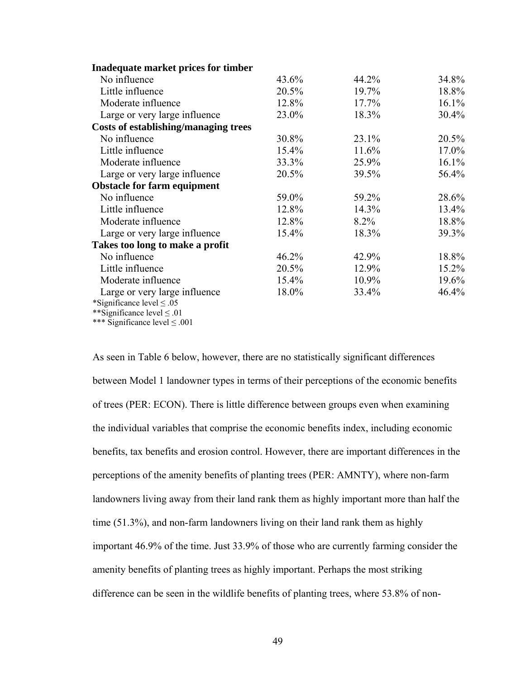| Inadequate market prices for timber         |       |         |       |
|---------------------------------------------|-------|---------|-------|
| No influence                                | 43.6% | 44.2%   | 34.8% |
| Little influence                            | 20.5% | 19.7%   | 18.8% |
| Moderate influence                          | 12.8% | 17.7%   | 16.1% |
| Large or very large influence               | 23.0% | 18.3%   | 30.4% |
| <b>Costs of establishing/managing trees</b> |       |         |       |
| No influence                                | 30.8% | 23.1%   | 20.5% |
| Little influence                            | 15.4% | 11.6%   | 17.0% |
| Moderate influence                          | 33.3% | 25.9%   | 16.1% |
| Large or very large influence               | 20.5% | 39.5%   | 56.4% |
| <b>Obstacle for farm equipment</b>          |       |         |       |
| No influence                                | 59.0% | 59.2%   | 28.6% |
| Little influence                            | 12.8% | 14.3%   | 13.4% |
| Moderate influence                          | 12.8% | $8.2\%$ | 18.8% |
| Large or very large influence               | 15.4% | 18.3%   | 39.3% |
| Takes too long to make a profit             |       |         |       |
| No influence                                | 46.2% | 42.9%   | 18.8% |
| Little influence                            | 20.5% | 12.9%   | 15.2% |
| Moderate influence                          | 15.4% | 10.9%   | 19.6% |
| Large or very large influence               | 18.0% | 33.4%   | 46.4% |
| *Significance level $\leq .05$              |       |         |       |
| **Significance level $\leq .01$             |       |         |       |
| *** Significance level $\leq .001$          |       |         |       |

landowners living away from their land rank them as highly important more than half the As seen in Table 6 below, however, there are no statistically significant differences between Model 1 landowner types in terms of their perceptions of the economic benefits of trees (PER: ECON). There is little difference between groups even when examining the individual variables that comprise the economic benefits index, including economic benefits, tax benefits and erosion control. However, there are important differences in the perceptions of the amenity benefits of planting trees (PER: AMNTY), where non-farm time (51.3%), and non-farm landowners living on their land rank them as highly important 46.9% of the time. Just 33.9% of those who are currently farming consider the amenity benefits of planting trees as highly important. Perhaps the most striking difference can be seen in the wildlife benefits of planting trees, where 53.8% of non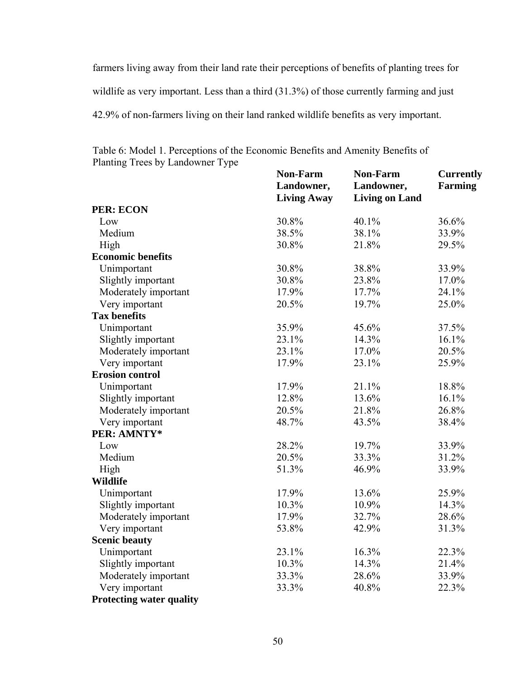farmers living away from their land rate their perceptions of benefits of planting trees for wildlife as very important. Less than a third (31.3%) of those currently farming and just 2.9% of non-farmers living on their land ranked wildlife benefits as very important. 4

lanting Trees by Landowner Type **iving Away** Living on Land **Farming Economic benefits**   $0.8\%$   $38.8\%$   $33.9\%$ tant portant **T** P **Non-Farm Landowner,**  Living Away **Non-Farm Landowner, Currently PER: ECON**  Low  $30.8\%$   $40.1\%$   $36.6\%$ Medium High 38.5% 30.8% 38.1% 21.8% 33.9% 29.5% Unimportant 30.8% 38.8% 3 Slightly impor Moderately im 30.8% 17.9% 23.8% 17.7% 17.0% 24.1% Very important 20.5% 19.7% 25.0% **ax benefits**  Unimportant 35.9% 45.6% 37.5% Slightly important 23.1% 14.3% 16.1%

| Table 6: Model 1. Perceptions of the Economic Benefits and Amenity Benefits of |  |
|--------------------------------------------------------------------------------|--|
| Planting Trees by Landowner Type                                               |  |

| Low                             | 30.8% | 40.1% | 36.6% |
|---------------------------------|-------|-------|-------|
| Medium                          | 38.5% | 38.1% | 33.9% |
| High                            | 30.8% | 21.8% | 29.5% |
| <b>Economic benefits</b>        |       |       |       |
| Unimportant                     | 30.8% | 38.8% | 33.9% |
| Slightly important              | 30.8% | 23.8% | 17.0% |
| Moderately important            | 17.9% | 17.7% | 24.1% |
| Very important                  | 20.5% | 19.7% | 25.0% |
| <b>Tax benefits</b>             |       |       |       |
| Unimportant                     | 35.9% | 45.6% | 37.5% |
| Slightly important              | 23.1% | 14.3% | 16.1% |
| Moderately important            | 23.1% | 17.0% | 20.5% |
| Very important                  | 17.9% | 23.1% | 25.9% |
| <b>Erosion control</b>          |       |       |       |
| Unimportant                     | 17.9% | 21.1% | 18.8% |
| Slightly important              | 12.8% | 13.6% | 16.1% |
| Moderately important            | 20.5% | 21.8% | 26.8% |
| Very important                  | 48.7% | 43.5% | 38.4% |
| PER: AMNTY*                     |       |       |       |
| Low                             | 28.2% | 19.7% | 33.9% |
| Medium                          | 20.5% | 33.3% | 31.2% |
| High                            | 51.3% | 46.9% | 33.9% |
| <b>Wildlife</b>                 |       |       |       |
| Unimportant                     | 17.9% | 13.6% | 25.9% |
| Slightly important              | 10.3% | 10.9% | 14.3% |
| Moderately important            | 17.9% | 32.7% | 28.6% |
| Very important                  | 53.8% | 42.9% | 31.3% |
| <b>Scenic beauty</b>            |       |       |       |
| Unimportant                     | 23.1% | 16.3% | 22.3% |
| Slightly important              | 10.3% | 14.3% | 21.4% |
| Moderately important            | 33.3% | 28.6% | 33.9% |
| Very important                  | 33.3% | 40.8% | 22.3% |
| <b>Protecting water quality</b> |       |       |       |
|                                 |       |       |       |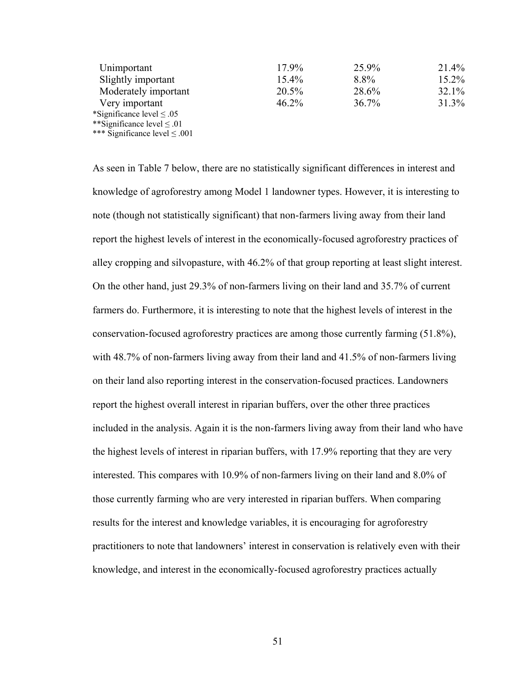| Unimportant                        | 17.9%    | 25.9% | 21.4%    |
|------------------------------------|----------|-------|----------|
| Slightly important                 | $15.4\%$ | 8.8%  | $15.2\%$ |
| Moderately important               | 20.5%    | 28.6% | $32.1\%$ |
| Very important                     | 46.2%    | 36.7% | 31.3%    |
| *Significance level $\leq .05$     |          |       |          |
| **Significance level $\leq .01$    |          |       |          |
| *** Significance level $\leq .001$ |          |       |          |

As seen in Table 7 below, there are no statistically significant differences in interest and knowledge of agroforestry among Model 1 landowner types. However, it is interesting to note (though not statistically significant) that non-farmers living away from their land report the highest levels of interest in the economically-focused agroforestry practices of alley cropping and silvopasture, with 46.2% of that group reporting at least slight interest. On the other hand, just 29.3% of non-farmers living on their land and 35.7% of current farmers do. Furthermore, it is interesting to note that the highest levels of interest in the conservation-focused agroforestry practices are among those currently farming (51.8%), with 48.7% of non-farmers living away from their land and 41.5% of non-farmers living on their land also reporting interest in the conservation-focused practices. Landowners report the highest overall interest in riparian buffers, over the other three practices included in the analysis. Again it is the non-farmers living away from their land who have the highest levels of interest in riparian buffers, with 17.9% reporting that they are very interested. This compares with 10.9% of non-farmers living on their land and 8.0% of those currently farming who are very interested in riparian buffers. When comparing results for the interest and knowledge variables, it is encouraging for agroforestry practitioners to note that landowners' interest in conservation is relatively even with their knowledge, and interest in the economically-focused agroforestry practices actually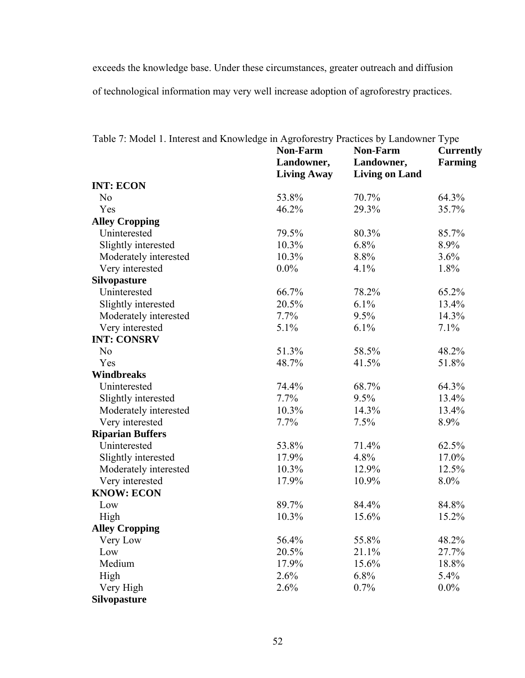exceeds the knowledge base. Under these circumstances, greater outreach and diffusion of technological information may very well increase adoption of agroforestry practices.

|                         | <b>Non-Farm</b><br>Landowner,<br><b>Living Away</b> | <b>Non-Farm</b><br>Landowner,<br><b>Living on Land</b> | <b>Currently</b><br>Farming |
|-------------------------|-----------------------------------------------------|--------------------------------------------------------|-----------------------------|
| <b>INT: ECON</b>        |                                                     |                                                        |                             |
| N <sub>0</sub>          | 53.8%                                               | 70.7%                                                  | 64.3%                       |
| Yes                     | 46.2%                                               | 29.3%                                                  | 35.7%                       |
| <b>Alley Cropping</b>   |                                                     |                                                        |                             |
| Uninterested            | 79.5%                                               | 80.3%                                                  | 85.7%                       |
| Slightly interested     | 10.3%                                               | 6.8%                                                   | 8.9%                        |
| Moderately interested   | 10.3%                                               | 8.8%                                                   | 3.6%                        |
| Very interested         | $0.0\%$                                             | 4.1%                                                   | 1.8%                        |
| <b>Silvopasture</b>     |                                                     |                                                        |                             |
| Uninterested            | 66.7%                                               | 78.2%                                                  | 65.2%                       |
| Slightly interested     | 20.5%                                               | 6.1%                                                   | 13.4%                       |
| Moderately interested   | 7.7%                                                | 9.5%                                                   | 14.3%                       |
| Very interested         | 5.1%                                                | 6.1%                                                   | 7.1%                        |
| <b>INT: CONSRV</b>      |                                                     |                                                        |                             |
| N <sub>o</sub>          | 51.3%                                               | 58.5%                                                  | 48.2%                       |
| Yes                     | 48.7%                                               | 41.5%                                                  | 51.8%                       |
| <b>Windbreaks</b>       |                                                     |                                                        |                             |
| Uninterested            | 74.4%                                               | 68.7%                                                  | 64.3%                       |
| Slightly interested     | 7.7%                                                | 9.5%                                                   | 13.4%                       |
| Moderately interested   | 10.3%                                               | 14.3%                                                  | 13.4%                       |
| Very interested         | 7.7%                                                | 7.5%                                                   | 8.9%                        |
| <b>Riparian Buffers</b> |                                                     |                                                        |                             |
| Uninterested            | 53.8%                                               | 71.4%                                                  | 62.5%                       |
| Slightly interested     | 17.9%                                               | 4.8%                                                   | 17.0%                       |
| Moderately interested   | 10.3%                                               | 12.9%                                                  | 12.5%                       |
| Very interested         | 17.9%                                               | 10.9%                                                  | 8.0%                        |
| <b>KNOW: ECON</b>       |                                                     |                                                        |                             |
| Low                     | 89.7%                                               | 84.4%                                                  | 84.8%                       |
| High                    | 10.3%                                               | 15.6%                                                  | 15.2%                       |
| <b>Alley Cropping</b>   |                                                     |                                                        |                             |
| Very Low                | 56.4%                                               | 55.8%                                                  | 48.2%                       |
| Low                     | 20.5%                                               | 21.1%                                                  | 27.7%                       |
| Medium                  | 17.9%                                               | 15.6%                                                  | 18.8%                       |
| High                    | 2.6%                                                | 6.8%                                                   | 5.4%                        |
| Very High               | 2.6%                                                | 0.7%                                                   | $0.0\%$                     |
| <b>Silvopasture</b>     |                                                     |                                                        |                             |

Table 7: Model 1. Interest and Knowledge in Agroforestry Practices by Landowner Type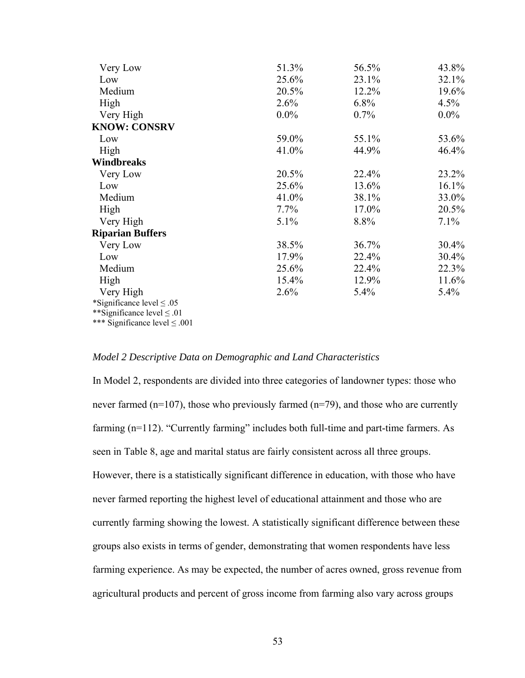| Very Low                           | 51.3%   | 56.5% | 43.8%    |
|------------------------------------|---------|-------|----------|
| Low                                | 25.6%   | 23.1% | 32.1%    |
| Medium                             | 20.5%   | 12.2% | 19.6%    |
| High                               | 2.6%    | 6.8%  | 4.5%     |
| Very High                          | $0.0\%$ | 0.7%  | $0.0\%$  |
| <b>KNOW: CONSRV</b>                |         |       |          |
| Low                                | 59.0%   | 55.1% | 53.6%    |
| High                               | 41.0%   | 44.9% | 46.4%    |
| Windbreaks                         |         |       |          |
| Very Low                           | 20.5%   | 22.4% | 23.2%    |
| Low                                | 25.6%   | 13.6% | 16.1%    |
| Medium                             | 41.0%   | 38.1% | 33.0%    |
| High                               | $7.7\%$ | 17.0% | 20.5%    |
| Very High                          | $5.1\%$ | 8.8%  | $7.1\%$  |
| <b>Riparian Buffers</b>            |         |       |          |
| Very Low                           | 38.5%   | 36.7% | $30.4\%$ |
| Low                                | 17.9%   | 22.4% | $30.4\%$ |
| Medium                             | 25.6%   | 22.4% | 22.3%    |
| High                               | 15.4%   | 12.9% | 11.6%    |
| Very High                          | 2.6%    | 5.4%  | $5.4\%$  |
| *Significance level $\leq .05$     |         |       |          |
| **Significance level $\leq .01$    |         |       |          |
| *** Significance level $\leq .001$ |         |       |          |

## *Model 2 Descriptive Data on Demographic and Land Characteristics*

currently farming showing the lowest. A statistically significant difference between these farming experience. As may be expected, the number of acres owned, gross revenue from In Model 2, respondents are divided into three categories of landowner types: those who never farmed (n=107), those who previously farmed (n=79), and those who are currently farming (n=112). "Currently farming" includes both full-time and part-time farmers. As seen in Table 8, age and marital status are fairly consistent across all three groups. However, there is a statistically significant difference in education, with those who have never farmed reporting the highest level of educational attainment and those who are groups also exists in terms of gender, demonstrating that women respondents have less agricultural products and percent of gross income from farming also vary across groups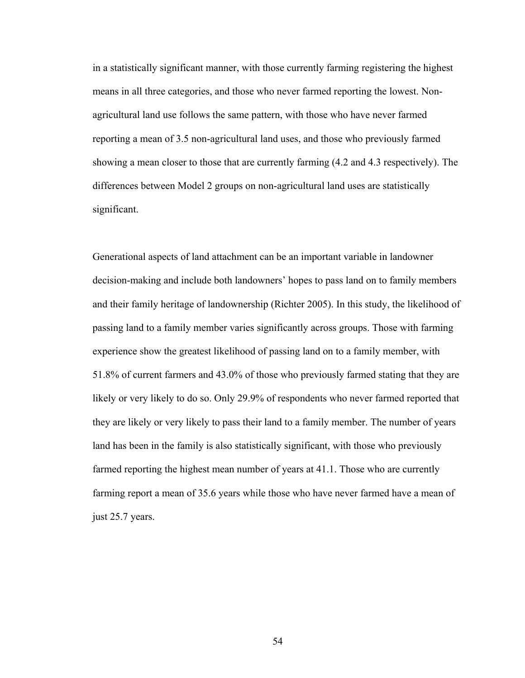in a statistically significant manner, with those currently farming registering the high est means in all three categories, and those who never farmed reporting the lowest. Nonagricultural land use follows the same pattern, with those who have never farmed reporting a mean of 3.5 non-agricultural land uses, and those who previously farmed differences between Model 2 groups on non-agricultural land uses are statistically showing a mean closer to those that are currently farming (4.2 and 4.3 respectively). The significant.

Generational aspects of land attachment can be an important variable in landowner decision-making and include both landowners' hopes to pass land on to family members and their family heritage of landownership (Richter 2005). In this study, the likelihood of passing land to a family member varies significantly across groups. Those with farming experience show the greatest likelihood of passing land on to a family member, with 51.8% of current farmers and 43.0% of those who previously farmed stating that they are likely or very likely to do so. Only 29.9% of respondents who never farmed reported that they are likely or very likely to pass their land to a family member. The number of y ears land has been in the family is also statistically significant, with those who previously farmed reporting the highest mean number of years at 41.1. Those who are currently farming report a mean of 35.6 years while those who have never farmed have a mean of ju st 25.7 years.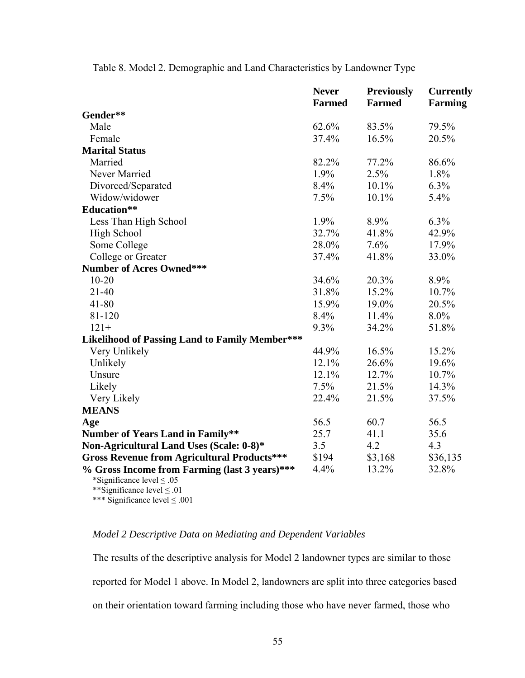|                                                                                                                    | <b>Never</b>  | <b>Previously</b> | <b>Currently</b> |
|--------------------------------------------------------------------------------------------------------------------|---------------|-------------------|------------------|
|                                                                                                                    | <b>Farmed</b> | <b>Farmed</b>     | <b>Farming</b>   |
| Gender**                                                                                                           |               |                   |                  |
| Male                                                                                                               | 62.6%         | 83.5%             | 79.5%            |
| Female                                                                                                             | 37.4%         | 16.5%             | 20.5%            |
| <b>Marital Status</b>                                                                                              |               |                   |                  |
| Married                                                                                                            | 82.2%         | 77.2%             | 86.6%            |
| Never Married                                                                                                      | 1.9%          | 2.5%              | 1.8%             |
| Divorced/Separated                                                                                                 | 8.4%          | $10.1\%$          | $6.3\%$          |
| Widow/widower                                                                                                      | 7.5%          | 10.1%             | 5.4%             |
| <b>Education**</b>                                                                                                 |               |                   |                  |
| Less Than High School                                                                                              | 1.9%          | 8.9%              | 6.3%             |
| High School                                                                                                        | 32.7%         | 41.8%             | 42.9%            |
| Some College                                                                                                       | 28.0%         | 7.6%              | 17.9%            |
| College or Greater                                                                                                 | 37.4%         | 41.8%             | 33.0%            |
| <b>Number of Acres Owned***</b>                                                                                    |               |                   |                  |
| $10 - 20$                                                                                                          | 34.6%         | 20.3%             | 8.9%             |
| $21 - 40$                                                                                                          | 31.8%         | 15.2%             | 10.7%            |
| $41 - 80$                                                                                                          | 15.9%         | 19.0%             | 20.5%            |
| 81-120                                                                                                             | 8.4%          | 11.4%             | 8.0%             |
| $121+$                                                                                                             | 9.3%          | 34.2%             | 51.8%            |
| Likelihood of Passing Land to Family Member***                                                                     |               |                   |                  |
| Very Unlikely                                                                                                      | 44.9%         | 16.5%             | 15.2%            |
| Unlikely                                                                                                           | 12.1%         | 26.6%             | 19.6%            |
| Unsure                                                                                                             | 12.1%         | 12.7%             | 10.7%            |
| Likely                                                                                                             | 7.5%          | 21.5%             | 14.3%            |
| Very Likely                                                                                                        | 22.4%         | 21.5%             | 37.5%            |
| <b>MEANS</b>                                                                                                       |               |                   |                  |
| Age                                                                                                                | 56.5          | 60.7              | 56.5             |
| <b>Number of Years Land in Family**</b>                                                                            | 25.7          | 41.1              | 35.6             |
| Non-Agricultural Land Uses (Scale: 0-8)*                                                                           | 3.5           | 4.2               | 4.3              |
| <b>Gross Revenue from Agricultural Products***</b>                                                                 | \$194         | \$3,168           | \$36,135         |
| % Gross Income from Farming (last 3 years)***<br>*Significance level $\leq .05$<br>**Significance level $\leq .01$ | 4.4%          | 13.2%             | 32.8%            |

Table 8. Model 2. Demographic and Land Characteristics by Landowner Type

# *Model 2 Descriptive Data on Mediating and Dependent Variables*

 $≤ .001$ 

\*\*\* Significance level

The results of the descriptive analysis for Model 2 landowner types are similar to th ose reported for Model 1 above. In Model 2, landowners are split into three categories based on their orientation toward farming including those who have never farmed, those who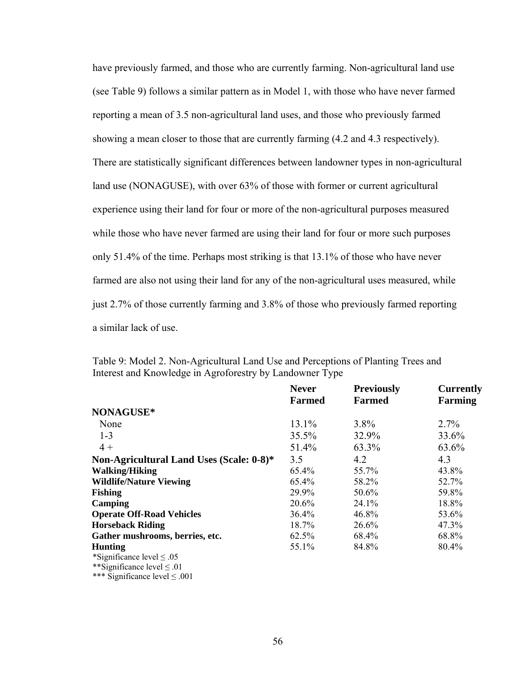have previously farmed, and those who are currently farming. Non-agricultural land use (see Table 9) follows a similar pattern as in Model 1, with those who have never farmed reporting a mean of 3.5 non-agricultural land uses, and those who previously farmed experience using their land for four or more of the non-agricultural purposes measured showing a mean closer to those that are currently farming (4.2 and 4.3 respectively). There are statistically significant differences between landowner types in non-agricultural land use (NONAGUSE), with over 63% of those with former or current agricultural while those who have never farmed are using their land for four or more such purposes only 51.4% of the time. Perhaps most striking is that 13.1% of those who have never farmed are also not using their land for any of the non-agricultural uses measured, while just 2.7% of those currently farming and 3.8% of those who previously farmed reporting a similar lack of use.

|                                          | <b>Never</b><br><b>Farmed</b> | <b>Previously</b><br><b>Farmed</b> | <b>Currently</b><br><b>Farming</b> |
|------------------------------------------|-------------------------------|------------------------------------|------------------------------------|
|                                          |                               |                                    |                                    |
| NONAGUSE*                                |                               |                                    |                                    |
| None                                     | 13.1%                         | $3.8\%$                            | 2.7%                               |
| $1 - 3$                                  | 35.5%                         | 32.9%                              | 33.6%                              |
| $4+$                                     | 51.4%                         | 63.3%                              | 63.6%                              |
| Non-Agricultural Land Uses (Scale: 0-8)* | 3.5                           | 4.2                                | 4.3                                |
| <b>Walking/Hiking</b>                    | 65.4%                         | 55.7%                              | 43.8%                              |
| <b>Wildlife/Nature Viewing</b>           | 65.4%                         | 58.2%                              | 52.7%                              |
| <b>Fishing</b>                           | 29.9%                         | 50.6%                              | 59.8%                              |
| Camping                                  | 20.6%                         | 24.1%                              | 18.8%                              |
| <b>Operate Off-Road Vehicles</b>         | $36.4\%$                      | 46.8%                              | 53.6%                              |
| <b>Horseback Riding</b>                  | 18.7%                         | 26.6%                              | 47.3%                              |
| Gather mushrooms, berries, etc.          | 62.5%                         | 68.4%                              | 68.8%                              |
| <b>Hunting</b>                           | 55.1%                         | 84.8%                              | 80.4%                              |
| *Significance level $\leq .05$           |                               |                                    |                                    |
| **Significance level $\leq .01$          |                               |                                    |                                    |
| *** Significance level $\leq .001$       |                               |                                    |                                    |

Table 9: Model 2. Non-Agricultural Land Use and Perceptions of Planting Trees and Interest and Knowledge in Agroforestry by Landowner Type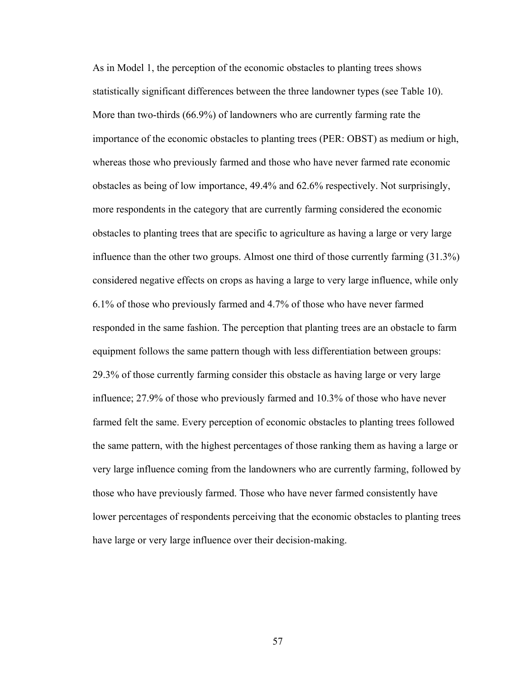As in Model 1, the perception of the economic obstacles to planting trees shows statistically significant differences between the three landowner types (see Table 10). More than two-thirds (66.9%) of landowners who are currently farming rate the importance of the economic obstacles to planting trees (PER: OBST) as medium or high, whereas those who previously farmed and those who have never farmed rate economic obstacles as being of low importance, 49.4% and 62.6% respectively. Not surprisingly , more respondents in the category that are currently farming considered the economic obstacles to planting trees that are specific to agriculture as having a large or very large influence than th e other two groups. Almost one third of those currently farming (31.3%) considered negative effects on crops as having a large to very large influence, while only .1% of those who previously farmed and 4.7% of those who have never farmed 6 responded in the same fashion. The perception that planting trees are an obstacle to farm equipment follows the same pattern though with less differentiation between groups: 29.3% of those currently farming consider this obstacle as having large or very large influence; 27.9% of those who previously farmed and 10.3% of those who have never farmed felt the same. Every perception of economic obstacles to planting trees followed the same pattern, with the highest percentages of those ranking them as having a large or very large influence coming from the landowners who are currently farming, followed by those who have previously farmed. Those who have never farmed consistently have lower percentages of respondents perceiving that the economic obstacles to planting trees have large or very large influence over their decision-making.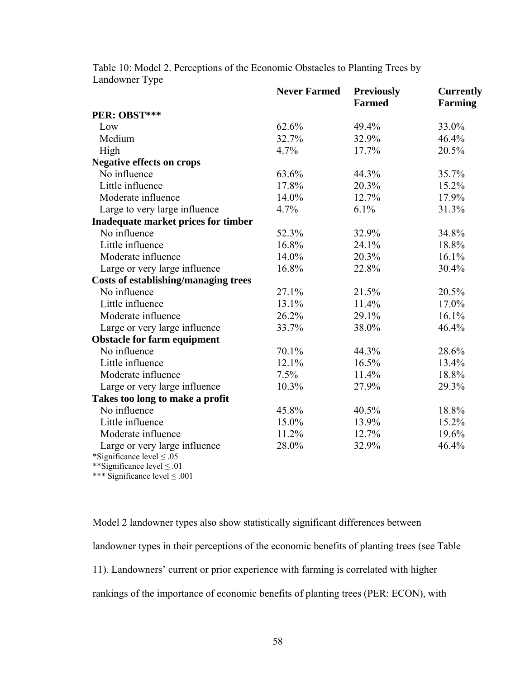Table 10: Model 2. Perceptions of the Economic Obstacles to Planting Trees by Landowner Type

|                                             | <b>Never Farmed</b> | <b>Previously</b> | <b>Currently</b> |
|---------------------------------------------|---------------------|-------------------|------------------|
|                                             |                     | <b>Farmed</b>     | <b>Farming</b>   |
| PER: OBST***                                |                     |                   |                  |
| Low                                         | 62.6%               | 49.4%             | 33.0%            |
| Medium                                      | 32.7%               | 32.9%             | 46.4%            |
| High                                        | 4.7%                | 17.7%             | 20.5%            |
| <b>Negative effects on crops</b>            |                     |                   |                  |
| No influence                                | 63.6%               | 44.3%             | 35.7%            |
| Little influence                            | 17.8%               | 20.3%             | 15.2%            |
| Moderate influence                          | 14.0%               | 12.7%             | 17.9%            |
| Large to very large influence               | 4.7%                | 6.1%              | 31.3%            |
| Inadequate market prices for timber         |                     |                   |                  |
| No influence                                | 52.3%               | 32.9%             | 34.8%            |
| Little influence                            | 16.8%               | 24.1%             | 18.8%            |
| Moderate influence                          | 14.0%               | 20.3%             | 16.1%            |
| Large or very large influence               | 16.8%               | 22.8%             | 30.4%            |
| <b>Costs of establishing/managing trees</b> |                     |                   |                  |
| No influence                                | 27.1%               | 21.5%             | 20.5%            |
| Little influence                            | 13.1%               | 11.4%             | 17.0%            |
| Moderate influence                          | 26.2%               | 29.1%             | 16.1%            |
| Large or very large influence               | 33.7%               | 38.0%             | 46.4%            |
| <b>Obstacle for farm equipment</b>          |                     |                   |                  |
| No influence                                | 70.1%               | 44.3%             | 28.6%            |
| Little influence                            | 12.1%               | 16.5%             | 13.4%            |
| Moderate influence                          | 7.5%                | 11.4%             | 18.8%            |
| Large or very large influence               | 10.3%               | 27.9%             | 29.3%            |
| Takes too long to make a profit             |                     |                   |                  |
| No influence                                | 45.8%               | 40.5%             | 18.8%            |
| Little influence                            | 15.0%               | 13.9%             | 15.2%            |
| Moderate influence                          | 11.2%               | 12.7%             | 19.6%            |
| Large or very large influence               | 28.0%               | 32.9%             | 46.4%            |
| *Significance level $\leq .05$              |                     |                   |                  |
| **Significance level $\leq .01$             |                     |                   |                  |
| *** Significance level $\leq .001$          |                     |                   |                  |

Model 2 landowner types also show statistically significant differences between 11). Landowners' current or prior experience with farming is correlated with higher landowner types in their perceptions of the economic benefits of planting trees (see Table rankings of the importance of economic benefits of planting trees (PER: ECON), with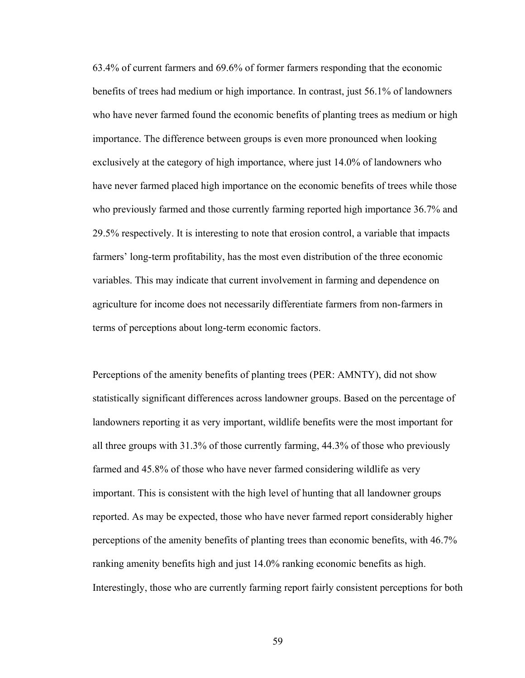63.4% of current farmers and 69.6% of former farmers responding that the economic benefits of trees had medium or high importance. In contrast, just 56.1% of landowne rs who have never farmed found the economic benefits of planting trees as medium or high importance. The difference between groups is even more pronounced when looking exclusively at the category of high importance, where just 14.0% of landowners who have never farmed placed high importance on the economic benefits of trees while those who previously farmed and those currently farming reported high importance 36.7% and 29.5% respectively. It is interesting to note that erosion control, a variable that impacts farmers' long-term profitability, has the most even distribution of the three economic variables. This may indicate that current involvement in farming and dependence on agriculture for income does not necessarily differentiate farmers from non-farmers in terms of perceptions about long-term economic factors.

Perceptions of the amenity benefits of planting trees (PER: AMNTY), did not show statistically significant differences across landowner groups. Based on the percentage of landowners reporting it as very important, wildlife benefits were the most important for all three groups with  $31.3\%$  of those currently farming,  $44.3\%$  of those who previously farmed and 45.8% of those who have never farmed considering wildlife as very important. This is consistent with the high level of hunting that all landowner groups reported. As may be expected, those who have never farmed report considerably higher perceptions of the amenity benefits of planting trees than economic benefits, with 46.7% Interestingly, those who are currently farming report fairly consistent perceptions for both ranking amenity benefits high and just 14.0% ranking economic benefits as high.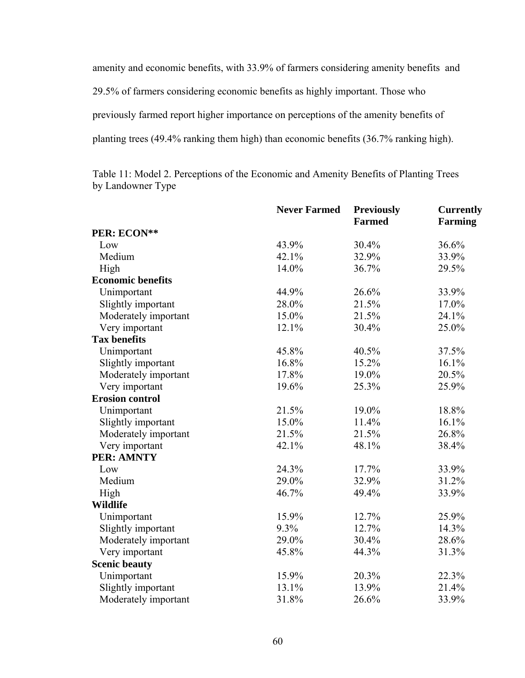amenity and economic benefits, with 33.9% of farmers considering amenity bene fits and 29.5% of farmers considering economic benefits as highly important. Those who previously farmed report higher importance on perceptions of the amenity benefits of planting trees (49.4% ranking them high) than economic benefits (36.7% ranking high).

by Landowner Type Table 11: Model 2. Perceptions of the Economic and Amenity Benefits of Planting Trees

|                          | <b>Never Farmed</b> | <b>Previously</b> | <b>Currently</b> |
|--------------------------|---------------------|-------------------|------------------|
|                          |                     | <b>Farmed</b>     | <b>Farming</b>   |
| PER: ECON**              |                     |                   |                  |
| Low                      | 43.9%               | $30.4\%$          | 36.6%            |
| Medium                   | 42.1%               | 32.9%             | 33.9%            |
| High                     | 14.0%               | 36.7%             | 29.5%            |
| <b>Economic benefits</b> |                     |                   |                  |
| Unimportant              | 44.9%               | 26.6%             | 33.9%            |
| Slightly important       | 28.0%               | 21.5%             | 17.0%            |
| Moderately important     | 15.0%               | 21.5%             | 24.1%            |
| Very important           | 12.1%               | 30.4%             | 25.0%            |
| <b>Tax benefits</b>      |                     |                   |                  |
| Unimportant              | 45.8%               | 40.5%             | 37.5%            |
| Slightly important       | 16.8%               | 15.2%             | 16.1%            |
| Moderately important     | 17.8%               | 19.0%             | 20.5%            |
| Very important           | 19.6%               | 25.3%             | 25.9%            |
| <b>Erosion control</b>   |                     |                   |                  |
| Unimportant              | 21.5%               | 19.0%             | 18.8%            |
| Slightly important       | 15.0%               | 11.4%             | 16.1%            |
| Moderately important     | 21.5%               | 21.5%             | 26.8%            |
| Very important           | 42.1%               | 48.1%             | 38.4%            |
| <b>PER: AMNTY</b>        |                     |                   |                  |
| Low                      | 24.3%               | 17.7%             | 33.9%            |
| Medium                   | 29.0%               | 32.9%             | 31.2%            |
| High                     | 46.7%               | 49.4%             | 33.9%            |
| <b>Wildlife</b>          |                     |                   |                  |
| Unimportant              | 15.9%               | 12.7%             | 25.9%            |
| Slightly important       | 9.3%                | 12.7%             | 14.3%            |
| Moderately important     | 29.0%               | 30.4%             | 28.6%            |
| Very important           | 45.8%               | 44.3%             | 31.3%            |
| <b>Scenic beauty</b>     |                     |                   |                  |
| Unimportant              | 15.9%               | 20.3%             | 22.3%            |
| Slightly important       | 13.1%               | 13.9%             | 21.4%            |
| Moderately important     | 31.8%               | 26.6%             | 33.9%            |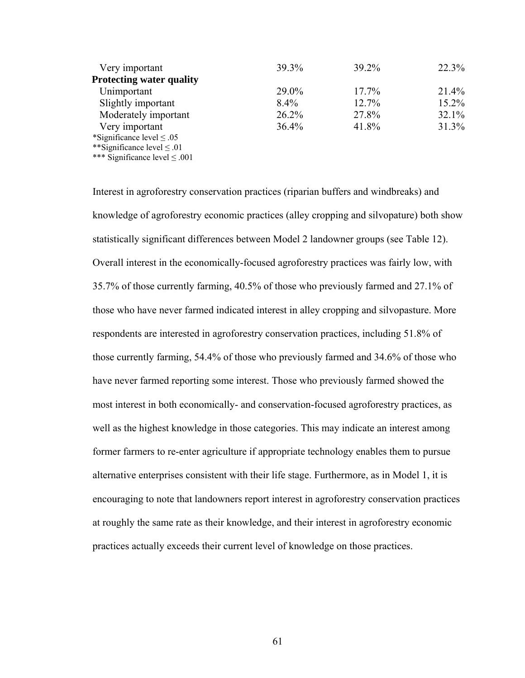| Very important                     | 39.3%   | 39.2%    | 22.3%    |
|------------------------------------|---------|----------|----------|
| <b>Protecting water quality</b>    |         |          |          |
| Unimportant                        | 29.0%   | $17.7\%$ | $21.4\%$ |
| Slightly important                 | $8.4\%$ | 12.7%    | $15.2\%$ |
| Moderately important               | 26.2%   | 27.8%    | 32.1%    |
| Very important                     | 36.4%   | 41.8%    | 31.3%    |
| *Significance level $\leq .05$     |         |          |          |
| **Significance level $\leq .01$    |         |          |          |
| *** Significance level $\leq .001$ |         |          |          |

Interest in agroforestry conservation practices (riparian buffers and windbreaks) and knowledge of agroforestry economic practices (alley cropping and silvopature) both show statistically significant differences between Model 2 landowner groups (see Table 12). Overall interest in the economically-focused agroforestry practices was fairly low, with 35.7% of those currently farming,  $40.5%$  of those who previously farmed and  $27.1%$  of those who have never farmed indicated interest in alley cropping and silvopasture. More respondents are interested in agroforestry conservation practices, including 51.8% of those currently farming, 54.4% of those who previously farmed and 34.6% of those who have never farmed reporting some interest. Those who previously farmed showed the most interest in both economically- and conservation-focused agroforestry practices , as well as the highest knowledge in those categories. This may indicate an interest amo ng former farmers to re-enter agriculture if appropriate technology enables them to pursue alternative enterprises consistent with their life stage. Furthermore, as in Model 1, it is encouraging to note that landowners report interest in agroforestry conservation practices at roughly the same rate as their knowledge, and their interest in agroforestry economic practices actually exceeds their current level of knowledge on those practices.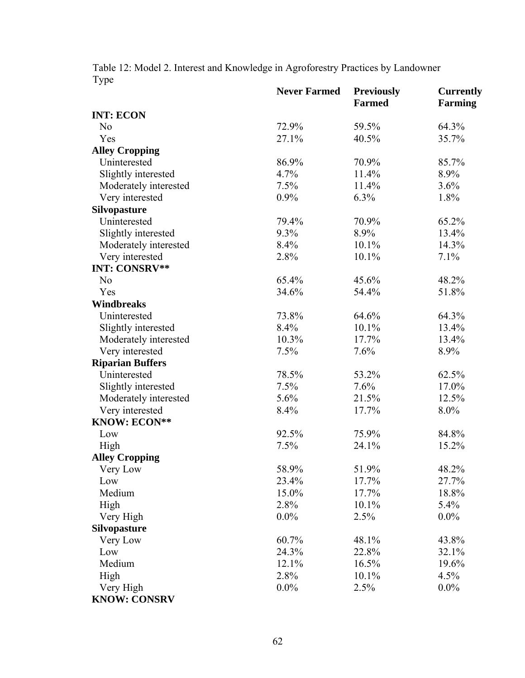Table 12: Model 2. Interest and Knowledge in Agroforestry Practices by Landow ner Type

|                         | <b>Never Farmed</b> | <b>Previously</b><br><b>Farmed</b> | <b>Currently</b><br><b>Farming</b> |
|-------------------------|---------------------|------------------------------------|------------------------------------|
| <b>INT: ECON</b>        |                     |                                    |                                    |
| N <sub>0</sub>          | 72.9%               | 59.5%                              | 64.3%                              |
| Yes                     | 27.1%               | 40.5%                              | 35.7%                              |
| <b>Alley Cropping</b>   |                     |                                    |                                    |
| Uninterested            | 86.9%               | 70.9%                              | 85.7%                              |
| Slightly interested     | 4.7%                | 11.4%                              | 8.9%                               |
| Moderately interested   | 7.5%                | 11.4%                              | 3.6%                               |
| Very interested         | 0.9%                | 6.3%                               | 1.8%                               |
| <b>Silvopasture</b>     |                     |                                    |                                    |
| Uninterested            | 79.4%               | 70.9%                              | 65.2%                              |
| Slightly interested     | 9.3%                | 8.9%                               | 13.4%                              |
| Moderately interested   | 8.4%                | 10.1%                              | 14.3%                              |
| Very interested         | 2.8%                | 10.1%                              | 7.1%                               |
| <b>INT: CONSRV**</b>    |                     |                                    |                                    |
| N <sub>o</sub>          | 65.4%               | 45.6%                              | 48.2%                              |
| Yes                     | 34.6%               | 54.4%                              | 51.8%                              |
| Windbreaks              |                     |                                    |                                    |
| Uninterested            | 73.8%               | 64.6%                              | 64.3%                              |
| Slightly interested     | 8.4%                | 10.1%                              | 13.4%                              |
| Moderately interested   | 10.3%               | 17.7%                              | 13.4%                              |
| Very interested         | 7.5%                | 7.6%                               | 8.9%                               |
| <b>Riparian Buffers</b> |                     |                                    |                                    |
| Uninterested            | 78.5%               | 53.2%                              | 62.5%                              |
| Slightly interested     | 7.5%                | 7.6%                               | 17.0%                              |
| Moderately interested   | 5.6%                | 21.5%                              | 12.5%                              |
| Very interested         | 8.4%                | 17.7%                              | 8.0%                               |
| <b>KNOW: ECON**</b>     |                     |                                    |                                    |
| Low                     | 92.5%               | 75.9%                              | 84.8%                              |
| High                    | 7.5%                | 24.1%                              | 15.2%                              |
| <b>Alley Cropping</b>   |                     |                                    |                                    |
| Very Low                | 58.9%               | 51.9%                              | 48.2%                              |
| Low                     | 23.4%               | 17.7%                              | 27.7%                              |
| Medium                  | 15.0%               | 17.7%                              | 18.8%                              |
| High                    | 2.8%                | 10.1%                              | 5.4%                               |
| Very High               | $0.0\%$             | 2.5%                               | $0.0\%$                            |
| <b>Silvopasture</b>     |                     |                                    |                                    |
| Very Low                | 60.7%               | 48.1%                              | 43.8%                              |
| Low                     | 24.3%               | 22.8%                              | 32.1%                              |
| Medium                  | 12.1%               | 16.5%                              | 19.6%                              |
| High                    | 2.8%                | 10.1%                              | 4.5%                               |
| Very High               | $0.0\%$             | 2.5%                               | $0.0\%$                            |
| <b>KNOW: CONSRV</b>     |                     |                                    |                                    |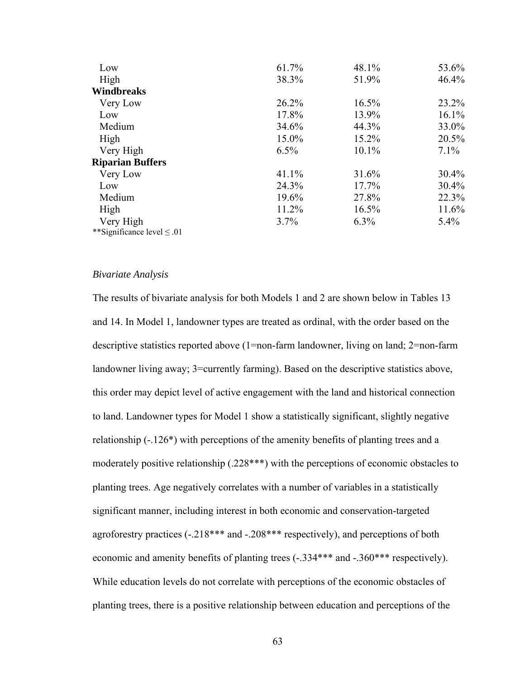| Low                             | 61.7% | 48.1%    | 53.6%    |
|---------------------------------|-------|----------|----------|
| High                            | 38.3% | 51.9%    | 46.4%    |
| Windbreaks                      |       |          |          |
| Very Low                        | 26.2% | 16.5%    | 23.2%    |
| Low                             | 17.8% | 13.9%    | $16.1\%$ |
| Medium                          | 34.6% | 44.3%    | 33.0%    |
| High                            | 15.0% | 15.2%    | 20.5%    |
| Very High                       | 6.5%  | 10.1%    | $7.1\%$  |
| <b>Riparian Buffers</b>         |       |          |          |
| Very Low                        | 41.1% | 31.6%    | $30.4\%$ |
| Low                             | 24.3% | $17.7\%$ | $30.4\%$ |
| Medium                          | 19.6% | 27.8%    | 22.3%    |
| High                            | 11.2% | 16.5%    | 11.6%    |
| Very High                       | 3.7%  | $6.3\%$  | $5.4\%$  |
| **Significance level $\leq .01$ |       |          |          |

## *Bivariate Analysis*

The results of bivariate analysis for both Models 1 and 2 are shown below in Tables 13 and 14. In Model 1, landowner types are treated as ordinal, with the order based on the descriptive statistics reported above  $(1=non-farm$  landowner, living on land;  $2=non-farm$ landowner living away; 3=currently farming). Based on the descriptive statistics above, this order may depict level of active engagement with the land and historical connection to land. Landowner types for Model 1 show a statistically significant, slightly negative relationship  $(-.126^*)$  with perceptions of the amenity benefits of planting trees and a moderately positive relationship (.228\*\*\*) with the perceptions of economic obstacles to planting trees. Age negatively correlates with a number of variables in a statistically significant manner, including interest in both economic and conservation-targeted agroforestry practices (-.218\*\*\* and -.208\*\*\* respectively), and perceptions of both economic and amenity benefits of planting trees (-.334\*\*\* and -.360\*\*\* respectively). While education levels do not correlate with perceptions of the economic obstacles of planting trees, there is a positive relationship between education and perceptions of the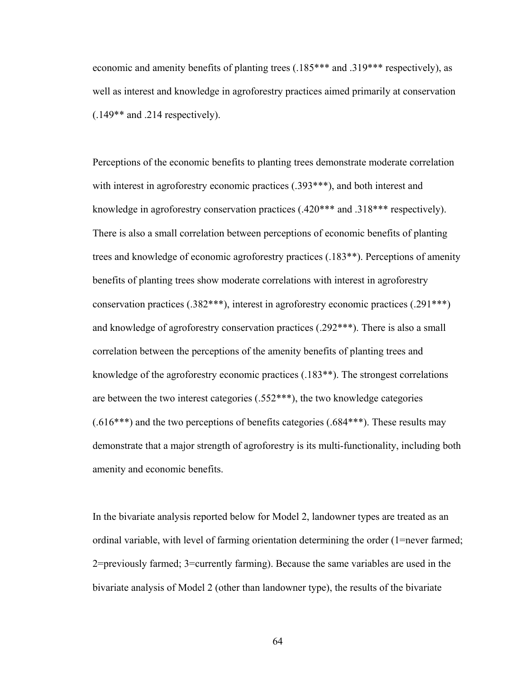economic and amenity benefits of planting trees  $(.185***$  and  $.319***$  respectively), as well as interest and knowledge in agroforestry practices aimed primarily at conservation (.149\*\* and .214 respectively).

Perceptions of the economic benefits to planting trees demonstrate moderate correlation with interest in agroforestry economic practices (.393\*\*\*), and both interest and knowledge in agroforestry conservation practices  $(.420****)$  and  $.318****$  respectively). There is also a small correlation between perceptions of economic benefits of planting trees and knowledge of economic agroforestry practices (.183\*\*). Perceptions of amenity benefits of planting trees show moderate correlations with interest in agroforestry conservation practices  $(.382***)$ , interest in agroforestry economic practices  $(.291***)$ and knowledge of agroforestry conservation practices  $(.292***)$ . There is also a small correlation between the perceptions of the amenity benefits of planting trees and knowledge of the agroforestry economic practices  $(.183**)$ . The strongest correlations are between the two interest categories (.552\*\*\*), the two knowledge categories  $(.616***)$  and the two perceptions of benefits categories  $(.684***)$ . These results may demonstrate that a major strength of agroforestry is its multi-functionality, including both amenity and economic benefits.

In the bivariate analysis reported below for Model 2, landowner types are treated as an ordinal variable, with level of farming orientation determining the order (1=never farmed; 2=previously farmed; 3=currently farming). Because the same variables are used in the bivariate analysis of Model 2 (other than landowner type), the results of the bivariate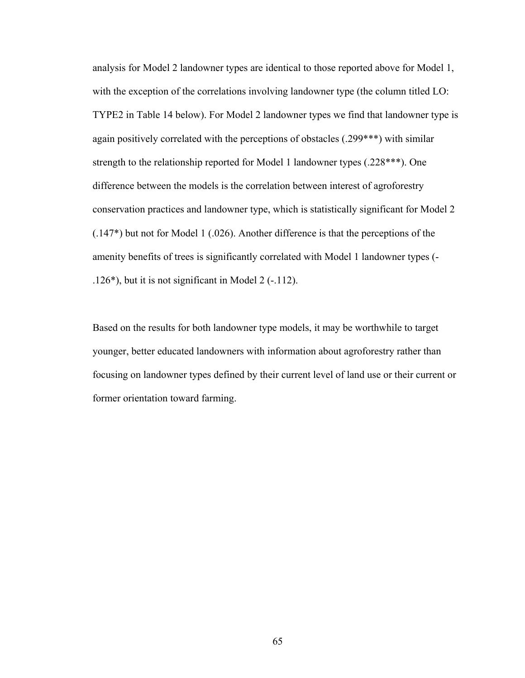analysis for Model 2 landowner types are identical to those reported above for Model 1, with the exception of the correlations involving landowner type (the column titled LO: TYPE2 in Table 14 below). For Model 2 landowner types we find that landowner type is again positively correlated with the perceptions of obstacles (.299\*\*\*) with similar strength to the relationship reported for Model 1 landowner types (.228\*\*\*). One difference between the models is the correlation between interest of agroforestry conservation practices and landowner type, which is statistically significant for Model 2 (.147\*) but not for Model 1 (.026). Another difference is that the perceptions of the amenity benefits of trees is significantly correlated with Model 1 landowner types (- .126\*), but it is not significant in Model 2 (-.112).

Based on the results for both landowner type models, it may be worthwhile to target younger, better educated landowners with information about agroforestry rather than focusing on landowner types defined by their current level of land use or their current or former orientation toward farming.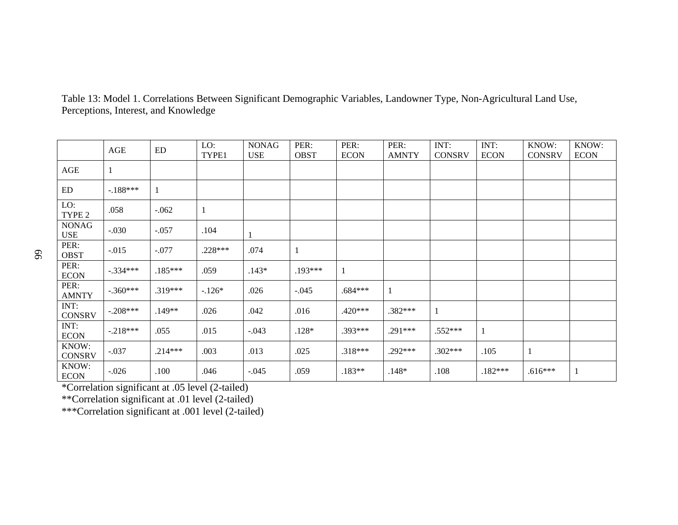|    |                            | AGE        | ED        | LO:<br>TYPE1 | <b>NONAG</b><br><b>USE</b> | PER:<br><b>OBST</b> | PER:<br><b>ECON</b> | PER:<br><b>AMNTY</b> | INT:<br><b>CONSRV</b> | INT:<br><b>ECON</b> | KNOW:<br><b>CONSRV</b> | KNOW:<br><b>ECON</b> |
|----|----------------------------|------------|-----------|--------------|----------------------------|---------------------|---------------------|----------------------|-----------------------|---------------------|------------------------|----------------------|
| 99 | AGE                        | 1          |           |              |                            |                     |                     |                      |                       |                     |                        |                      |
|    | ED                         | $-.188***$ |           |              |                            |                     |                     |                      |                       |                     |                        |                      |
|    | LO:<br>TYPE 2              | .058       | $-.062$   |              |                            |                     |                     |                      |                       |                     |                        |                      |
|    | <b>NONAG</b><br><b>USE</b> | $-.030$    | $-.057$   | .104         |                            |                     |                     |                      |                       |                     |                        |                      |
|    | PER:<br><b>OBST</b>        | $-.015$    | $-.077$   | .228***      | .074                       | $\perp$             |                     |                      |                       |                     |                        |                      |
|    | PER:<br><b>ECON</b>        | $-.334***$ | $.185***$ | .059         | $.143*$                    | .193***             |                     |                      |                       |                     |                        |                      |
|    | PER:<br><b>AMNTY</b>       | $-.360***$ | $.319***$ | $-.126*$     | .026                       | $-.045$             | $.684***$           | $\mathbf{1}$         |                       |                     |                        |                      |
|    | INT:<br><b>CONSRV</b>      | $-.208***$ | $.149**$  | .026         | .042                       | .016                | $.420***$           | $.382***$            | -1                    |                     |                        |                      |
|    | INT:<br><b>ECON</b>        | $-.218***$ | .055      | .015         | $-.043$                    | $.128*$             | $.393***$           | $.291***$            | $.552***$             | $\mathbf{1}$        |                        |                      |
|    | KNOW:<br><b>CONSRV</b>     | $-.037$    | $.214***$ | .003         | .013                       | .025                | $.318***$           | $.292***$            | $.302***$             | .105                | -1                     |                      |
|    | KNOW:<br><b>ECON</b>       | $-.026$    | .100      | .046         | $-.045$                    | .059                | $.183**$            | $.148*$              | .108                  | $.182***$           | $.616***$              | $\mathbf{1}$         |

Table 13: Model 1. Correlations Between Significant Demographic Variables, Landowner Type, Non-Agricultural Land Use, Perceptions, Interest, and Knowledge

\*Correlation significant at .05 level (2-tailed)

\*\*Correlation significant at .01 level (2-tailed)

\*\*\*Correlation significant at .001 level (2-tailed)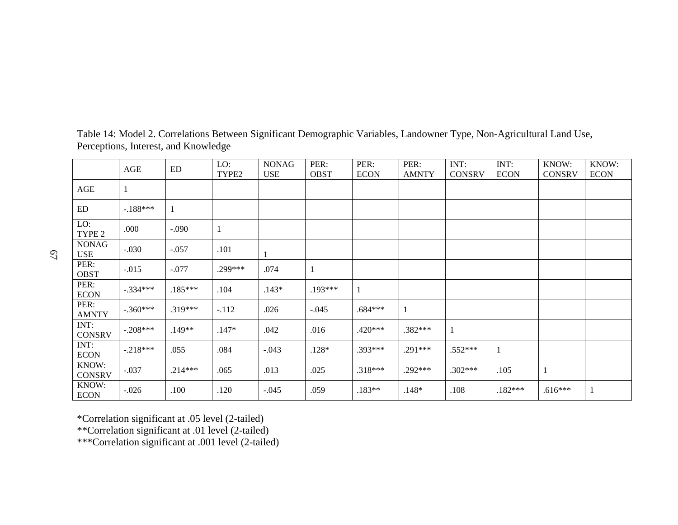|                            | AGE        | ED        | LO:<br>TYPE2 | <b>NONAG</b><br><b>USE</b> | PER:<br><b>OBST</b> | PER:<br><b>ECON</b> | PER:<br><b>AMNTY</b> | INT:<br><b>CONSRV</b> | INT:<br><b>ECON</b> | KNOW:<br><b>CONSRV</b> | KNOW:<br><b>ECON</b> |
|----------------------------|------------|-----------|--------------|----------------------------|---------------------|---------------------|----------------------|-----------------------|---------------------|------------------------|----------------------|
| AGE                        | $\perp$    |           |              |                            |                     |                     |                      |                       |                     |                        |                      |
| ED                         | $-.188***$ |           |              |                            |                     |                     |                      |                       |                     |                        |                      |
| LO:<br>TYPE <sub>2</sub>   | .000       | $-.090$   |              |                            |                     |                     |                      |                       |                     |                        |                      |
| <b>NONAG</b><br><b>USE</b> | $-.030$    | $-.057$   | .101         | $\mathbf{1}$               |                     |                     |                      |                       |                     |                        |                      |
| PER:<br><b>OBST</b>        | $-.015$    | $-.077$   | $.299***$    | .074                       |                     |                     |                      |                       |                     |                        |                      |
| PER:<br><b>ECON</b>        | $-.334***$ | $.185***$ | .104         | $.143*$                    | $.193***$           | 1                   |                      |                       |                     |                        |                      |
| PER:<br><b>AMNTY</b>       | $-.360***$ | $.319***$ | $-.112$      | .026                       | $-.045$             | $.684***$           | $\mathbf{1}$         |                       |                     |                        |                      |
| INT:<br><b>CONSRV</b>      | $-.208***$ | .149**    | $.147*$      | .042                       | .016                | $.420***$           | .382***              | $\mathbf{1}$          |                     |                        |                      |
| INT:<br><b>ECON</b>        | $-.218***$ | .055      | .084         | $-.043$                    | $.128*$             | $.393***$           | .291***              | $.552***$             | 1                   |                        |                      |
| KNOW:<br><b>CONSRV</b>     | $-.037$    | $.214***$ | .065         | .013                       | .025                | $.318***$           | $.292***$            | $.302***$             | .105                |                        |                      |
| KNOW:<br><b>ECON</b>       | $-.026$    | .100      | .120         | $-.045$                    | .059                | $.183**$            | $.148*$              | .108                  | $.182***$           | $.616***$              |                      |

Table 14: Model 2. Correlations Between Significant Demographic Variables, Landowner Type, Non-Agricultural Land Use, Perceptions, Interest, and Knowledge

\*Correlation significant at .05 level (2-tailed)

\*\*Correlation significant at .01 level (2-tailed)

\*\*\*Correlation significant at .001 level (2-tailed)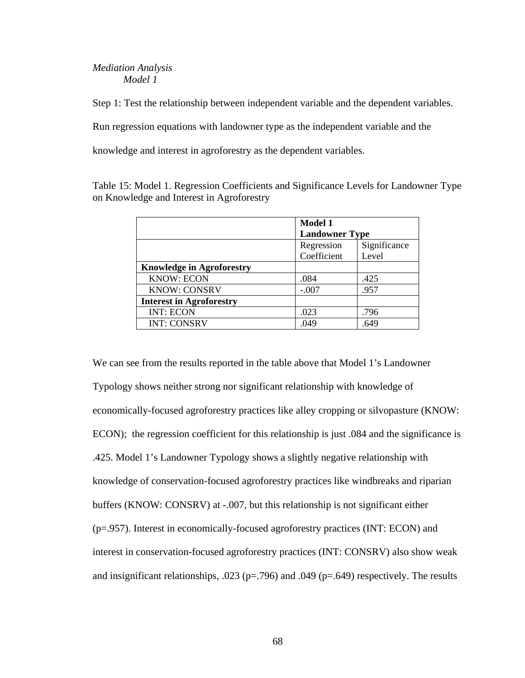## *Mediation Analysis Model 1*

Step 1: Test the relationship between independent variable and the dependent variables.

Run regression equations with landowner type as the independent variable and the

knowledge and interest in agroforestry as the dependent variables.

Table 15: Model 1. Regression Coefficients and Significance Levels for Landowner Type on Knowledge and Interest in Agroforestry

|                                  | <b>Model 1</b>        |              |  |  |  |
|----------------------------------|-----------------------|--------------|--|--|--|
|                                  | <b>Landowner Type</b> |              |  |  |  |
|                                  | Regression            | Significance |  |  |  |
|                                  | Coefficient           | Level        |  |  |  |
| <b>Knowledge in Agroforestry</b> |                       |              |  |  |  |
| <b>KNOW: ECON</b>                | .084                  | .425         |  |  |  |
| <b>KNOW: CONSRV</b>              | $-.007$               | .957         |  |  |  |
| <b>Interest in Agroforestry</b>  |                       |              |  |  |  |
| <b>INT: ECON</b>                 | .023                  | .796         |  |  |  |
| <b>INT: CONSRV</b>               | .049                  | .649         |  |  |  |

We can see from the results reported in the table above that Model 1's Landowner Typology shows neither strong nor significant relationship with knowledge of economically-focused agroforestry practices like alley cropping or silvopasture (KNOW: ECON); the regression coefficient for this relationship is just .084 and the significance is .425. Model 1's Landowner Typology shows a slightly negative relationship with knowledge of conservation-focused agroforestry practices like windbreaks and riparian buffers (KNOW: CONSRV) at -.007, but this relationship is not significant either (p=.957). Interest in economically-focused agroforestry practices (INT: ECON) and interest in conservation-focused agroforestry practices (INT: CONSRV) also show weak and insignificant relationships, .023 ( $p=.796$ ) and .049 ( $p=.649$ ) respectively. The results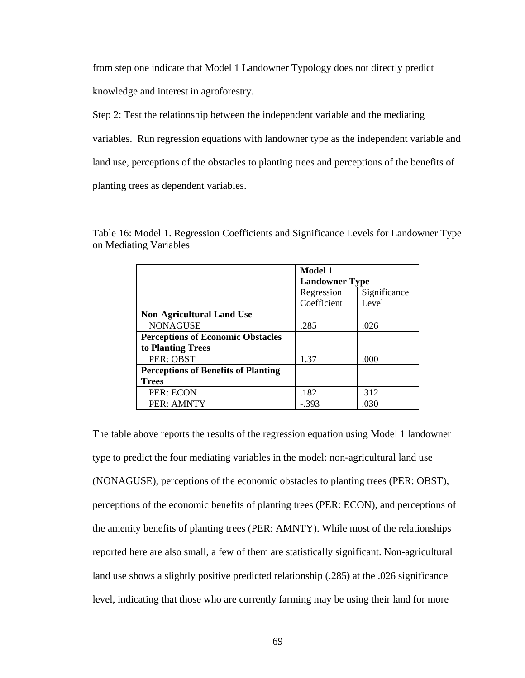from step one indicate that Model 1 Landowner Typology does not directly predict

knowledge and interest in agroforestry.

Step 2: Test the relationship between the independent variable and the mediating

variables. Run regression equations with landowner type as the independent variable and

land use, perceptions of the obstacles to planting trees and perceptions of the benefits of

planting trees as dependent variables.

Table 16: Model 1. Regression Coefficients and Significance Levels for Landowner Type on Mediating Variables

|                                            | <b>Model 1</b>        |              |  |  |  |  |
|--------------------------------------------|-----------------------|--------------|--|--|--|--|
|                                            | <b>Landowner Type</b> |              |  |  |  |  |
|                                            | Regression            | Significance |  |  |  |  |
|                                            | Coefficient           | Level        |  |  |  |  |
| <b>Non-Agricultural Land Use</b>           |                       |              |  |  |  |  |
| <b>NONAGUSE</b>                            | .285                  | .026         |  |  |  |  |
| <b>Perceptions of Economic Obstacles</b>   |                       |              |  |  |  |  |
| to Planting Trees                          |                       |              |  |  |  |  |
| PER: OBST                                  | 1.37                  | .000         |  |  |  |  |
| <b>Perceptions of Benefits of Planting</b> |                       |              |  |  |  |  |
| <b>Trees</b>                               |                       |              |  |  |  |  |
| PER: ECON                                  | .182                  | .312         |  |  |  |  |
| PER: AMNTY                                 | - 393                 | .030         |  |  |  |  |

The table above reports the results of the regression equation using Model 1 landowner type to predict the four mediating variables in the model: non-agricultural land use (NONAGUSE), perceptions of the economic obstacles to planting trees (PER: OBST), perceptions of the economic benefits of planting trees (PER: ECON), and perceptions of the amenity benefits of planting trees (PER: AMNTY). While most of the relationships reported here are also small, a few of them are statistically significant. Non-agricultural land use shows a slightly positive predicted relationship (.285) at the .026 significance level, indicating that those who are currently farming may be using their land for more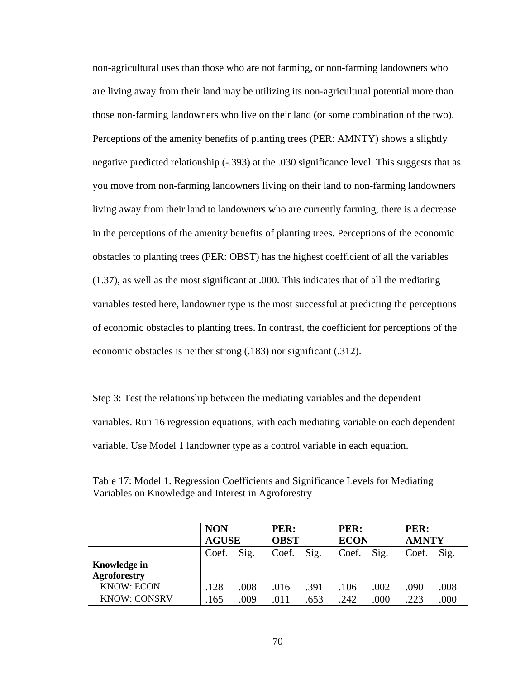non-agricultural uses than those who are not farming, or non-farming landowners who are living away from their land may be utilizing its non-agricultural potential more than those non-farming landowners who live on their land (or some combination of the two). Perceptions of the amenity benefits of planting trees (PER: AMNTY) shows a slightly negative predicted relationship (-.393) at the .030 significance level. This suggests that as you move from non-farming landowners living on their land to non-farming landowners living away from their land to landowners who are currently farming, there is a decrease in the perceptions of the amenity benefits of planting trees. Perceptions of the economic obstacles to planting trees (PER: OBST) has the highest coefficient of all the variables (1.37), as well as the most significant at .000. This indicates that of all the mediating variables tested here, landowner type is the most successful at predicting the perceptions of economic obstacles to planting trees. In contrast, the coefficient for perceptions of the economic obstacles is neither strong (.183) nor significant (.312).

Step 3: Test the relationship between the mediating variables and the dependent variables. Run 16 regression equations, with each mediating variable on each dependent variable. Use Model 1 landowner type as a control variable in each equation.

|                     | <b>NON</b><br><b>AGUSE</b> |      | PER:<br><b>OBST</b> |      | PER:<br><b>ECON</b> |      | PER:<br><b>AMNTY</b> |      |
|---------------------|----------------------------|------|---------------------|------|---------------------|------|----------------------|------|
|                     | Coef.                      | Sig. | Coef.               | Sig. | Coef.               | Sig. | Coef.                | Sig. |
| <b>Knowledge in</b> |                            |      |                     |      |                     |      |                      |      |
| <b>Agroforestry</b> |                            |      |                     |      |                     |      |                      |      |
| <b>KNOW: ECON</b>   | .128                       | .008 | .016                | .391 | .106                | .002 | .090                 | .008 |
| <b>KNOW: CONSRV</b> | 165                        | .009 | .011                | .653 | .242                | .000 | .223                 | .000 |

Table 17: Model 1. Regression Coefficients and Significance Levels for Mediating Variables on Knowledge and Interest in Agroforestry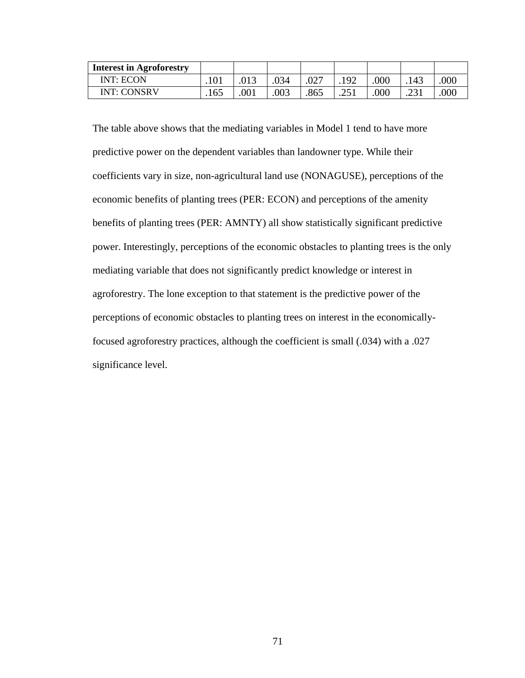| <b>Interest in Agroforestry</b> |      |      |     |      |                 |     |      |      |
|---------------------------------|------|------|-----|------|-----------------|-----|------|------|
| INT: ECON                       |      |      | 034 | .027 | 102             | 000 | .143 | .000 |
| INT: CONSRV                     | .165 | .001 | 003 | .865 | つく 1<br>1 (م ). | 000 | .231 |      |

The table above shows that the mediating variables in Model 1 tend to have more predictive power on the dependent variables than landowner type. While their coefficients vary in size, non-agricultural land use (NONAGUSE), perceptions of the economic benefits of planting trees (PER: ECON) and perceptions of the amenity benefits of planting trees (PER: AMNTY) all show statistically significant predictive power. Interestingly, perceptions of the economic obstacles to planting trees is the only mediating variable that does not significantly predict knowledge or interest in agroforestry. The lone exception to that statement is the predictive power of the perceptions of economic obstacles to planting trees on interest in the economicallyfocused agroforestry practices, although the coefficient is small (.034) with a .027 significance level.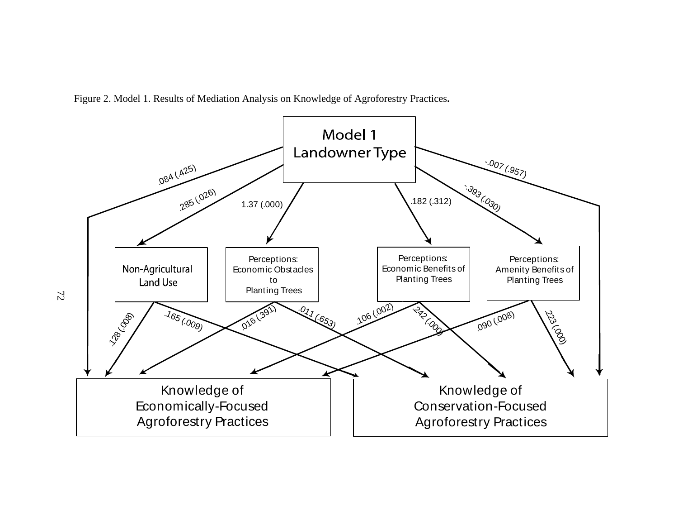

Figure 2. Model 1. Results of Mediation Analysis on Knowledge of Agroforestry Practices**.** 

72